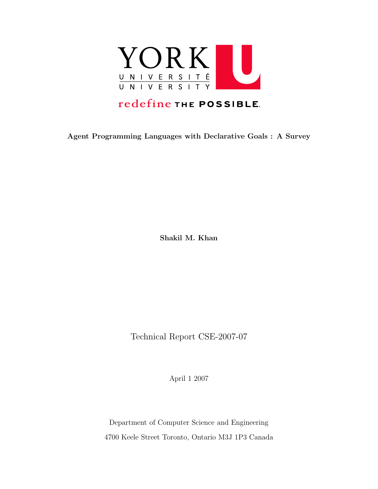

# redefine THE POSSIBLE.

Agent Programming Languages with Declarative Goals : A Survey

Shakil M. Khan

Technical Report CSE-2007-07

April 1 2007

Department of Computer Science and Engineering 4700 Keele Street Toronto, Ontario M3J 1P3 Canada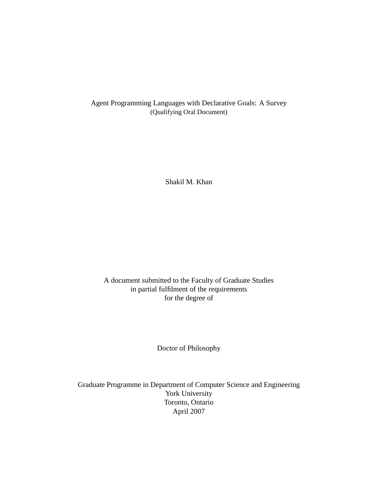Agent Programming Languages with Declarative Goals: A Survey (Qualifying Oral Document)

Shakil M. Khan

A document submitted to the Faculty of Graduate Studies in partial fulfilment of the requirements for the degree of

Doctor of Philosophy

Graduate Programme in Department of Computer Science and Engineering York University Toronto, Ontario April 2007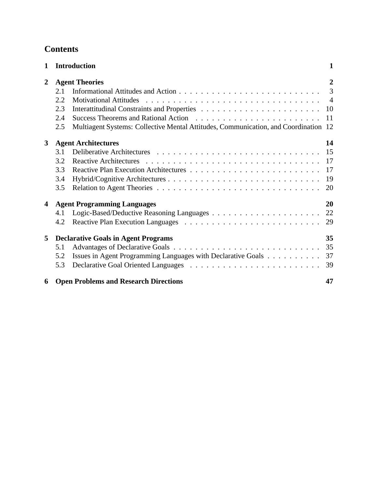| $\mathbf{1}$ |                                            | <b>Introduction</b>                                                                 | 1              |
|--------------|--------------------------------------------|-------------------------------------------------------------------------------------|----------------|
| $\mathbf{2}$ |                                            | <b>Agent Theories</b>                                                               |                |
|              | 2.1                                        |                                                                                     | $\overline{3}$ |
|              | 2.2.                                       | <b>Motivational Attitudes</b>                                                       |                |
|              | 2.3                                        |                                                                                     |                |
|              | 2.4                                        |                                                                                     | 11             |
|              | 2.5                                        | Multiagent Systems: Collective Mental Attitudes, Communication, and Coordination 12 |                |
| $\mathbf{3}$ | <b>Agent Architectures</b>                 |                                                                                     | 14             |
|              | 3.1                                        |                                                                                     | 15             |
|              | 3.2                                        |                                                                                     |                |
|              | 3.3                                        |                                                                                     | 17             |
|              | 3.4                                        |                                                                                     | 19             |
|              | 3.5                                        |                                                                                     | 20             |
| 4            | <b>Agent Programming Languages</b>         |                                                                                     | 20             |
|              | 4.1                                        |                                                                                     | 22             |
|              | 4.2                                        |                                                                                     | 29             |
| 5            | <b>Declarative Goals in Agent Programs</b> |                                                                                     | 35             |
|              | 5.1                                        |                                                                                     | 35             |
|              | 5.2                                        | Issues in Agent Programming Languages with Declarative Goals                        | 37             |
|              | 5.3                                        |                                                                                     | 39             |
| 6            |                                            | <b>Open Problems and Research Directions</b>                                        | 47             |
|              |                                            |                                                                                     |                |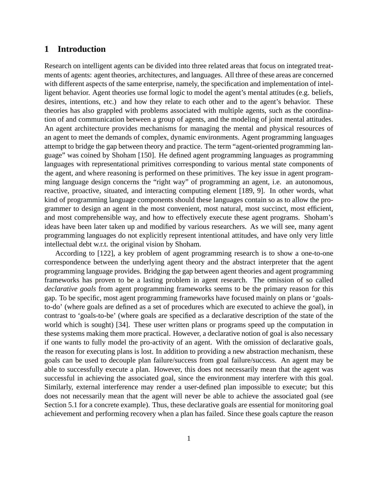# **1 Introduction**

Research on intelligent agents can be divided into three related areas that focus on integrated treatments of agents: agent theories, architectures, and languages. All three of these areas are concerned with different aspects of the same enterprise, namely, the specification and implementation of intelligent behavior. Agent theories use formal logic to model the agent's mental attitudes (e.g. beliefs, desires, intentions, etc.) and how they relate to each other and to the agent's behavior. These theories has also grappled with problems associated with multiple agents, such as the coordination of and communication between a group of agents, and the modeling of joint mental attitudes. An agent architecture provides mechanisms for managing the mental and physical resources of an agent to meet the demands of complex, dynamic environments. Agent programming languages attempt to bridge the gap between theory and practice. The term "agent-oriented programming language" was coined by Shoham [150]. He defined agent programming languages as programming languages with representational primitives corresponding to various mental state components of the agent, and where reasoning is performed on these primitives. The key issue in agent programming language design concerns the "right way" of programming an agent, i.e. an autonomous, reactive, proactive, situated, and interacting computing element [189, 9]. In other words, what kind of programming language components should these languages contain so as to allow the programmer to design an agent in the most convenient, most natural, most succinct, most efficient, and most comprehensible way, and how to effectively execute these agent programs. Shoham's ideas have been later taken up and modified by various researchers. As we will see, many agent programming languages do not explicitly represent intentional attitudes, and have only very little intellectual debt w.r.t. the original vision by Shoham.

According to [122], a key problem of agent programming research is to show a one-to-one correspondence between the underlying agent theory and the abstract interpreter that the agent programming language provides. Bridging the gap between agent theories and agent programming frameworks has proven to be a lasting problem in agent research. The omission of so called *declarative goals* from agent programming frameworks seems to be the primary reason for this gap. To be specific, most agent programming frameworks have focused mainly on plans or 'goalsto-do' (where goals are defined as a set of procedures which are executed to achieve the goal), in contrast to 'goals-to-be' (where goals are specified as a declarative description of the state of the world which is sought) [34]. These user written plans or programs speed up the computation in these systems making them more practical. However, a declarative notion of goal is also necessary if one wants to fully model the pro-activity of an agent. With the omission of declarative goals, the reason for executing plans is lost. In addition to providing a new abstraction mechanism, these goals can be used to decouple plan failure/success from goal failure/success. An agent may be able to successfully execute a plan. However, this does not necessarily mean that the agent was successful in achieving the associated goal, since the environment may interfere with this goal. Similarly, external interference may render a user-defined plan impossible to execute; but this does not necessarily mean that the agent will never be able to achieve the associated goal (see Section 5.1 for a concrete example). Thus, these declarative goals are essential for monitoring goal achievement and performing recovery when a plan has failed. Since these goals capture the reason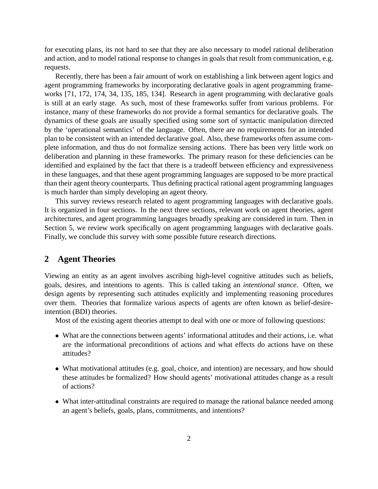for executing plans, its not hard to see that they are also necessary to model rational deliberation and action, and to model rational response to changes in goals that result from communication, e.g. requests.

Recently, there has been a fair amount of work on establishing a link between agent logics and agent programming frameworks by incorporating declarative goals in agent programming frameworks [71, 172, 174, 34, 135, 185, 134]. Research in agent programming with declarative goals is still at an early stage. As such, most of these frameworks suffer from various problems. For instance, many of these frameworks do not provide a formal semantics for declarative goals. The dynamics of these goals are usually specified using some sort of syntactic manipulation directed by the 'operational semantics' of the language. Often, there are no requirements for an intended plan to be consistent with an intended declarative goal. Also, these frameworks often assume complete information, and thus do not formalize sensing actions. There has been very little work on deliberation and planning in these frameworks. The primary reason for these deficiencies can be identified and explained by the fact that there is a tradeoff between efficiency and expressiveness in these languages, and that these agent programming languages are supposed to be more practical than their agent theory counterparts. Thus defining practical rational agent programming languages is much harder than simply developing an agent theory.

This survey reviews research related to agent programming languages with declarative goals. It is organized in four sections. In the next three sections, relevant work on agent theories, agent architectures, and agent programming languages broadly speaking are considered in turn. Then in Section 5, we review work specifically on agent programming languages with declarative goals. Finally, we conclude this survey with some possible future research directions.

# **2 Agent Theories**

Viewing an entity as an agent involves ascribing high-level cognitive attitudes such as beliefs, goals, desires, and intentions to agents. This is called taking an *intentional stance*. Often, we design agents by representing such attitudes explicitly and implementing reasoning procedures over them. Theories that formalize various aspects of agents are often known as belief-desireintention (BDI) theories.

Most of the existing agent theories attempt to deal with one or more of following questions:

- What are the connections between agents' informational attitudes and their actions, i.e. what are the informational preconditions of actions and what effects do actions have on these attitudes?
- What motivational attitudes (e.g. goal, choice, and intention) are necessary, and how should these attitudes be formalized? How should agents' motivational attitudes change as a result of actions?
- What inter-attitudinal constraints are required to manage the rational balance needed among an agent's beliefs, goals, plans, commitments, and intentions?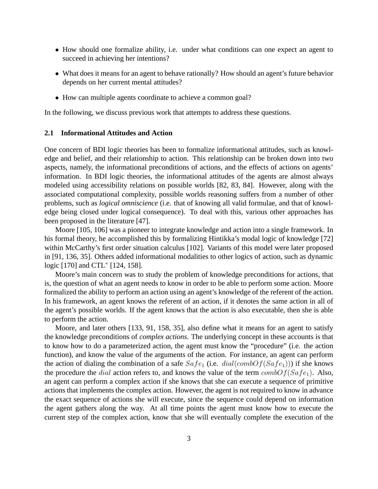- How should one formalize ability, i.e. under what conditions can one expect an agent to succeed in achieving her intentions?
- What does it means for an agent to behave rationally? How should an agent's future behavior depends on her current mental attitudes?
- How can multiple agents coordinate to achieve a common goal?

In the following, we discuss previous work that attempts to address these questions.

## **2.1 Informational Attitudes and Action**

One concern of BDI logic theories has been to formalize informational attitudes, such as knowledge and belief, and their relationship to action. This relationship can be broken down into two aspects, namely, the informational preconditions of actions, and the effects of actions on agents' information. In BDI logic theories, the informational attitudes of the agents are almost always modeled using accessibility relations on possible worlds [82, 83, 84]. However, along with the associated computational complexity, possible worlds reasoning suffers from a number of other problems, such as *logical omniscience* (i.e. that of knowing all valid formulae, and that of knowledge being closed under logical consequence). To deal with this, various other approaches has been proposed in the literature [47].

Moore [105, 106] was a pioneer to integrate knowledge and action into a single framework. In his formal theory, he accomplished this by formalizing Hintikka's modal logic of knowledge [72] within McCarthy's first order situation calculus [102]. Variants of this model were later proposed in [91, 136, 35]. Others added informational modalities to other logics of action, such as dynamic logic [170] and CTL<sup>\*</sup> [124, 158].

Moore's main concern was to study the problem of knowledge preconditions for actions, that is, the question of what an agent needs to know in order to be able to perform some action. Moore formalized the ability to perform an action using an agent's knowledge of the referent of the action. In his framework, an agent knows the referent of an action, if it denotes the same action in all of the agent's possible worlds. If the agent knows that the action is also executable, then she is able to perform the action.

Moore, and later others [133, 91, 158, 35], also define what it means for an agent to satisfy the knowledge preconditions of *complex actions*. The underlying concept in these accounts is that to know how to do a parameterized action, the agent must know the "procedure" (i.e. the action function), and know the value of the arguments of the action. For instance, an agent can perform the action of dialing the combination of a safe  $Safe_1$  (i.e.  $dial(combOf(Safe_1))$ ) if she knows the procedure the *dial* action refers to, and knows the value of the term  $combOf(Safe_1)$ . Also, an agent can perform a complex action if she knows that she can execute a sequence of primitive actions that implements the complex action. However, the agent is not required to know in advance the exact sequence of actions she will execute, since the sequence could depend on information the agent gathers along the way. At all time points the agent must know how to execute the current step of the complex action, know that she will eventually complete the execution of the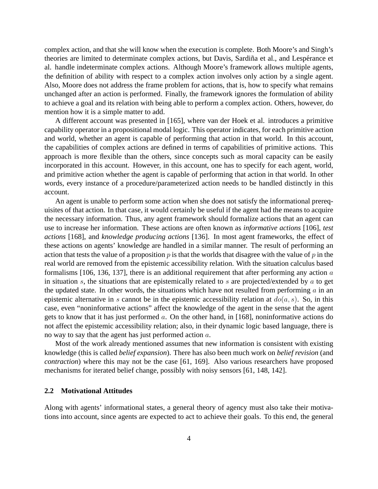complex action, and that she will know when the execution is complete. Both Moore's and Singh's theories are limited to determinate complex actions, but Davis, Sardiña et al., and Lespérance et al. handle indeterminate complex actions. Although Moore's framework allows multiple agents, the definition of ability with respect to a complex action involves only action by a single agent. Also, Moore does not address the frame problem for actions, that is, how to specify what remains unchanged after an action is performed. Finally, the framework ignores the formulation of ability to achieve a goal and its relation with being able to perform a complex action. Others, however, do mention how it is a simple matter to add.

A different account was presented in [165], where van der Hoek et al. introduces a primitive capability operator in a propositional modal logic. This operator indicates, for each primitive action and world, whether an agent is capable of performing that action in that world. In this account, the capabilities of complex actions are defined in terms of capabilities of primitive actions. This approach is more flexible than the others, since concepts such as moral capacity can be easily incorporated in this account. However, in this account, one has to specify for each agent, world, and primitive action whether the agent is capable of performing that action in that world. In other words, every instance of a procedure/parameterized action needs to be handled distinctly in this account.

An agent is unable to perform some action when she does not satisfy the informational prerequisites of that action. In that case, it would certainly be useful if the agent had the means to acquire the necessary information. Thus, any agent framework should formalize actions that an agent can use to increase her information. These actions are often known as *informative actions* [106], *test actions* [168], and *knowledge producing actions* [136]. In most agent frameworks, the effect of these actions on agents' knowledge are handled in a similar manner. The result of performing an action that tests the value of a proposition  $p$  is that the worlds that disagree with the value of  $p$  in the real world are removed from the epistemic accessibility relation. With the situation calculus based formalisms [106, 136, 137], there is an additional requirement that after performing any action  $a$ in situation  $s$ , the situations that are epistemically related to  $s$  are projected/extended by  $a$  to get the updated state. In other words, the situations which have not resulted from performing  $\alpha$  in an epistemic alternative in s cannot be in the epistemic accessibility relation at  $do(a, s)$ . So, in this case, even "noninformative actions" affect the knowledge of the agent in the sense that the agent gets to know that it has just performed  $a$ . On the other hand, in [168], noninformative actions do not affect the epistemic accessibility relation; also, in their dynamic logic based language, there is no way to say that the agent has just performed action a.

Most of the work already mentioned assumes that new information is consistent with existing knowledge (this is called *belief expansion*). There has also been much work on *belief revision* (and *contraction*) where this may not be the case [61, 169]. Also various researchers have proposed mechanisms for iterated belief change, possibly with noisy sensors [61, 148, 142].

## **2.2 Motivational Attitudes**

Along with agents' informational states, a general theory of agency must also take their motivations into account, since agents are expected to act to achieve their goals. To this end, the general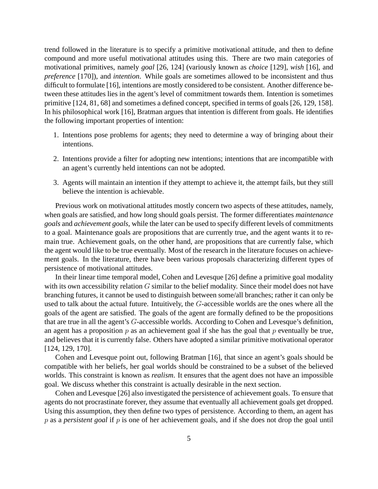trend followed in the literature is to specify a primitive motivational attitude, and then to define compound and more useful motivational attitudes using this. There are two main categories of motivational primitives, namely *goal* [26, 124] (variously known as *choice* [129], *wish* [16], and *preference* [170]), and *intention*. While goals are sometimes allowed to be inconsistent and thus difficult to formulate [16], intentions are mostly considered to be consistent. Another difference between these attitudes lies in the agent's level of commitment towards them. Intention is sometimes primitive [124, 81, 68] and sometimes a defined concept, specified in terms of goals [26, 129, 158]. In his philosophical work [16], Bratman argues that intention is different from goals. He identifies the following important properties of intention:

- 1. Intentions pose problems for agents; they need to determine a way of bringing about their intentions.
- 2. Intentions provide a filter for adopting new intentions; intentions that are incompatible with an agent's currently held intentions can not be adopted.
- 3. Agents will maintain an intention if they attempt to achieve it, the attempt fails, but they still believe the intention is achievable.

Previous work on motivational attitudes mostly concern two aspects of these attitudes, namely, when goals are satisfied, and how long should goals persist. The former differentiates *maintenance goals* and *achievement goals*, while the later can be used to specify different levels of commitments to a goal. Maintenance goals are propositions that are currently true, and the agent wants it to remain true. Achievement goals, on the other hand, are propositions that are currently false, which the agent would like to be true eventually. Most of the research in the literature focuses on achievement goals. In the literature, there have been various proposals characterizing different types of persistence of motivational attitudes.

In their linear time temporal model, Cohen and Levesque [26] define a primitive goal modality with its own accessibility relation  $G$  similar to the belief modality. Since their model does not have branching futures, it cannot be used to distinguish between some/all branches; rather it can only be used to talk about the actual future. Intuitively, the G-accessible worlds are the ones where all the goals of the agent are satisfied. The goals of the agent are formally defined to be the propositions that are true in all the agent's G-accessible worlds. According to Cohen and Levesque's definition, an agent has a proposition  $p$  as an achievement goal if she has the goal that  $p$  eventually be true, and believes that it is currently false. Others have adopted a similar primitive motivational operator [124, 129, 170].

Cohen and Levesque point out, following Bratman [16], that since an agent's goals should be compatible with her beliefs, her goal worlds should be constrained to be a subset of the believed worlds. This constraint is known as *realism*. It ensures that the agent does not have an impossible goal. We discuss whether this constraint is actually desirable in the next section.

Cohen and Levesque [26] also investigated the persistence of achievement goals. To ensure that agents do not procrastinate forever, they assume that eventually all achievement goals get dropped. Using this assumption, they then define two types of persistence. According to them, an agent has p as a *persistent goal* if p is one of her achievement goals, and if she does not drop the goal until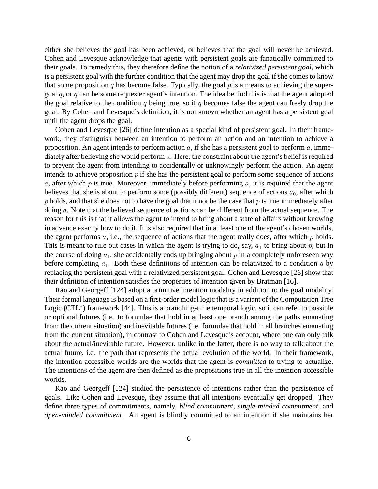either she believes the goal has been achieved, or believes that the goal will never be achieved. Cohen and Levesque acknowledge that agents with persistent goals are fanatically committed to their goals. To remedy this, they therefore define the notion of a *relativized persistent goal*, which is a persistent goal with the further condition that the agent may drop the goal if she comes to know that some proposition q has become false. Typically, the goal  $p$  is a means to achieving the supergoal q, or q can be some requester agent's intention. The idea behind this is that the agent adopted the goal relative to the condition q being true, so if q becomes false the agent can freely drop the goal. By Cohen and Levesque's definition, it is not known whether an agent has a persistent goal until the agent drops the goal.

Cohen and Levesque [26] define intention as a special kind of persistent goal. In their framework, they distinguish between an intention to perform an action and an intention to achieve a proposition. An agent intends to perform action a, if she has a persistent goal to perform a, immediately after believing she would perform a. Here, the constraint about the agent's belief is required to prevent the agent from intending to accidentally or unknowingly perform the action. An agent intends to achieve proposition  $p$  if she has the persistent goal to perform some sequence of actions a, after which  $p$  is true. Moreover, immediately before performing  $a$ , it is required that the agent believes that she is about to perform some (possibly different) sequence of actions  $a_0$ , after which  $p$  holds, and that she does not to have the goal that it not be the case that  $p$  is true immediately after doing a. Note that the believed sequence of actions can be different from the actual sequence. The reason for this is that it allows the agent to intend to bring about a state of affairs without knowing in advance exactly how to do it. It is also required that in at least one of the agent's chosen worlds, the agent performs  $a$ , i.e., the sequence of actions that the agent really does, after which  $p$  holds. This is meant to rule out cases in which the agent is trying to do, say,  $a_1$  to bring about p, but in the course of doing  $a_1$ , she accidentally ends up bringing about p in a completely unforeseen way before completing  $a_1$ . Both these definitions of intention can be relativized to a condition  $q$  by replacing the persistent goal with a relativized persistent goal. Cohen and Levesque [26] show that their definition of intention satisfies the properties of intention given by Bratman [16].

Rao and Georgeff [124] adopt a primitive intention modality in addition to the goal modality. Their formal language is based on a first-order modal logic that is a variant of the Computation Tree Logic (CTL<sup>\*</sup>) framework [44]. This is a branching-time temporal logic, so it can refer to possible or optional futures (i.e. to formulae that hold in at least one branch among the paths emanating from the current situation) and inevitable futures (i.e. formulae that hold in all branches emanating from the current situation), in contrast to Cohen and Levesque's account, where one can only talk about the actual/inevitable future. However, unlike in the latter, there is no way to talk about the actual future, i.e. the path that represents the actual evolution of the world. In their framework, the intention accessible worlds are the worlds that the agent is *committed* to trying to actualize. The intentions of the agent are then defined as the propositions true in all the intention accessible worlds.

Rao and Georgeff [124] studied the persistence of intentions rather than the persistence of goals. Like Cohen and Levesque, they assume that all intentions eventually get dropped. They define three types of commitments, namely, *blind commitment*, *single-minded commitment*, and *open-minded commitment*. An agent is blindly committed to an intention if she maintains her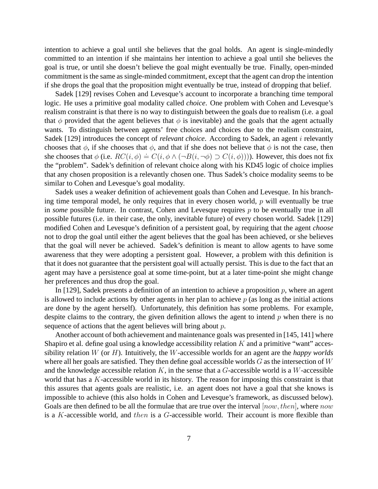intention to achieve a goal until she believes that the goal holds. An agent is single-mindedly committed to an intention if she maintains her intention to achieve a goal until she believes the goal is true, or until she doesn't believe the goal might eventually be true. Finally, open-minded commitment is the same as single-minded commitment, except that the agent can drop the intention if she drops the goal that the proposition might eventually be true, instead of dropping that belief.

Sadek [129] revises Cohen and Levesque's account to incorporate a branching time temporal logic. He uses a primitive goal modality called *choice*. One problem with Cohen and Levesque's realism constraint is that there is no way to distinguish between the goals due to realism (i.e. a goal that  $\phi$  provided that the agent believes that  $\phi$  is inevitable) and the goals that the agent actually wants. To distinguish between agents' free choices and choices due to the realism constraint, Sadek [129] introduces the concept of *relevant choice*. According to Sadek, an agent *i* relevantly chooses that  $\phi$ , if she chooses that  $\phi$ , and that if she does not believe that  $\phi$  is not the case, then she chooses that  $\phi$ , it she chooses that  $\phi$ , and that if she does not believe that  $\phi$  is not the case, then<br>she chooses that  $\phi$  (i.e.  $RC(i, \phi) = C(i, \phi \land (\neg B(i, \neg \phi) \supset C(i, \phi))))$ ). However, this does not fix the "problem". Sadek's definition of relevant choice along with his KD45 logic of choice implies that any chosen proposition is a relevantly chosen one. Thus Sadek's choice modality seems to be similar to Cohen and Levesque's goal modality.

Sadek uses a weaker definition of achievement goals than Cohen and Levesque. In his branching time temporal model, he only requires that in every chosen world,  $p$  will eventually be true in *some* possible future. In contrast, Cohen and Levesque requires p to be eventually true in all possible futures (i.e. in their case, the only, inevitable future) of every chosen world. Sadek [129] modified Cohen and Levesque's definition of a persistent goal, by requiring that the agent *choose* not to drop the goal until either the agent believes that the goal has been achieved, or she believes that the goal will never be achieved. Sadek's definition is meant to allow agents to have some awareness that they were adopting a persistent goal. However, a problem with this definition is that it does not guarantee that the persistent goal will actually persist. This is due to the fact that an agent may have a persistence goal at some time-point, but at a later time-point she might change her preferences and thus drop the goal.

In [129], Sadek presents a definition of an intention to achieve a proposition  $p$ , where an agent is allowed to include actions by other agents in her plan to achieve  $p$  (as long as the initial actions are done by the agent herself). Unfortunately, this definition has some problems. For example, despite claims to the contrary, the given definition allows the agent to intend  $p$  when there is no sequence of actions that the agent believes will bring about  $p$ .

Another account of both achievement and maintenance goals was presented in [145, 141] where Shapiro et al. define goal using a knowledge accessibility relation  $K$  and a primitive "want" accessibility relation W (or H). Intuitively, the W-accessible worlds for an agent are the *happy worlds* where all her goals are satisfied. They then define goal accessible worlds  $G$  as the intersection of  $W$ and the knowledge accessible relation  $K$ , in the sense that a  $G$ -accessible world is a  $W$ -accessible world that has a K-accessible world in its history. The reason for imposing this constraint is that this assures that agents goals are realistic, i.e. an agent does not have a goal that she knows is impossible to achieve (this also holds in Cohen and Levesque's framework, as discussed below). Goals are then defined to be all the formulae that are true over the interval  $[now, then]$ , where now is a  $K$ -accessible world, and then is a  $G$ -accessible world. Their account is more flexible than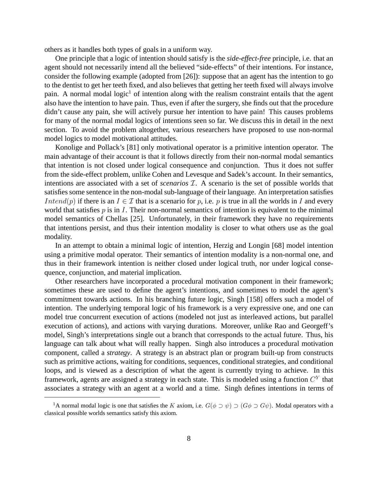others as it handles both types of goals in a uniform way.

One principle that a logic of intention should satisfy is the *side-effect-free* principle, i.e. that an agent should not necessarily intend all the believed "side-effects" of their intentions. For instance, consider the following example (adopted from [26]): suppose that an agent has the intention to go to the dentist to get her teeth fixed, and also believes that getting her teeth fixed will always involve pain. A normal modal logic<sup>1</sup> of intention along with the realism constraint entails that the agent also have the intention to have pain. Thus, even if after the surgery, she finds out that the procedure didn't cause any pain, she will actively pursue her intention to have pain! This causes problems for many of the normal modal logics of intentions seen so far. We discuss this in detail in the next section. To avoid the problem altogether, various researchers have proposed to use non-normal model logics to model motivational attitudes.

Konolige and Pollack's [81] only motivational operator is a primitive intention operator. The main advantage of their account is that it follows directly from their non-normal modal semantics that intention is not closed under logical consequence and conjunction. Thus it does not suffer from the side-effect problem, unlike Cohen and Levesque and Sadek's account. In their semantics, intentions are associated with a set of *scenarios* I. A scenario is the set of possible worlds that satisfies some sentence in the non-modal sub-language of their language. An interpretation satisfies *Intend(p)* if there is an  $I \in \mathcal{I}$  that is a scenario for p, i.e. p is true in all the worlds in I and every world that satisfies  $p$  is in I. Their non-normal semantics of intention is equivalent to the minimal model semantics of Chellas [25]. Unfortunately, in their framework they have no requirements that intentions persist, and thus their intention modality is closer to what others use as the goal modality.

In an attempt to obtain a minimal logic of intention, Herzig and Longin [68] model intention using a primitive modal operator. Their semantics of intention modality is a non-normal one, and thus in their framework intention is neither closed under logical truth, nor under logical consequence, conjunction, and material implication.

Other researchers have incorporated a procedural motivation component in their framework; sometimes these are used to define the agent's intentions, and sometimes to model the agent's commitment towards actions. In his branching future logic, Singh [158] offers such a model of intention. The underlying temporal logic of his framework is a very expressive one, and one can model true concurrent execution of actions (modeled not just as interleaved actions, but parallel execution of actions), and actions with varying durations. Moreover, unlike Rao and Georgeff's model, Singh's interpretations single out a branch that corresponds to the actual future. Thus, his language can talk about what will really happen. Singh also introduces a procedural motivation component, called a *strategy*. A strategy is an abstract plan or program built-up from constructs such as primitive actions, waiting for conditions, sequences, conditional strategies, and conditional loops, and is viewed as a description of what the agent is currently trying to achieve. In this framework, agents are assigned a strategy in each state. This is modeled using a function  $C<sup>Y</sup>$  that associates a strategy with an agent at a world and a time. Singh defines intentions in terms of

<sup>&</sup>lt;sup>1</sup>A normal modal logic is one that satisfies the K axiom, i.e.  $G(\phi \supset \psi) \supset (G\phi \supset G\psi)$ . Modal operators with a classical possible worlds semantics satisfy this axiom.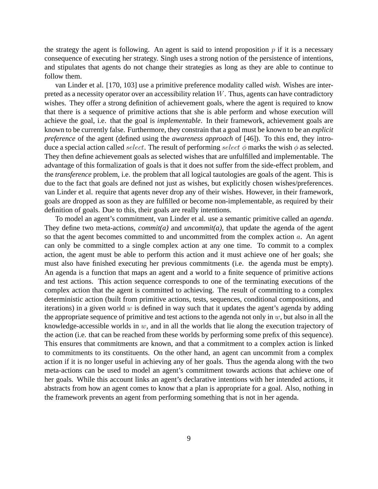the strategy the agent is following. An agent is said to intend proposition  $p$  if it is a necessary consequence of executing her strategy. Singh uses a strong notion of the persistence of intentions, and stipulates that agents do not change their strategies as long as they are able to continue to follow them.

van Linder et al. [170, 103] use a primitive preference modality called *wish*. Wishes are interpreted as a necessity operator over an accessibility relation  $W$ . Thus, agents can have contradictory wishes. They offer a strong definition of achievement goals, where the agent is required to know that there is a sequence of primitive actions that she is able perform and whose execution will achieve the goal, i.e. that the goal is *implementable*. In their framework, achievement goals are known to be currently false. Furthermore, they constrain that a goal must be known to be an *explicit preference* of the agent (defined using the *awareness approach* of [46]). To this end, they introduce a special action called *select*. The result of performing *select*  $\phi$  marks the wish  $\phi$  as selected. They then define achievement goals as selected wishes that are unfulfilled and implementable. The advantage of this formalization of goals is that it does not suffer from the side-effect problem, and the *transference* problem, i.e. the problem that all logical tautologies are goals of the agent. This is due to the fact that goals are defined not just as wishes, but explicitly chosen wishes/preferences. van Linder et al. require that agents never drop any of their wishes. However, in their framework, goals are dropped as soon as they are fulfilled or become non-implementable, as required by their definition of goals. Due to this, their goals are really intentions.

To model an agent's commitment, van Linder et al. use a semantic primitive called an *agenda*. They define two meta-actions, *commit(a)* and *uncommit(a)*, that update the agenda of the agent so that the agent becomes committed to and uncommitted from the complex action  $a$ . An agent can only be committed to a single complex action at any one time. To commit to a complex action, the agent must be able to perform this action and it must achieve one of her goals; she must also have finished executing her previous commitments (i.e. the agenda must be empty). An agenda is a function that maps an agent and a world to a finite sequence of primitive actions and test actions. This action sequence corresponds to one of the terminating executions of the complex action that the agent is committed to achieving. The result of committing to a complex deterministic action (built from primitive actions, tests, sequences, conditional compositions, and iterations) in a given world  $w$  is defined in way such that it updates the agent's agenda by adding the appropriate sequence of primitive and test actions to the agenda not only in  $w$ , but also in all the knowledge-accessible worlds in  $w$ , and in all the worlds that lie along the execution trajectory of the action (i.e. that can be reached from these worlds by performing some prefix of this sequence). This ensures that commitments are known, and that a commitment to a complex action is linked to commitments to its constituents. On the other hand, an agent can uncommit from a complex action if it is no longer useful in achieving any of her goals. Thus the agenda along with the two meta-actions can be used to model an agent's commitment towards actions that achieve one of her goals. While this account links an agent's declarative intentions with her intended actions, it abstracts from how an agent comes to know that a plan is appropriate for a goal. Also, nothing in the framework prevents an agent from performing something that is not in her agenda.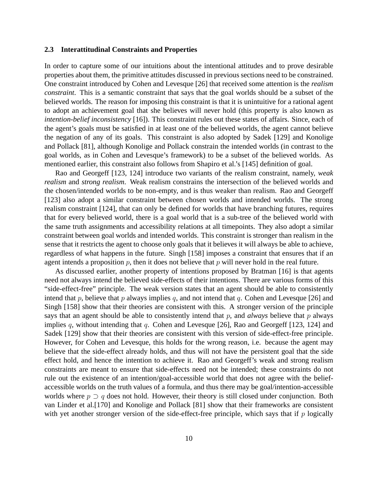## **2.3 Interattitudinal Constraints and Properties**

In order to capture some of our intuitions about the intentional attitudes and to prove desirable properties about them, the primitive attitudes discussed in previous sections need to be constrained. One constraint introduced by Cohen and Levesque [26] that received some attention is the *realism constraint*. This is a semantic constraint that says that the goal worlds should be a subset of the believed worlds. The reason for imposing this constraint is that it is unintuitive for a rational agent to adopt an achievement goal that she believes will never hold (this property is also known as *intention-belief inconsistency* [16]). This constraint rules out these states of affairs. Since, each of the agent's goals must be satisfied in at least one of the believed worlds, the agent cannot believe the negation of any of its goals. This constraint is also adopted by Sadek [129] and Konolige and Pollack [81], although Konolige and Pollack constrain the intended worlds (in contrast to the goal worlds, as in Cohen and Levesque's framework) to be a subset of the believed worlds. As mentioned earlier, this constraint also follows from Shapiro et al.'s [145] definition of goal.

Rao and Georgeff [123, 124] introduce two variants of the realism constraint, namely, *weak realism* and *strong realism*. Weak realism constrains the intersection of the believed worlds and the chosen/intended worlds to be non-empty, and is thus weaker than realism. Rao and Georgeff [123] also adopt a similar constraint between chosen worlds and intended worlds. The strong realism constraint [124], that can only be defined for worlds that have branching futures, requires that for every believed world, there is a goal world that is a sub-tree of the believed world with the same truth assignments and accessibility relations at all timepoints. They also adopt a similar constraint between goal worlds and intended worlds. This constraint is stronger than realism in the sense that it restricts the agent to choose only goals that it believes it will always be able to achieve, regardless of what happens in the future. Singh [158] imposes a constraint that ensures that if an agent intends a proposition  $p$ , then it does not believe that  $p$  will never hold in the real future.

As discussed earlier, another property of intentions proposed by Bratman [16] is that agents need not always intend the believed side-effects of their intentions. There are various forms of this "side-effect-free" principle. The weak version states that an agent should be able to consistently intend that p, believe that p always implies q, and not intend that q. Cohen and Levesque [26] and Singh [158] show that their theories are consistent with this. A stronger version of the principle says that an agent should be able to consistently intend that p, and *always* believe that p always implies q, without intending that q. Cohen and Levesque [26], Rao and Georgeff [123, 124] and Sadek [129] show that their theories are consistent with this version of side-effect-free principle. However, for Cohen and Levesque, this holds for the wrong reason, i.e. because the agent may believe that the side-effect already holds, and thus will not have the persistent goal that the side effect hold, and hence the intention to achieve it. Rao and Georgeff's weak and strong realism constraints are meant to ensure that side-effects need not be intended; these constraints do not rule out the existence of an intention/goal-accessible world that does not agree with the beliefaccessible worlds on the truth values of a formula, and thus there may be goal/intention-accessible worlds where  $p \supset q$  does not hold. However, their theory is still closed under conjunction. Both van Linder et al.[170] and Konolige and Pollack [81] show that their frameworks are consistent with yet another stronger version of the side-effect-free principle, which says that if  $p$  logically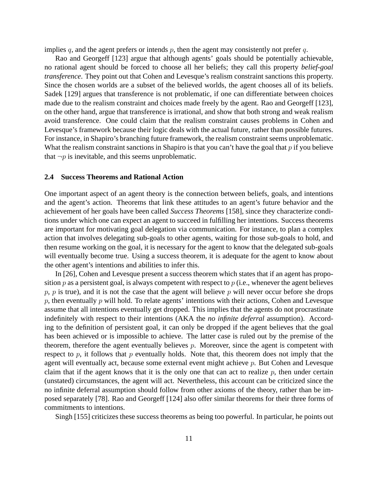implies q, and the agent prefers or intends  $p$ , then the agent may consistently not prefer  $q$ .

Rao and Georgeff [123] argue that although agents' goals should be potentially achievable, no rational agent should be forced to choose all her beliefs; they call this property *belief-goal transference*. They point out that Cohen and Levesque's realism constraint sanctions this property. Since the chosen worlds are a subset of the believed worlds, the agent chooses all of its beliefs. Sadek [129] argues that transference is not problematic, if one can differentiate between choices made due to the realism constraint and choices made freely by the agent. Rao and Georgeff [123], on the other hand, argue that transference is irrational, and show that both strong and weak realism avoid transference. One could claim that the realism constraint causes problems in Cohen and Levesque's framework because their logic deals with the actual future, rather than possible futures. For instance, in Shapiro's branching future framework, the realism constraint seems unproblematic. What the realism constraint sanctions in Shapiro is that you can't have the goal that  $p$  if you believe that  $\neg p$  is inevitable, and this seems unproblematic.

## **2.4 Success Theorems and Rational Action**

One important aspect of an agent theory is the connection between beliefs, goals, and intentions and the agent's action. Theorems that link these attitudes to an agent's future behavior and the achievement of her goals have been called *Success Theorems* [158], since they characterize conditions under which one can expect an agent to succeed in fulfilling her intentions. Success theorems are important for motivating goal delegation via communication. For instance, to plan a complex action that involves delegating sub-goals to other agents, waiting for those sub-goals to hold, and then resume working on the goal, it is necessary for the agent to know that the delegated sub-goals will eventually become true. Using a success theorem, it is adequate for the agent to know about the other agent's intentions and abilities to infer this.

In [26], Cohen and Levesque present a success theorem which states that if an agent has proposition  $p$  as a persistent goal, is always competent with respect to  $p$  (i.e., whenever the agent believes  $p, p$  is true), and it is not the case that the agent will believe p will never occur before she drops  $p$ , then eventually  $p$  will hold. To relate agents' intentions with their actions, Cohen and Levesque assume that all intentions eventually get dropped. This implies that the agents do not procrastinate indefinitely with respect to their intentions (AKA the *no infinite deferral* assumption). According to the definition of persistent goal, it can only be dropped if the agent believes that the goal has been achieved or is impossible to achieve. The latter case is ruled out by the premise of the theorem, therefore the agent eventually believes  $p$ . Moreover, since the agent is competent with respect to p, it follows that p eventually holds. Note that, this theorem does not imply that the agent will eventually act, because some external event might achieve  $p$ . But Cohen and Levesque claim that if the agent knows that it is the only one that can act to realize  $p$ , then under certain (unstated) circumstances, the agent will act. Nevertheless, this account can be criticized since the no infinite deferral assumption should follow from other axioms of the theory, rather than be imposed separately [78]. Rao and Georgeff [124] also offer similar theorems for their three forms of commitments to intentions.

Singh [155] criticizes these success theorems as being too powerful. In particular, he points out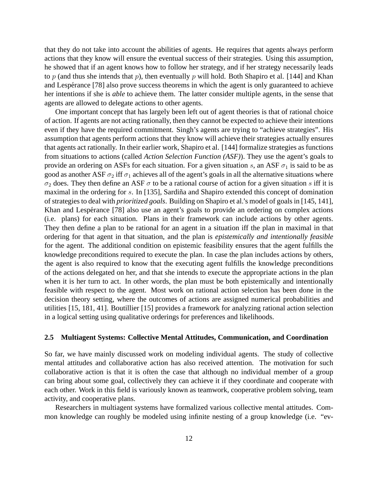that they do not take into account the abilities of agents. He requires that agents always perform actions that they know will ensure the eventual success of their strategies. Using this assumption, he showed that if an agent knows how to follow her strategy, and if her strategy necessarily leads to p (and thus she intends that p), then eventually p will hold. Both Shapiro et al. [144] and Khan and Lespérance [78] also prove success theorems in which the agent is only guaranteed to achieve her intentions if she is *able* to achieve them. The latter consider multiple agents, in the sense that agents are allowed to delegate actions to other agents.

One important concept that has largely been left out of agent theories is that of rational choice of action. If agents are not acting rationally, then they cannot be expected to achieve their intentions even if they have the required commitment. Singh's agents are trying to "achieve strategies". His assumption that agents perform actions that they know will achieve their strategies actually ensures that agents act rationally. In their earlier work, Shapiro et al. [144] formalize strategies as functions from situations to actions (called *Action Selection Function (ASF)*). They use the agent's goals to provide an ordering on ASFs for each situation. For a given situation s, an ASF  $\sigma_1$  is said to be as good as another ASF  $\sigma_2$  iff  $\sigma_1$  achieves all of the agent's goals in all the alternative situations where  $\sigma_2$  does. They then define an ASF  $\sigma$  to be a rational course of action for a given situation s iff it is maximal in the ordering for  $s$ . In [135], Sardiña and Shapiro extended this concept of domination of strategies to deal with *prioritized goals*. Building on Shapiro et al.'s model of goals in [145, 141], Khan and Lespérance [78] also use an agent's goals to provide an ordering on complex actions (i.e. plans) for each situation. Plans in their framework can include actions by other agents. They then define a plan to be rational for an agent in a situation iff the plan in maximal in that ordering for that agent in that situation, and the plan is *epistemically and intentionally feasible* for the agent. The additional condition on epistemic feasibility ensures that the agent fulfills the knowledge preconditions required to execute the plan. In case the plan includes actions by others, the agent is also required to know that the executing agent fulfills the knowledge preconditions of the actions delegated on her, and that she intends to execute the appropriate actions in the plan when it is her turn to act. In other words, the plan must be both epistemically and intentionally feasible with respect to the agent. Most work on rational action selection has been done in the decision theory setting, where the outcomes of actions are assigned numerical probabilities and utilities [15, 181, 41]. Boutillier [15] provides a framework for analyzing rational action selection in a logical setting using qualitative orderings for preferences and likelihoods.

#### **2.5 Multiagent Systems: Collective Mental Attitudes, Communication, and Coordination**

So far, we have mainly discussed work on modeling individual agents. The study of collective mental attitudes and collaborative action has also received attention. The motivation for such collaborative action is that it is often the case that although no individual member of a group can bring about some goal, collectively they can achieve it if they coordinate and cooperate with each other. Work in this field is variously known as teamwork, cooperative problem solving, team activity, and cooperative plans.

Researchers in multiagent systems have formalized various collective mental attitudes. Common knowledge can roughly be modeled using infinite nesting of a group knowledge (i.e. "ev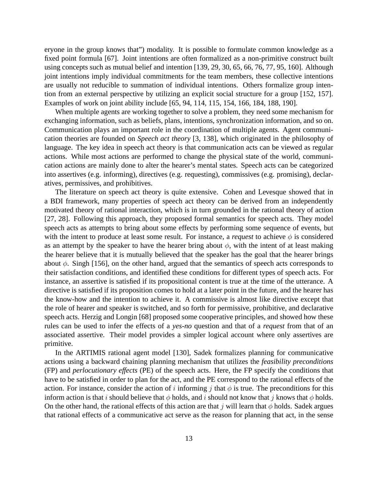eryone in the group knows that") modality. It is possible to formulate common knowledge as a fixed point formula [67]. Joint intentions are often formalized as a non-primitive construct built using concepts such as mutual belief and intention [139, 29, 30, 65, 66, 76, 77, 95, 160]. Although joint intentions imply individual commitments for the team members, these collective intentions are usually not reducible to summation of individual intentions. Others formalize group intention from an external perspective by utilizing an explicit social structure for a group [152, 157]. Examples of work on joint ability include [65, 94, 114, 115, 154, 166, 184, 188, 190].

When multiple agents are working together to solve a problem, they need some mechanism for exchanging information, such as beliefs, plans, intentions, synchronization information, and so on. Communication plays an important role in the coordination of multiple agents. Agent communication theories are founded on *Speech act theory* [3, 138], which originated in the philosophy of language. The key idea in speech act theory is that communication acts can be viewed as regular actions. While most actions are performed to change the physical state of the world, communication actions are mainly done to alter the hearer's mental states. Speech acts can be categorized into assertives (e.g. informing), directives (e.g. requesting), commissives (e.g. promising), declaratives, permissives, and prohibitives.

The literature on speech act theory is quite extensive. Cohen and Levesque showed that in a BDI framework, many properties of speech act theory can be derived from an independently motivated theory of rational interaction, which is in turn grounded in the rational theory of action [27, 28]. Following this approach, they proposed formal semantics for speech acts. They model speech acts as attempts to bring about some effects by performing some sequence of events, but with the intent to produce at least some result. For instance, a *request* to achieve  $\phi$  is considered as an attempt by the speaker to have the hearer bring about  $\phi$ , with the intent of at least making the hearer believe that it is mutually believed that the speaker has the goal that the hearer brings about  $\phi$ . Singh [156], on the other hand, argued that the semantics of speech acts corresponds to their satisfaction conditions, and identified these conditions for different types of speech acts. For instance, an assertive is satisfied if its propositional content is true at the time of the utterance. A directive is satisfied if its proposition comes to hold at a later point in the future, and the hearer has the know-how and the intention to achieve it. A commissive is almost like directive except that the role of hearer and speaker is switched, and so forth for permissive, prohibitive, and declarative speech acts. Herzig and Longin [68] proposed some cooperative principles, and showed how these rules can be used to infer the effects of a *yes-no* question and that of a *request* from that of an associated assertive. Their model provides a simpler logical account where only assertives are primitive.

In the ARTIMIS rational agent model [130], Sadek formalizes planning for communicative actions using a backward chaining planning mechanism that utilizes the *feasibility preconditions* (FP) and *perlocutionary effects* (PE) of the speech acts. Here, the FP specify the conditions that have to be satisfied in order to plan for the act, and the PE correspond to the rational effects of the action. For instance, consider the action of i informing j that  $\phi$  is true. The preconditions for this inform action is that i should believe that  $\phi$  holds, and i should not know that j knows that  $\phi$  holds. On the other hand, the rational effects of this action are that j will learn that  $\phi$  holds. Sadek argues that rational effects of a communicative act serve as the reason for planning that act, in the sense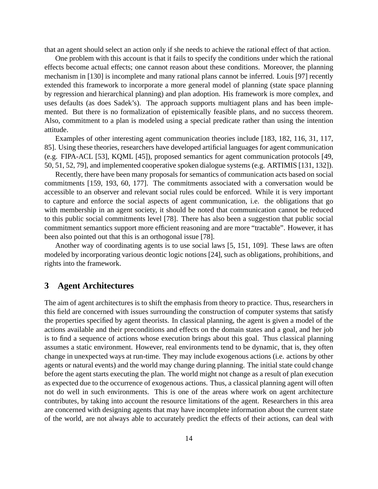that an agent should select an action only if she needs to achieve the rational effect of that action.

One problem with this account is that it fails to specify the conditions under which the rational effects become actual effects; one cannot reason about these conditions. Moreover, the planning mechanism in [130] is incomplete and many rational plans cannot be inferred. Louis [97] recently extended this framework to incorporate a more general model of planning (state space planning by regression and hierarchical planning) and plan adoption. His framework is more complex, and uses defaults (as does Sadek's). The approach supports multiagent plans and has been implemented. But there is no formalization of epistemically feasible plans, and no success theorem. Also, commitment to a plan is modeled using a special predicate rather than using the intention attitude.

Examples of other interesting agent communication theories include [183, 182, 116, 31, 117, 85]. Using these theories, researchers have developed artificial languages for agent communication (e.g. FIPA-ACL [53], KQML [45]), proposed semantics for agent communication protocols [49, 50, 51, 52, 79], and implemented cooperative spoken dialogue systems (e.g. ARTIMIS [131, 132]).

Recently, there have been many proposals for semantics of communication acts based on social commitments [159, 193, 60, 177]. The commitments associated with a conversation would be accessible to an observer and relevant social rules could be enforced. While it is very important to capture and enforce the social aspects of agent communication, i.e. the obligations that go with membership in an agent society, it should be noted that communication cannot be reduced to this public social commitments level [78]. There has also been a suggestion that public social commitment semantics support more efficient reasoning and are more "tractable". However, it has been also pointed out that this is an orthogonal issue [78].

Another way of coordinating agents is to use social laws [5, 151, 109]. These laws are often modeled by incorporating various deontic logic notions [24], such as obligations, prohibitions, and rights into the framework.

# **3 Agent Architectures**

The aim of agent architectures is to shift the emphasis from theory to practice. Thus, researchers in this field are concerned with issues surrounding the construction of computer systems that satisfy the properties specified by agent theorists. In classical planning, the agent is given a model of the actions available and their preconditions and effects on the domain states and a goal, and her job is to find a sequence of actions whose execution brings about this goal. Thus classical planning assumes a static environment. However, real environments tend to be dynamic, that is, they often change in unexpected ways at run-time. They may include exogenous actions (i.e. actions by other agents or natural events) and the world may change during planning. The initial state could change before the agent starts executing the plan. The world might not change as a result of plan execution as expected due to the occurrence of exogenous actions. Thus, a classical planning agent will often not do well in such environments. This is one of the areas where work on agent architecture contributes, by taking into account the resource limitations of the agent. Researchers in this area are concerned with designing agents that may have incomplete information about the current state of the world, are not always able to accurately predict the effects of their actions, can deal with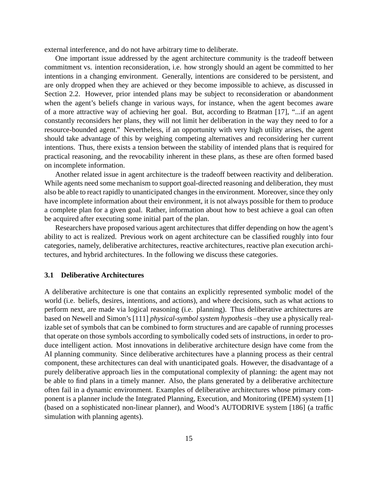external interference, and do not have arbitrary time to deliberate.

One important issue addressed by the agent architecture community is the tradeoff between commitment vs. intention reconsideration, i.e. how strongly should an agent be committed to her intentions in a changing environment. Generally, intentions are considered to be persistent, and are only dropped when they are achieved or they become impossible to achieve, as discussed in Section 2.2. However, prior intended plans may be subject to reconsideration or abandonment when the agent's beliefs change in various ways, for instance, when the agent becomes aware of a more attractive way of achieving her goal. But, according to Bratman [17], "...if an agent constantly reconsiders her plans, they will not limit her deliberation in the way they need to for a resource-bounded agent." Nevertheless, if an opportunity with very high utility arises, the agent should take advantage of this by weighing competing alternatives and reconsidering her current intentions. Thus, there exists a tension between the stability of intended plans that is required for practical reasoning, and the revocability inherent in these plans, as these are often formed based on incomplete information.

Another related issue in agent architecture is the tradeoff between reactivity and deliberation. While agents need some mechanism to support goal-directed reasoning and deliberation, they must also be able to react rapidly to unanticipated changes in the environment. Moreover, since they only have incomplete information about their environment, it is not always possible for them to produce a complete plan for a given goal. Rather, information about how to best achieve a goal can often be acquired after executing some initial part of the plan.

Researchers have proposed various agent architectures that differ depending on how the agent's ability to act is realized. Previous work on agent architecture can be classified roughly into four categories, namely, deliberative architectures, reactive architectures, reactive plan execution architectures, and hybrid architectures. In the following we discuss these categories.

## **3.1 Deliberative Architectures**

A deliberative architecture is one that contains an explicitly represented symbolic model of the world (i.e. beliefs, desires, intentions, and actions), and where decisions, such as what actions to perform next, are made via logical reasoning (i.e. planning). Thus deliberative architectures are based on Newell and Simon's [111] *physical-symbol system hypothesis* –they use a physically realizable set of symbols that can be combined to form structures and are capable of running processes that operate on those symbols according to symbolically coded sets of instructions, in order to produce intelligent action. Most innovations in deliberative architecture design have come from the AI planning community. Since deliberative architectures have a planning process as their central component, these architectures can deal with unanticipated goals. However, the disadvantage of a purely deliberative approach lies in the computational complexity of planning: the agent may not be able to find plans in a timely manner. Also, the plans generated by a deliberative architecture often fail in a dynamic environment. Examples of deliberative architectures whose primary component is a planner include the Integrated Planning, Execution, and Monitoring (IPEM) system [1] (based on a sophisticated non-linear planner), and Wood's AUTODRIVE system [186] (a traffic simulation with planning agents).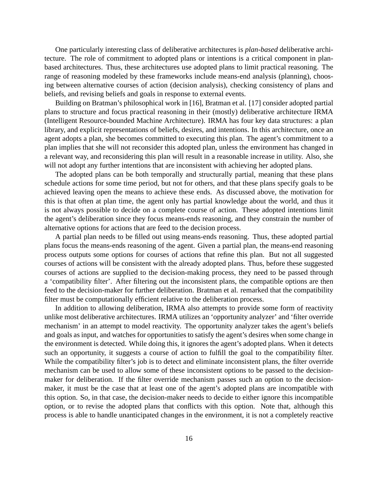One particularly interesting class of deliberative architectures is *plan-based* deliberative architecture. The role of commitment to adopted plans or intentions is a critical component in planbased architectures. Thus, these architectures use adopted plans to limit practical reasoning. The range of reasoning modeled by these frameworks include means-end analysis (planning), choosing between alternative courses of action (decision analysis), checking consistency of plans and beliefs, and revising beliefs and goals in response to external events.

Building on Bratman's philosophical work in [16], Bratman et al. [17] consider adopted partial plans to structure and focus practical reasoning in their (mostly) deliberative architecture IRMA (Intelligent Resource-bounded Machine Architecture). IRMA has four key data structures: a plan library, and explicit representations of beliefs, desires, and intentions. In this architecture, once an agent adopts a plan, she becomes committed to executing this plan. The agent's commitment to a plan implies that she will not reconsider this adopted plan, unless the environment has changed in a relevant way, and reconsidering this plan will result in a reasonable increase in utility. Also, she will not adopt any further intentions that are inconsistent with achieving her adopted plans.

The adopted plans can be both temporally and structurally partial, meaning that these plans schedule actions for some time period, but not for others, and that these plans specify goals to be achieved leaving open the means to achieve these ends. As discussed above, the motivation for this is that often at plan time, the agent only has partial knowledge about the world, and thus it is not always possible to decide on a complete course of action. These adopted intentions limit the agent's deliberation since they focus means-ends reasoning, and they constrain the number of alternative options for actions that are feed to the decision process.

A partial plan needs to be filled out using means-ends reasoning. Thus, these adopted partial plans focus the means-ends reasoning of the agent. Given a partial plan, the means-end reasoning process outputs some options for courses of actions that refine this plan. But not all suggested courses of actions will be consistent with the already adopted plans. Thus, before these suggested courses of actions are supplied to the decision-making process, they need to be passed through a 'compatibility filter'. After filtering out the inconsistent plans, the compatible options are then feed to the decision-maker for further deliberation. Bratman et al. remarked that the compatibility filter must be computationally efficient relative to the deliberation process.

In addition to allowing deliberation, IRMA also attempts to provide some form of reactivity unlike most deliberative architectures. IRMA utilizes an 'opportunity analyzer' and 'filter override mechanism' in an attempt to model reactivity. The opportunity analyzer takes the agent's beliefs and goals as input, and watches for opportunities to satisfy the agent's desires when some change in the environment is detected. While doing this, it ignores the agent's adopted plans. When it detects such an opportunity, it suggests a course of action to fulfill the goal to the compatibility filter. While the compatibility filter's job is to detect and eliminate inconsistent plans, the filter override mechanism can be used to allow some of these inconsistent options to be passed to the decisionmaker for deliberation. If the filter override mechanism passes such an option to the decisionmaker, it must be the case that at least one of the agent's adopted plans are incompatible with this option. So, in that case, the decision-maker needs to decide to either ignore this incompatible option, or to revise the adopted plans that conflicts with this option. Note that, although this process is able to handle unanticipated changes in the environment, it is not a completely reactive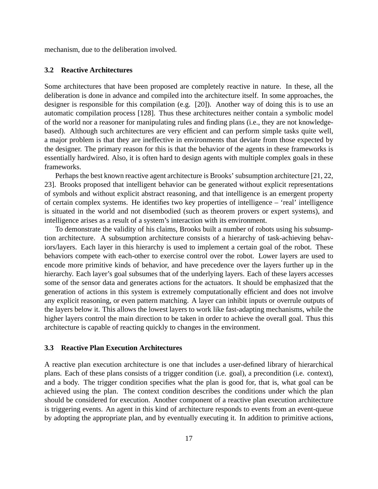mechanism, due to the deliberation involved.

#### **3.2 Reactive Architectures**

Some architectures that have been proposed are completely reactive in nature. In these, all the deliberation is done in advance and compiled into the architecture itself. In some approaches, the designer is responsible for this compilation (e.g. [20]). Another way of doing this is to use an automatic compilation process [128]. Thus these architectures neither contain a symbolic model of the world nor a reasoner for manipulating rules and finding plans (i.e., they are not knowledgebased). Although such architectures are very efficient and can perform simple tasks quite well, a major problem is that they are ineffective in environments that deviate from those expected by the designer. The primary reason for this is that the behavior of the agents in these frameworks is essentially hardwired. Also, it is often hard to design agents with multiple complex goals in these frameworks.

Perhaps the best known reactive agent architecture is Brooks' subsumption architecture [21, 22, 23]. Brooks proposed that intelligent behavior can be generated without explicit representations of symbols and without explicit abstract reasoning, and that intelligence is an emergent property of certain complex systems. He identifies two key properties of intelligence – 'real' intelligence is situated in the world and not disembodied (such as theorem provers or expert systems), and intelligence arises as a result of a system's interaction with its environment.

To demonstrate the validity of his claims, Brooks built a number of robots using his subsumption architecture. A subsumption architecture consists of a hierarchy of task-achieving behaviors/layers. Each layer in this hierarchy is used to implement a certain goal of the robot. These behaviors compete with each-other to exercise control over the robot. Lower layers are used to encode more primitive kinds of behavior, and have precedence over the layers further up in the hierarchy. Each layer's goal subsumes that of the underlying layers. Each of these layers accesses some of the sensor data and generates actions for the actuators. It should be emphasized that the generation of actions in this system is extremely computationally efficient and does not involve any explicit reasoning, or even pattern matching. A layer can inhibit inputs or overrule outputs of the layers below it. This allows the lowest layers to work like fast-adapting mechanisms, while the higher layers control the main direction to be taken in order to achieve the overall goal. Thus this architecture is capable of reacting quickly to changes in the environment.

# **3.3 Reactive Plan Execution Architectures**

A reactive plan execution architecture is one that includes a user-defined library of hierarchical plans. Each of these plans consists of a trigger condition (i.e. goal), a precondition (i.e. context), and a body. The trigger condition specifies what the plan is good for, that is, what goal can be achieved using the plan. The context condition describes the conditions under which the plan should be considered for execution. Another component of a reactive plan execution architecture is triggering events. An agent in this kind of architecture responds to events from an event-queue by adopting the appropriate plan, and by eventually executing it. In addition to primitive actions,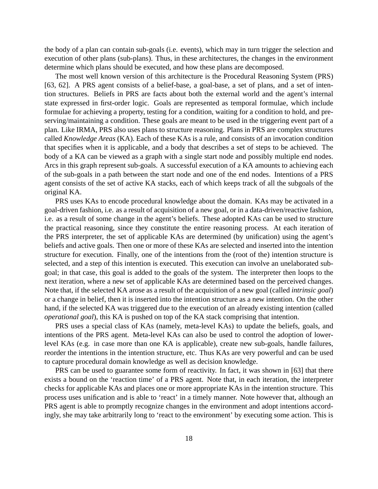the body of a plan can contain sub-goals (i.e. events), which may in turn trigger the selection and execution of other plans (sub-plans). Thus, in these architectures, the changes in the environment determine which plans should be executed, and how these plans are decomposed.

The most well known version of this architecture is the Procedural Reasoning System (PRS) [63, 62]. A PRS agent consists of a belief-base, a goal-base, a set of plans, and a set of intention structures. Beliefs in PRS are facts about both the external world and the agent's internal state expressed in first-order logic. Goals are represented as temporal formulae, which include formulae for achieving a property, testing for a condition, waiting for a condition to hold, and preserving/maintaining a condition. These goals are meant to be used in the triggering event part of a plan. Like IRMA, PRS also uses plans to structure reasoning. Plans in PRS are complex structures called *Knowledge Areas* (KA). Each of these KAs is a rule, and consists of an invocation condition that specifies when it is applicable, and a body that describes a set of steps to be achieved. The body of a KA can be viewed as a graph with a single start node and possibly multiple end nodes. Arcs in this graph represent sub-goals. A successful execution of a KA amounts to achieving each of the sub-goals in a path between the start node and one of the end nodes. Intentions of a PRS agent consists of the set of active KA stacks, each of which keeps track of all the subgoals of the original KA.

PRS uses KAs to encode procedural knowledge about the domain. KAs may be activated in a goal-driven fashion, i.e. as a result of acquisition of a new goal, or in a data-driven/reactive fashion, i.e. as a result of some change in the agent's beliefs. These adopted KAs can be used to structure the practical reasoning, since they constitute the entire reasoning process. At each iteration of the PRS interpreter, the set of applicable KAs are determined (by unification) using the agent's beliefs and active goals. Then one or more of these KAs are selected and inserted into the intention structure for execution. Finally, one of the intentions from the (root of the) intention structure is selected, and a step of this intention is executed. This execution can involve an unelaborated subgoal; in that case, this goal is added to the goals of the system. The interpreter then loops to the next iteration, where a new set of applicable KAs are determined based on the perceived changes. Note that, if the selected KA arose as a result of the acquisition of a new goal (called *intrinsic goal*) or a change in belief, then it is inserted into the intention structure as a new intention. On the other hand, if the selected KA was triggered due to the execution of an already existing intention (called *operational goal*), this KA is pushed on top of the KA stack comprising that intention.

PRS uses a special class of KAs (namely, meta-level KAs) to update the beliefs, goals, and intentions of the PRS agent. Meta-level KAs can also be used to control the adoption of lowerlevel KAs (e.g. in case more than one KA is applicable), create new sub-goals, handle failures, reorder the intentions in the intention structure, etc. Thus KAs are very powerful and can be used to capture procedural domain knowledge as well as decision knowledge.

PRS can be used to guarantee some form of reactivity. In fact, it was shown in [63] that there exists a bound on the 'reaction time' of a PRS agent. Note that, in each iteration, the interpreter checks for applicable KAs and places one or more appropriate KAs in the intention structure. This process uses unification and is able to 'react' in a timely manner. Note however that, although an PRS agent is able to promptly recognize changes in the environment and adopt intentions accordingly, she may take arbitrarily long to 'react to the environment' by executing some action. This is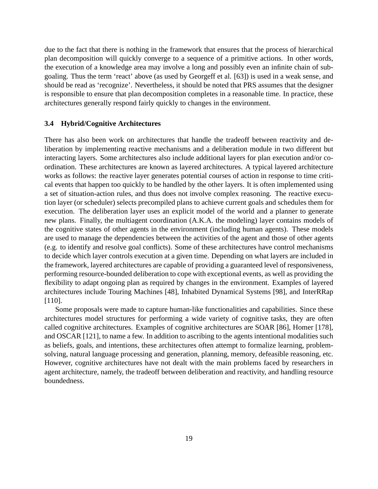due to the fact that there is nothing in the framework that ensures that the process of hierarchical plan decomposition will quickly converge to a sequence of a primitive actions. In other words, the execution of a knowledge area may involve a long and possibly even an infinite chain of subgoaling. Thus the term 'react' above (as used by Georgeff et al. [63]) is used in a weak sense, and should be read as 'recognize'. Nevertheless, it should be noted that PRS assumes that the designer is responsible to ensure that plan decomposition completes in a reasonable time. In practice, these architectures generally respond fairly quickly to changes in the environment.

## **3.4 Hybrid/Cognitive Architectures**

There has also been work on architectures that handle the tradeoff between reactivity and deliberation by implementing reactive mechanisms and a deliberation module in two different but interacting layers. Some architectures also include additional layers for plan execution and/or coordination. These architectures are known as layered architectures. A typical layered architecture works as follows: the reactive layer generates potential courses of action in response to time critical events that happen too quickly to be handled by the other layers. It is often implemented using a set of situation-action rules, and thus does not involve complex reasoning. The reactive execution layer (or scheduler) selects precompiled plans to achieve current goals and schedules them for execution. The deliberation layer uses an explicit model of the world and a planner to generate new plans. Finally, the multiagent coordination (A.K.A. the modeling) layer contains models of the cognitive states of other agents in the environment (including human agents). These models are used to manage the dependencies between the activities of the agent and those of other agents (e.g. to identify and resolve goal conflicts). Some of these architectures have control mechanisms to decide which layer controls execution at a given time. Depending on what layers are included in the framework, layered architectures are capable of providing a guaranteed level of responsiveness, performing resource-bounded deliberation to cope with exceptional events, as well as providing the flexibility to adapt ongoing plan as required by changes in the environment. Examples of layered architectures include Touring Machines [48], Inhabited Dynamical Systems [98], and InterRRap [110].

Some proposals were made to capture human-like functionalities and capabilities. Since these architectures model structures for performing a wide variety of cognitive tasks, they are often called cognitive architectures. Examples of cognitive architectures are SOAR [86], Homer [178], and OSCAR [121], to name a few. In addition to ascribing to the agents intentional modalities such as beliefs, goals, and intentions, these architectures often attempt to formalize learning, problemsolving, natural language processing and generation, planning, memory, defeasible reasoning, etc. However, cognitive architectures have not dealt with the main problems faced by researchers in agent architecture, namely, the tradeoff between deliberation and reactivity, and handling resource boundedness.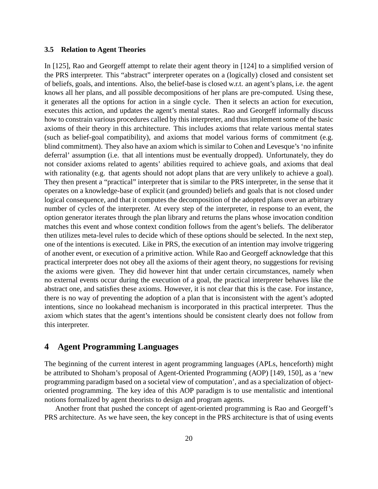#### **3.5 Relation to Agent Theories**

In [125], Rao and Georgeff attempt to relate their agent theory in [124] to a simplified version of the PRS interpreter. This "abstract" interpreter operates on a (logically) closed and consistent set of beliefs, goals, and intentions. Also, the belief-base is closed w.r.t. an agent's plans, i.e. the agent knows all her plans, and all possible decompositions of her plans are pre-computed. Using these, it generates all the options for action in a single cycle. Then it selects an action for execution, executes this action, and updates the agent's mental states. Rao and Georgeff informally discuss how to constrain various procedures called by this interpreter, and thus implement some of the basic axioms of their theory in this architecture. This includes axioms that relate various mental states (such as belief-goal compatibility), and axioms that model various forms of commitment (e.g. blind commitment). They also have an axiom which is similar to Cohen and Levesque's 'no infinite deferral' assumption (i.e. that all intentions must be eventually dropped). Unfortunately, they do not consider axioms related to agents' abilities required to achieve goals, and axioms that deal with rationality (e.g. that agents should not adopt plans that are very unlikely to achieve a goal). They then present a "practical" interpreter that is similar to the PRS interpreter, in the sense that it operates on a knowledge-base of explicit (and grounded) beliefs and goals that is not closed under logical consequence, and that it computes the decomposition of the adopted plans over an arbitrary number of cycles of the interpreter. At every step of the interpreter, in response to an event, the option generator iterates through the plan library and returns the plans whose invocation condition matches this event and whose context condition follows from the agent's beliefs. The deliberator then utilizes meta-level rules to decide which of these options should be selected. In the next step, one of the intentions is executed. Like in PRS, the execution of an intention may involve triggering of another event, or execution of a primitive action. While Rao and Georgeff acknowledge that this practical interpreter does not obey all the axioms of their agent theory, no suggestions for revising the axioms were given. They did however hint that under certain circumstances, namely when no external events occur during the execution of a goal, the practical interpreter behaves like the abstract one, and satisfies these axioms. However, it is not clear that this is the case. For instance, there is no way of preventing the adoption of a plan that is inconsistent with the agent's adopted intentions, since no lookahead mechanism is incorporated in this practical interpreter. Thus the axiom which states that the agent's intentions should be consistent clearly does not follow from this interpreter.

# **4 Agent Programming Languages**

The beginning of the current interest in agent programming languages (APLs, henceforth) might be attributed to Shoham's proposal of Agent-Oriented Programming (AOP) [149, 150], as a 'new programming paradigm based on a societal view of computation', and as a specialization of objectoriented programming. The key idea of this AOP paradigm is to use mentalistic and intentional notions formalized by agent theorists to design and program agents.

Another front that pushed the concept of agent-oriented programming is Rao and Georgeff's PRS architecture. As we have seen, the key concept in the PRS architecture is that of using events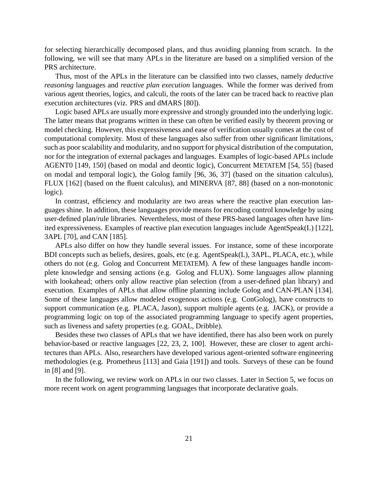for selecting hierarchically decomposed plans, and thus avoiding planning from scratch. In the following, we will see that many APLs in the literature are based on a simplified version of the PRS architecture.

Thus, most of the APLs in the literature can be classified into two classes, namely *deductive reasoning* languages and *reactive plan execution* languages. While the former was derived from various agent theories, logics, and calculi, the roots of the later can be traced back to reactive plan execution architectures (viz. PRS and dMARS [80]).

Logic based APLs are usually more expressive and strongly grounded into the underlying logic. The latter means that programs written in these can often be verified easily by theorem proving or model checking. However, this expressiveness and ease of verification usually comes at the cost of computational complexity. Most of these languages also suffer from other significant limitations, such as poor scalability and modularity, and no support for physical distribution of the computation, nor for the integration of external packages and languages. Examples of logic-based APLs include AGENT0 [149, 150] (based on modal and deontic logic), Concurrent METATEM [54, 55] (based on modal and temporal logic), the Golog family [96, 36, 37] (based on the situation calculus), FLUX [162] (based on the fluent calculus), and MINERVA [87, 88] (based on a non-monotonic logic).

In contrast, efficiency and modularity are two areas where the reactive plan execution languages shine. In addition, these languages provide means for encoding control knowledge by using user-defined plan/rule libraries. Nevertheless, most of these PRS-based languages often have limited expressiveness. Examples of reactive plan execution languages include AgentSpeak(L) [122], 3APL [70], and CAN [185].

APLs also differ on how they handle several issues. For instance, some of these incorporate BDI concepts such as beliefs, desires, goals, etc (e.g. AgentSpeak(L), 3APL, PLACA, etc.), while others do not (e.g. Golog and Concurrent METATEM). A few of these languages handle incomplete knowledge and sensing actions (e.g. Golog and FLUX). Some languages allow planning with lookahead; others only allow reactive plan selection (from a user-defined plan library) and execution. Examples of APLs that allow offline planning include Golog and CAN-PLAN [134]. Some of these languages allow modeled exogenous actions (e.g. ConGolog), have constructs to support communication (e.g. PLACA, Jason), support multiple agents (e.g. JACK), or provide a programming logic on top of the associated programming language to specify agent properties, such as liveness and safety properties (e.g. GOAL, Dribble).

Besides these two classes of APLs that we have identified, there has also been work on purely behavior-based or reactive languages [22, 23, 2, 100]. However, these are closer to agent architectures than APLs. Also, researchers have developed various agent-oriented software engineering methodologies (e.g. Prometheus [113] and Gaia [191]) and tools. Surveys of these can be found in [8] and [9].

In the following, we review work on APLs in our two classes. Later in Section 5, we focus on more recent work on agent programming languages that incorporate declarative goals.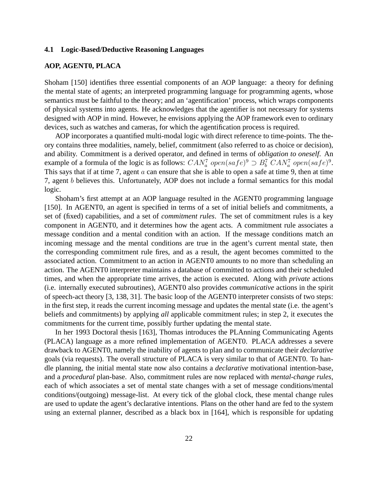#### **4.1 Logic-Based/Deductive Reasoning Languages**

# **AOP, AGENT0, PLACA**

Shoham [150] identifies three essential components of an AOP language: a theory for defining the mental state of agents; an interpreted programming language for programming agents, whose semantics must be faithful to the theory; and an 'agentification' process, which wraps components of physical systems into agents. He acknowledges that the agentifier is not necessary for systems designed with AOP in mind. However, he envisions applying the AOP framework even to ordinary devices, such as watches and cameras, for which the agentification process is required.

AOP incorporates a quantified multi-modal logic with direct reference to time-points. The theory contains three modalities, namely, belief, commitment (also referred to as choice or decision), and ability. Commitment is a derived operator, and defined in terms of *obligation to oneself*. An example of a formula of the logic is as follows:  $CAN_a^7$  open(safe)<sup>9</sup>  $\supset B_b^7$   $CAN_a^7$  open(safe)<sup>9</sup>. This says that if at time 7, agent  $a$  can ensure that she is able to open a safe at time 9, then at time 7, agent b believes this. Unfortunately, AOP does not include a formal semantics for this modal logic.

Shoham's first attempt at an AOP language resulted in the AGENT0 programming language [150]. In AGENT0, an agent is specified in terms of a set of initial beliefs and commitments, a set of (fixed) capabilities, and a set of *commitment rules*. The set of commitment rules is a key component in AGENT0, and it determines how the agent acts. A commitment rule associates a message condition and a mental condition with an action. If the message conditions match an incoming message and the mental conditions are true in the agent's current mental state, then the corresponding commitment rule fires, and as a result, the agent becomes committed to the associated action. Commitment to an action in AGENT0 amounts to no more than scheduling an action. The AGENT0 interpreter maintains a database of committed to actions and their scheduled times, and when the appropriate time arrives, the action is executed. Along with *private* actions (i.e. internally executed subroutines), AGENT0 also provides *communicative* actions in the spirit of speech-act theory [3, 138, 31]. The basic loop of the AGENT0 interpreter consists of two steps: in the first step, it reads the current incoming message and updates the mental state (i.e. the agent's beliefs and commitments) by applying *all* applicable commitment rules; in step 2, it executes the commitments for the current time, possibly further updating the mental state.

In her 1993 Doctoral thesis [163], Thomas introduces the PLAnning Communicating Agents (PLACA) language as a more refined implementation of AGENT0. PLACA addresses a severe drawback to AGENT0, namely the inability of agents to plan and to communicate their *declarative* goals (via requests). The overall structure of PLACA is very similar to that of AGENT0. To handle planning, the initial mental state now also contains a *declarative* motivational intention-base, and a *procedural* plan-base. Also, commitment rules are now replaced with *mental-change rules*, each of which associates a set of mental state changes with a set of message conditions/mental conditions/(outgoing) message-list. At every tick of the global clock, these mental change rules are used to update the agent's declarative intentions. Plans on the other hand are fed to the system using an external planner, described as a black box in [164], which is responsible for updating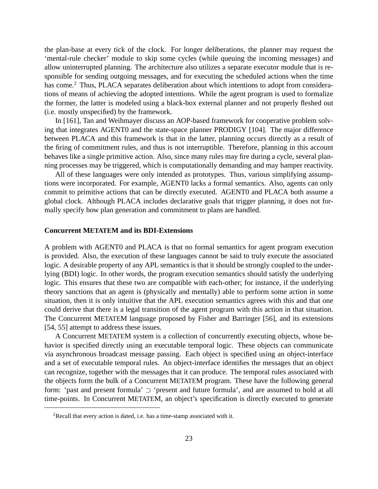the plan-base at every tick of the clock. For longer deliberations, the planner may request the 'mental-rule checker' module to skip some cycles (while queuing the incoming messages) and allow uninterrupted planning. The architecture also utilizes a separate executor module that is responsible for sending outgoing messages, and for executing the scheduled actions when the time has come.<sup>2</sup> Thus, PLACA separates deliberation about which intentions to adopt from considerations of means of achieving the adopted intentions. While the agent program is used to formalize the former, the latter is modeled using a black-box external planner and not properly fleshed out (i.e. mostly unspecified) by the framework.

In [161], Tan and Weihmayer discuss an AOP-based framework for cooperative problem solving that integrates AGENT0 and the state-space planner PRODIGY [104]. The major difference between PLACA and this framework is that in the latter, planning occurs directly as a result of the firing of commitment rules, and thus is not interruptible. Therefore, planning in this account behaves like a single primitive action. Also, since many rules may fire during a cycle, several planning processes may be triggered, which is computationally demanding and may hamper reactivity.

All of these languages were only intended as prototypes. Thus, various simplifying assumptions were incorporated. For example, AGENT0 lacks a formal semantics. Also, agents can only commit to primitive actions that can be directly executed. AGENT0 and PLACA both assume a global clock. Although PLACA includes declarative goals that trigger planning, it does not formally specify how plan generation and commitment to plans are handled.

## **Concurrent METATEM and its BDI-Extensions**

A problem with AGENT0 and PLACA is that no formal semantics for agent program execution is provided. Also, the execution of these languages cannot be said to truly execute the associated logic. A desirable property of any APL semantics is that it should be strongly coupled to the underlying (BDI) logic. In other words, the program execution semantics should satisfy the underlying logic. This ensures that these two are compatible with each-other; for instance, if the underlying theory sanctions that an agent is (physically and mentally) able to perform some action in some situation, then it is only intuitive that the APL execution semantics agrees with this and that one could derive that there is a legal transition of the agent program with this action in that situation. The Concurrent METATEM language proposed by Fisher and Barringer [56], and its extensions [54, 55] attempt to address these issues.

A Concurrent METATEM system is a collection of concurrently executing objects, whose behavior is specified directly using an executable temporal logic. These objects can communicate via asynchronous broadcast message passing. Each object is specified using an object-interface and a set of executable temporal rules. An object-interface identifies the messages that an object can recognize, together with the messages that it can produce. The temporal rules associated with the objects form the bulk of a Concurrent METATEM program. These have the following general form: 'past and present formula' ⊃ 'present and future formula', and are assumed to hold at all time-points. In Concurrent METATEM, an object's specification is directly executed to generate

<sup>2</sup>Recall that every action is dated, i.e. has a time-stamp associated with it.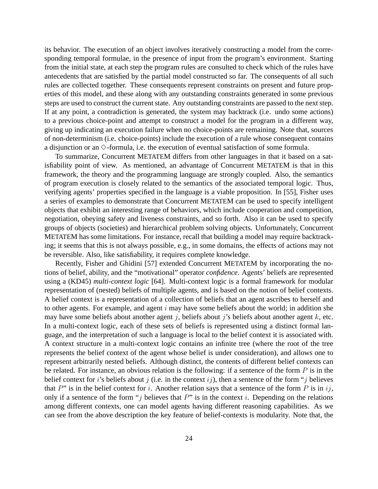its behavior. The execution of an object involves iteratively constructing a model from the corresponding temporal formulae, in the presence of input from the program's environment. Starting from the initial state, at each step the program rules are consulted to check which of the rules have antecedents that are satisfied by the partial model constructed so far. The consequents of all such rules are collected together. These consequents represent constraints on present and future properties of this model, and these along with any outstanding constraints generated in some previous steps are used to construct the current state. Any outstanding constraints are passed to the next step. If at any point, a contradiction is generated, the system may backtrack (i.e. undo some actions) to a previous choice-point and attempt to construct a model for the program in a different way, giving up indicating an execution failure when no choice-points are remaining. Note that, sources of non-determinism (i.e. choice-points) include the execution of a rule whose consequent contains a disjunction or an  $\Diamond$ -formula, i.e. the execution of eventual satisfaction of some formula.

To summarize, Concurrent METATEM differs from other languages in that it based on a satisfiability point of view. As mentioned, an advantage of Concurrent METATEM is that in this framework, the theory and the programming language are strongly coupled. Also, the semantics of program execution is closely related to the semantics of the associated temporal logic. Thus, verifying agents' properties specified in the language is a viable proposition. In [55], Fisher uses a series of examples to demonstrate that Concurrent METATEM can be used to specify intelligent objects that exhibit an interesting range of behaviors, which include cooperation and competition, negotiation, obeying safety and liveness constraints, and so forth. Also it can be used to specify groups of objects (societies) and hierarchical problem solving objects. Unfortunately, Concurrent METATEM has some limitations. For instance, recall that building a model may require backtracking; it seems that this is not always possible, e.g., in some domains, the effects of actions may not be reversible. Also, like satisfiability, it requires complete knowledge.

Recently, Fisher and Ghidini [57] extended Concurrent METATEM by incorporating the notions of belief, ability, and the "motivational" operator *confidence*. Agents' beliefs are represented using a (KD45) *multi-context logic* [64]. Multi-context logic is a formal framework for modular representation of (nested) beliefs of multiple agents, and is based on the notion of belief contexts. A belief context is a representation of a collection of beliefs that an agent ascribes to herself and to other agents. For example, and agent  $i$  may have some beliefs about the world; in addition she may have some beliefs about another agent j, beliefs about j's beliefs about another agent  $k$ , etc. In a multi-context logic, each of these sets of beliefs is represented using a distinct formal language, and the interpretation of such a language is local to the belief context it is associated with. A context structure in a multi-context logic contains an infinite tree (where the root of the tree represents the belief context of the agent whose belief is under consideration), and allows one to represent arbitrarily nested beliefs. Although distinct, the contents of different belief contexts can be related. For instance, an obvious relation is the following: if a sentence of the form  $P$  is in the belief context for i's beliefs about j (i.e. in the context  $ij$ ), then a sentence of the form "j believes that  $P$ " is in the belief context for i. Another relation says that a sentence of the form  $P$  is in ij, only if a sentence of the form " $j$  believes that  $P$ " is in the context  $i$ . Depending on the relations among different contexts, one can model agents having different reasoning capabilities. As we can see from the above description the key feature of belief-contexts is modularity. Note that, the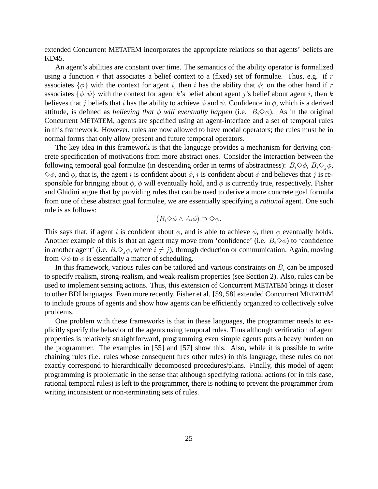extended Concurrent METATEM incorporates the appropriate relations so that agents' beliefs are KD45.

An agent's abilities are constant over time. The semantics of the ability operator is formalized using a function  $r$  that associates a belief context to a (fixed) set of formulae. Thus, e.g. if  $r$ associates  $\{\phi\}$  with the context for agent i, then i has the ability that  $\phi$ ; on the other hand if r associates  $\{\phi, \psi\}$  with the context for agent k's belief about agent j's belief about agent i, then k believes that j beliefs that i has the ability to achieve  $\phi$  and  $\psi$ . Confidence in  $\phi$ , which is a derived attitude, is defined as *believing that*  $\phi$  *will eventually happen* (i.e.  $B_i \Diamond \phi$ ). As in the original Concurrent METATEM, agents are specified using an agent-interface and a set of temporal rules in this framework. However, rules are now allowed to have modal operators; the rules must be in normal forms that only allow present and future temporal operators.

The key idea in this framework is that the language provides a mechanism for deriving concrete specification of motivations from more abstract ones. Consider the interaction between the following temporal goal formulae (in descending order in terms of abstractness):  $B_i \Diamond \phi$ ,  $B_i \Diamond_i \phi$ ,  $\Diamond \phi$ , and  $\phi$ , that is, the agent i is confident about  $\phi$ , i is confident about  $\phi$  and believes that j is responsible for bringing about  $\phi$ ,  $\phi$  will eventually hold, and  $\phi$  is currently true, respectively. Fisher and Ghidini argue that by providing rules that can be used to derive a more concrete goal formula from one of these abstract goal formulae, we are essentially specifying a *rational* agent. One such rule is as follows:

$$
(B_i \Diamond \phi \land A_i \phi) \supset \Diamond \phi.
$$

This says that, if agent i is confident about  $\phi$ , and is able to achieve  $\phi$ , then  $\phi$  eventually holds. Another example of this is that an agent may move from 'confidence' (i.e.  $B_i \diamond \phi$ ) to 'confidence in another agent' (i.e.  $B_i \diamond_j \phi$ , where  $i \neq j$ ), through deduction or communication. Again, moving from  $\diamond \phi$  to  $\phi$  is essentially a matter of scheduling.

In this framework, various rules can be tailored and various constraints on  $B_i$  can be imposed to specify realism, strong-realism, and weak-realism properties (see Section 2). Also, rules can be used to implement sensing actions. Thus, this extension of Concurrent METATEM brings it closer to other BDI languages. Even more recently, Fisher et al. [59, 58] extended Concurrent METATEM to include groups of agents and show how agents can be efficiently organized to collectively solve problems.

One problem with these frameworks is that in these languages, the programmer needs to explicitly specify the behavior of the agents using temporal rules. Thus although verification of agent properties is relatively straightforward, programming even simple agents puts a heavy burden on the programmer. The examples in [55] and [57] show this. Also, while it is possible to write chaining rules (i.e. rules whose consequent fires other rules) in this language, these rules do not exactly correspond to hierarchically decomposed procedures/plans. Finally, this model of agent programming is problematic in the sense that although specifying rational actions (or in this case, rational temporal rules) is left to the programmer, there is nothing to prevent the programmer from writing inconsistent or non-terminating sets of rules.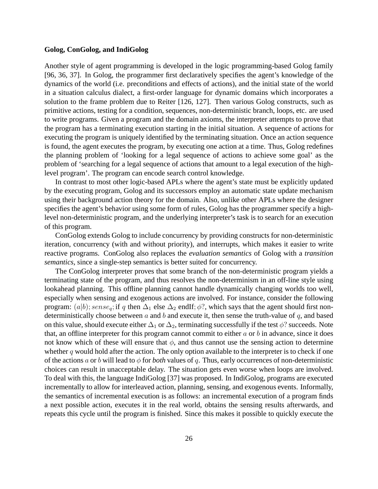# **Golog, ConGolog, and IndiGolog**

Another style of agent programming is developed in the logic programming-based Golog family [96, 36, 37]. In Golog, the programmer first declaratively specifies the agent's knowledge of the dynamics of the world (i.e. preconditions and effects of actions), and the initial state of the world in a situation calculus dialect, a first-order language for dynamic domains which incorporates a solution to the frame problem due to Reiter [126, 127]. Then various Golog constructs, such as primitive actions, testing for a condition, sequences, non-deterministic branch, loops, etc. are used to write programs. Given a program and the domain axioms, the interpreter attempts to prove that the program has a terminating execution starting in the initial situation. A sequence of actions for executing the program is uniquely identified by the terminating situation. Once an action sequence is found, the agent executes the program, by executing one action at a time. Thus, Golog redefines the planning problem of 'looking for a legal sequence of actions to achieve some goal' as the problem of 'searching for a legal sequence of actions that amount to a legal execution of the highlevel program'. The program can encode search control knowledge.

In contrast to most other logic-based APLs where the agent's state must be explicitly updated by the executing program, Golog and its successors employ an automatic state update mechanism using their background action theory for the domain. Also, unlike other APLs where the designer specifies the agent's behavior using some form of rules, Golog has the programmer specify a highlevel non-deterministic program, and the underlying interpreter's task is to search for an execution of this program.

ConGolog extends Golog to include concurrency by providing constructs for non-deterministic iteration, concurrency (with and without priority), and interrupts, which makes it easier to write reactive programs. ConGolog also replaces the *evaluation semantics* of Golog with a *transition semantics*, since a single-step semantics is better suited for concurrency.

The ConGolog interpreter proves that some branch of the non-deterministic program yields a terminating state of the program, and thus resolves the non-determinism in an off-line style using lookahead planning. This offline planning cannot handle dynamically changing worlds too well, especially when sensing and exogenous actions are involved. For instance, consider the following program:  $(a|b)$ ; sense<sub>q</sub>; if q then  $\Delta_1$  else  $\Delta_2$  endIf;  $\phi$ ?, which says that the agent should first nondeterministically choose between  $a$  and  $b$  and execute it, then sense the truth-value of  $q$ , and based on this value, should execute either  $\Delta_1$  or  $\Delta_2$ , terminating successfully if the test  $\phi$ ? succeeds. Note that, an offline interpreter for this program cannot commit to either  $a$  or  $b$  in advance, since it does not know which of these will ensure that  $\phi$ , and thus cannot use the sensing action to determine whether q would hold after the action. The only option available to the interpreter is to check if one of the actions a or b will lead to  $\phi$  for *both* values of q. Thus, early occurrences of non-deterministic choices can result in unacceptable delay. The situation gets even worse when loops are involved. To deal with this, the language IndiGolog [37] was proposed. In IndiGolog, programs are executed incrementally to allow for interleaved action, planning, sensing, and exogenous events. Informally, the semantics of incremental execution is as follows: an incremental execution of a program finds a next possible action, executes it in the real world, obtains the sensing results afterwards, and repeats this cycle until the program is finished. Since this makes it possible to quickly execute the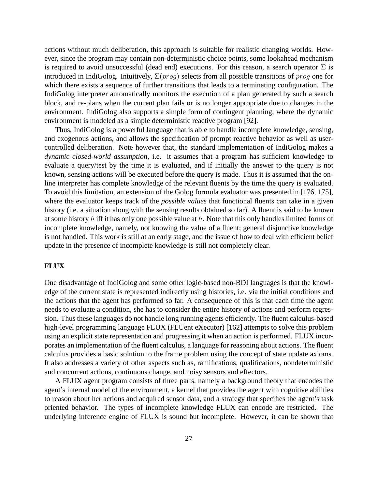actions without much deliberation, this approach is suitable for realistic changing worlds. However, since the program may contain non-deterministic choice points, some lookahead mechanism is required to avoid unsuccessful (dead end) executions. For this reason, a search operator  $\Sigma$  is introduced in IndiGolog. Intuitively,  $\Sigma(proq)$  selects from all possible transitions of prog one for which there exists a sequence of further transitions that leads to a terminating configuration. The IndiGolog interpreter automatically monitors the execution of a plan generated by such a search block, and re-plans when the current plan fails or is no longer appropriate due to changes in the environment. IndiGolog also supports a simple form of contingent planning, where the dynamic environment is modeled as a simple deterministic reactive program [92].

Thus, IndiGolog is a powerful language that is able to handle incomplete knowledge, sensing, and exogenous actions, and allows the specification of prompt reactive behavior as well as usercontrolled deliberation. Note however that, the standard implementation of IndiGolog makes a *dynamic closed-world assumption*, i.e. it assumes that a program has sufficient knowledge to evaluate a query/test by the time it is evaluated, and if initially the answer to the query is not known, sensing actions will be executed before the query is made. Thus it is assumed that the online interpreter has complete knowledge of the relevant fluents by the time the query is evaluated. To avoid this limitation, an extension of the Golog formula evaluator was presented in [176, 175], where the evaluator keeps track of the *possible values* that functional fluents can take in a given history (i.e. a situation along with the sensing results obtained so far). A fluent is said to be known at some history  $h$  iff it has only one possible value at  $h$ . Note that this only handles limited forms of incomplete knowledge, namely, not knowing the value of a fluent; general disjunctive knowledge is not handled. This work is still at an early stage, and the issue of how to deal with efficient belief update in the presence of incomplete knowledge is still not completely clear.

# **FLUX**

One disadvantage of IndiGolog and some other logic-based non-BDI languages is that the knowledge of the current state is represented indirectly using histories, i.e. via the initial conditions and the actions that the agent has performed so far. A consequence of this is that each time the agent needs to evaluate a condition, she has to consider the entire history of actions and perform regression. Thus these languages do not handle long running agents efficiently. The fluent calculus-based high-level programming language FLUX (FLUent eXecutor) [162] attempts to solve this problem using an explicit state representation and progressing it when an action is performed. FLUX incorporates an implementation of the fluent calculus, a language for reasoning about actions. The fluent calculus provides a basic solution to the frame problem using the concept of state update axioms. It also addresses a variety of other aspects such as, ramifications, qualifications, nondeterministic and concurrent actions, continuous change, and noisy sensors and effectors.

A FLUX agent program consists of three parts, namely a background theory that encodes the agent's internal model of the environment, a kernel that provides the agent with cognitive abilities to reason about her actions and acquired sensor data, and a strategy that specifies the agent's task oriented behavior. The types of incomplete knowledge FLUX can encode are restricted. The underlying inference engine of FLUX is sound but incomplete. However, it can be shown that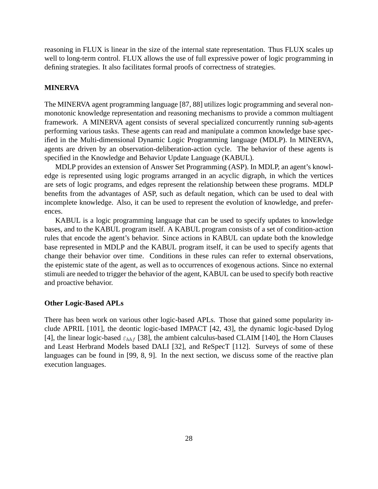reasoning in FLUX is linear in the size of the internal state representation. Thus FLUX scales up well to long-term control. FLUX allows the use of full expressive power of logic programming in defining strategies. It also facilitates formal proofs of correctness of strategies.

# **MINERVA**

The MINERVA agent programming language [87, 88] utilizes logic programming and several nonmonotonic knowledge representation and reasoning mechanisms to provide a common multiagent framework. A MINERVA agent consists of several specialized concurrently running sub-agents performing various tasks. These agents can read and manipulate a common knowledge base specified in the Multi-dimensional Dynamic Logic Programming language (MDLP). In MINERVA, agents are driven by an observation-deliberation-action cycle. The behavior of these agents is specified in the Knowledge and Behavior Update Language (KABUL).

MDLP provides an extension of Answer Set Programming (ASP). In MDLP, an agent's knowledge is represented using logic programs arranged in an acyclic digraph, in which the vertices are sets of logic programs, and edges represent the relationship between these programs. MDLP benefits from the advantages of ASP, such as default negation, which can be used to deal with incomplete knowledge. Also, it can be used to represent the evolution of knowledge, and preferences.

KABUL is a logic programming language that can be used to specify updates to knowledge bases, and to the KABUL program itself. A KABUL program consists of a set of condition-action rules that encode the agent's behavior. Since actions in KABUL can update both the knowledge base represented in MDLP and the KABUL program itself, it can be used to specify agents that change their behavior over time. Conditions in these rules can refer to external observations, the epistemic state of the agent, as well as to occurrences of exogenous actions. Since no external stimuli are needed to trigger the behavior of the agent, KABUL can be used to specify both reactive and proactive behavior.

#### **Other Logic-Based APLs**

There has been work on various other logic-based APLs. Those that gained some popularity include APRIL [101], the deontic logic-based IMPACT [42, 43], the dynamic logic-based Dylog [4], the linear logic-based  $\varepsilon_{hhf}$  [38], the ambient calculus-based CLAIM [140], the Horn Clauses and Least Herbrand Models based DALI [32], and ReSpecT [112]. Surveys of some of these languages can be found in [99, 8, 9]. In the next section, we discuss some of the reactive plan execution languages.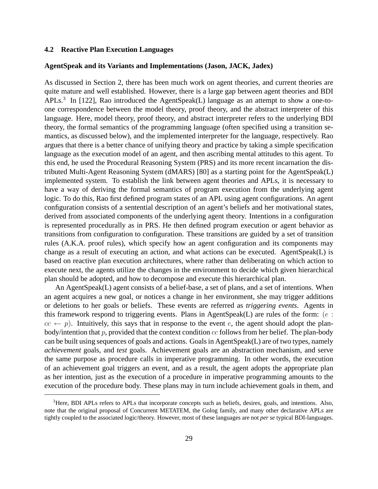# **4.2 Reactive Plan Execution Languages**

# **AgentSpeak and its Variants and Implementations (Jason, JACK, Jadex)**

As discussed in Section 2, there has been much work on agent theories, and current theories are quite mature and well established. However, there is a large gap between agent theories and BDI APLs.<sup>3</sup> In [122], Rao introduced the AgentSpeak(L) language as an attempt to show a one-toone correspondence between the model theory, proof theory, and the abstract interpreter of this language. Here, model theory, proof theory, and abstract interpreter refers to the underlying BDI theory, the formal semantics of the programming language (often specified using a transition semantics, as discussed below), and the implemented interpreter for the language, respectively. Rao argues that there is a better chance of unifying theory and practice by taking a simple specification language as the execution model of an agent, and then ascribing mental attitudes to this agent. To this end, he used the Procedural Reasoning System (PRS) and its more recent incarnation the distributed Multi-Agent Reasoning System (dMARS) [80] as a starting point for the AgentSpeak(L) implemented system. To establish the link between agent theories and APLs, it is necessary to have a way of deriving the formal semantics of program execution from the underlying agent logic. To do this, Rao first defined program states of an APL using agent configurations. An agent configuration consists of a sentential description of an agent's beliefs and her motivational states, derived from associated components of the underlying agent theory. Intentions in a configuration is represented procedurally as in PRS. He then defined program execution or agent behavior as transitions from configuration to configuration. These transitions are guided by a set of transition rules (A.K.A. proof rules), which specify how an agent configuration and its components may change as a result of executing an action, and what actions can be executed. AgentSpeak(L) is based on reactive plan execution architectures, where rather than deliberating on which action to execute next, the agents utilize the changes in the environment to decide which given hierarchical plan should be adopted, and how to decompose and execute this hierarchical plan.

An AgentSpeak(L) agent consists of a belief-base, a set of plans, and a set of intentions. When an agent acquires a new goal, or notices a change in her environment, she may trigger additions or deletions to her goals or beliefs. These events are referred as *triggering events*. Agents in this framework respond to triggering events. Plans in AgentSpeak(L) are rules of the form:  $(e :$  $cc \leftarrow p$ ). Intuitively, this says that in response to the event e, the agent should adopt the planbody/intention that  $p$ , provided that the context condition  $cc$  follows from her belief. The plan-body can be built using sequences of goals and actions. Goals in AgentSpeak(L) are of two types, namely *achievement* goals, and *test* goals. Achievement goals are an abstraction mechanism, and serve the same purpose as procedure calls in imperative programming. In other words, the execution of an achievement goal triggers an event, and as a result, the agent adopts the appropriate plan as her intention, just as the execution of a procedure in imperative programming amounts to the execution of the procedure body. These plans may in turn include achievement goals in them, and

<sup>&</sup>lt;sup>3</sup>Here, BDI APLs refers to APLs that incorporate concepts such as beliefs, desires, goals, and intentions. Also, note that the original proposal of Concurrent METATEM, the Golog family, and many other declarative APLs are tightly coupled to the associated logic/theory. However, most of these languages are not *per se* typical BDI-languages.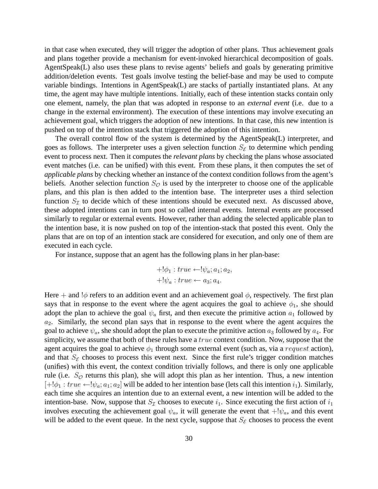in that case when executed, they will trigger the adoption of other plans. Thus achievement goals and plans together provide a mechanism for event-invoked hierarchical decomposition of goals. AgentSpeak(L) also uses these plans to revise agents' beliefs and goals by generating primitive addition/deletion events. Test goals involve testing the belief-base and may be used to compute variable bindings. Intentions in AgentSpeak(L) are stacks of partially instantiated plans. At any time, the agent may have multiple intentions. Initially, each of these intention stacks contain only one element, namely, the plan that was adopted in response to an *external event* (i.e. due to a change in the external environment). The execution of these intentions may involve executing an achievement goal, which triggers the adoption of new intentions. In that case, this new intention is pushed on top of the intention stack that triggered the adoption of this intention.

The overall control flow of the system is determined by the AgentSpeak(L) interpreter, and goes as follows. The interpreter uses a given selection function  $S_{\mathcal{E}}$  to determine which pending event to process next. Then it computes the *relevant plans* by checking the plans whose associated event matches (i.e. can be unified) with this event. From these plans, it then computes the set of *applicable plans* by checking whether an instance of the context condition follows from the agent's beliefs. Another selection function  $S_{\mathcal{O}}$  is used by the interpreter to choose one of the applicable plans, and this plan is then added to the intention base. The interpreter uses a third selection function  $S_{\mathcal{I}}$  to decide which of these intentions should be executed next. As discussed above, these adopted intentions can in turn post so called internal events. Internal events are processed similarly to regular or external events. However, rather than adding the selected applicable plan to the intention base, it is now pushed on top of the intention-stack that posted this event. Only the plans that are on top of an intention stack are considered for execution, and only one of them are executed in each cycle.

For instance, suppose that an agent has the following plans in her plan-base:

$$
+!\phi_1: true \leftarrow !\psi_a; a_1; a_2, +!\psi_a: true \leftarrow a_3; a_4.
$$

Here + and  $\phi$  refers to an addition event and an achievement goal  $\phi$ , respectively. The first plan says that in response to the event where the agent acquires the goal to achieve  $\phi_1$ , she should adopt the plan to achieve the goal  $\psi_a$  first, and then execute the primitive action  $a_1$  followed by  $a_2$ . Similarly, the second plan says that in response to the event where the agent acquires the goal to achieve  $\psi_a$ , she should adopt the plan to execute the primitive action  $a_3$  followed by  $a_4$ . For simplicity, we assume that both of these rules have a *true* context condition. Now, suppose that the agent acquires the goal to achieve  $\phi_1$  through some external event (such as, via a request action), and that  $S_{\mathcal{E}}$  chooses to process this event next. Since the first rule's trigger condition matches (unifies) with this event, the context condition trivially follows, and there is only one applicable rule (i.e.  $S_{\mathcal{O}}$  returns this plan), she will adopt this plan as her intention. Thus, a new intention  $[+] \phi_1 : true \leftarrow \phi_2; a_1; a_2]$  will be added to her intention base (lets call this intention  $i_1$ ). Similarly, each time she acquires an intention due to an external event, a new intention will be added to the intention-base. Now, suppose that  $S_{\mathcal{I}}$  chooses to execute  $i_1$ . Since executing the first action of  $i_1$ involves executing the achievement goal  $\psi_a$ , it will generate the event that  $+!\psi_a$ , and this event will be added to the event queue. In the next cycle, suppose that  $S_{\mathcal{E}}$  chooses to process the event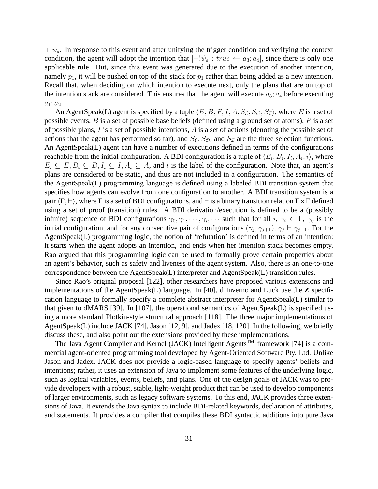$+!\psi_a$ . In response to this event and after unifying the trigger condition and verifying the context condition, the agent will adopt the intention that  $[+] \psi_a : true \leftarrow a_3; a_4]$ , since there is only one applicable rule. But, since this event was generated due to the execution of another intention, namely  $p_1$ , it will be pushed on top of the stack for  $p_1$  rather than being added as a new intention. Recall that, when deciding on which intention to execute next, only the plans that are on top of the intention stack are considered. This ensures that the agent will execute  $a_3$ ;  $a_4$  before executing  $a_1; a_2.$ 

An AgentSpeak(L) agent is specified by a tuple  $\langle E, B, P, I, A, S_{\mathcal{E}}, S_{\mathcal{O}}, S_{\mathcal{I}}\rangle$ , where E is a set of possible events,  $B$  is a set of possible base beliefs (defined using a ground set of atoms),  $P$  is a set of possible plans, I is a set of possible intentions, A is a set of actions (denoting the possible set of actions that the agent has performed so far), and  $S_{\mathcal{E}}$ ,  $S_{\mathcal{O}}$ , and  $S_{\mathcal{I}}$  are the three selection functions. An AgentSpeak(L) agent can have a number of executions defined in terms of the configurations reachable from the initial configuration. A BDI configuration is a tuple of  $\langle E_i, B_i, I_i, A_i, i \rangle$ , where  $E_i \subseteq E, B_i \subseteq B, I_i \subseteq I, A_i \subseteq A$ , and i is the label of the configuration. Note that, an agent's plans are considered to be static, and thus are not included in a configuration. The semantics of the AgentSpeak(L) programming language is defined using a labeled BDI transition system that specifies how agents can evolve from one configuration to another. A BDI transition system is a pair  $\langle \Gamma, \vdash \rangle$ , where  $\Gamma$  is a set of BDI configurations, and  $\vdash$  is a binary transition relation  $\Gamma \times \Gamma$  defined using a set of proof (transition) rules. A BDI derivation/execution is defined to be a (possibly infinite) sequence of BDI configurations  $\gamma_0, \gamma_1, \cdots, \gamma_i, \cdots$  such that for all  $i, \gamma_i \in \Gamma$ ,  $\gamma_0$  is the initial configuration, and for any consecutive pair of configurations  $(\gamma_j, \gamma_{j+1}), \gamma_j \vdash \gamma_{j+1}$ . For the AgentSpeak(L) programming logic, the notion of 'refutation' is defined in terms of an intention: it starts when the agent adopts an intention, and ends when her intention stack becomes empty. Rao argued that this programming logic can be used to formally prove certain properties about an agent's behavior, such as safety and liveness of the agent system. Also, there is an one-to-one correspondence between the AgentSpeak(L) interpreter and AgentSpeak(L) transition rules.

Since Rao's original proposal [122], other researchers have proposed various extensions and implementations of the AgentSpeak(L) language. In [40], d'Inverno and Luck use the **Z** specification language to formally specify a complete abstract interpreter for AgentSpeak(L) similar to that given to dMARS [39]. In [107], the operational semantics of AgentSpeak(L) is specified using a more standard Plotkin-style structural approach [118]. The three major implementations of AgentSpeak(L) include JACK [74], Jason [12, 9], and Jadex [18, 120]. In the following, we briefly discuss these, and also point out the extensions provided by these implementations.

The Java Agent Compiler and Kernel (JACK) Intelligent Agents<sup>TM</sup> framework [74] is a commercial agent-oriented programming tool developed by Agent-Oriented Software Pty. Ltd. Unlike Jason and Jadex, JACK does not provide a logic-based language to specify agents' beliefs and intentions; rather, it uses an extension of Java to implement some features of the underlying logic, such as logical variables, events, beliefs, and plans. One of the design goals of JACK was to provide developers with a robust, stable, light-weight product that can be used to develop components of larger environments, such as legacy software systems. To this end, JACK provides three extensions of Java. It extends the Java syntax to include BDI-related keywords, declaration of attributes, and statements. It provides a compiler that compiles these BDI syntactic additions into pure Java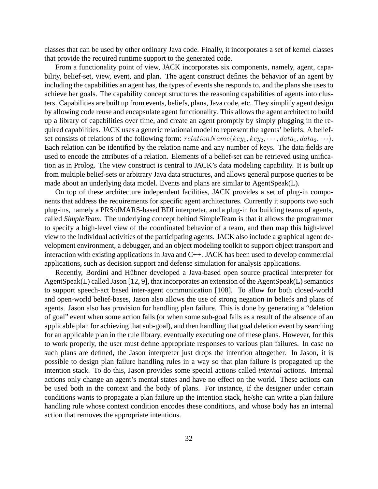classes that can be used by other ordinary Java code. Finally, it incorporates a set of kernel classes that provide the required runtime support to the generated code.

From a functionality point of view, JACK incorporates six components, namely, agent, capability, belief-set, view, event, and plan. The agent construct defines the behavior of an agent by including the capabilities an agent has, the types of events she responds to, and the plans she uses to achieve her goals. The capability concept structures the reasoning capabilities of agents into clusters. Capabilities are built up from events, beliefs, plans, Java code, etc. They simplify agent design by allowing code reuse and encapsulate agent functionality. This allows the agent architect to build up a library of capabilities over time, and create an agent promptly by simply plugging in the required capabilities. JACK uses a generic relational model to represent the agents' beliefs. A beliefset consists of relations of the following form:  $relationName(key_1, key_2, \cdots, data_1, data_2, \cdots)$ . Each relation can be identified by the relation name and any number of keys. The data fields are used to encode the attributes of a relation. Elements of a belief-set can be retrieved using unification as in Prolog. The view construct is central to JACK's data modeling capability. It is built up from multiple belief-sets or arbitrary Java data structures, and allows general purpose queries to be made about an underlying data model. Events and plans are similar to AgentSpeak(L).

On top of these architecture independent facilities, JACK provides a set of plug-in components that address the requirements for specific agent architectures. Currently it supports two such plug-ins, namely a PRS/dMARS-based BDI interpreter, and a plug-in for building teams of agents, called *SimpleTeam*. The underlying concept behind SimpleTeam is that it allows the programmer to specify a high-level view of the coordinated behavior of a team, and then map this high-level view to the individual activities of the participating agents. JACK also include a graphical agent development environment, a debugger, and an object modeling toolkit to support object transport and interaction with existing applications in Java and C++. JACK has been used to develop commercial applications, such as decision support and defense simulation for analysis applications.

Recently, Bordini and Hübner developed a Java-based open source practical interpreter for AgentSpeak(L) called Jason [12, 9], that incorporates an extension of the AgentSpeak(L) semantics to support speech-act based inter-agent communication [108]. To allow for both closed-world and open-world belief-bases, Jason also allows the use of strong negation in beliefs and plans of agents. Jason also has provision for handling plan failure. This is done by generating a "deletion of goal" event when some action fails (or when some sub-goal fails as a result of the absence of an applicable plan for achieving that sub-goal), and then handling that goal deletion event by searching for an applicable plan in the rule library, eventually executing one of these plans. However, for this to work properly, the user must define appropriate responses to various plan failures. In case no such plans are defined, the Jason interpreter just drops the intention altogether. In Jason, it is possible to design plan failure handling rules in a way so that plan failure is propagated up the intention stack. To do this, Jason provides some special actions called *internal* actions. Internal actions only change an agent's mental states and have no effect on the world. These actions can be used both in the context and the body of plans. For instance, if the designer under certain conditions wants to propagate a plan failure up the intention stack, he/she can write a plan failure handling rule whose context condition encodes these conditions, and whose body has an internal action that removes the appropriate intentions.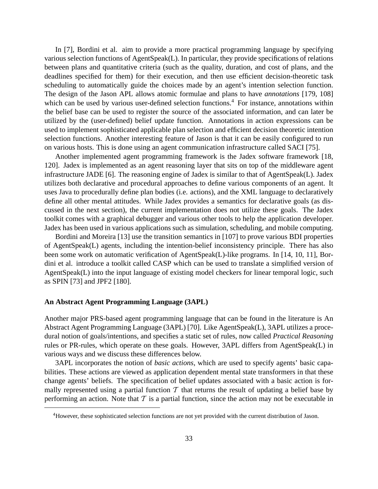In [7], Bordini et al. aim to provide a more practical programming language by specifying various selection functions of AgentSpeak(L). In particular, they provide specifications of relations between plans and quantitative criteria (such as the quality, duration, and cost of plans, and the deadlines specified for them) for their execution, and then use efficient decision-theoretic task scheduling to automatically guide the choices made by an agent's intention selection function. The design of the Jason APL allows atomic formulae and plans to have *annotations* [179, 108] which can be used by various user-defined selection functions.<sup>4</sup> For instance, annotations within the belief base can be used to register the source of the associated information, and can later be utilized by the (user-defined) belief update function. Annotations in action expressions can be used to implement sophisticated applicable plan selection and efficient decision theoretic intention selection functions. Another interesting feature of Jason is that it can be easily configured to run on various hosts. This is done using an agent communication infrastructure called SACI [75].

Another implemented agent programming framework is the Jadex software framework [18, 120]. Jadex is implemented as an agent reasoning layer that sits on top of the middleware agent infrastructure JADE [6]. The reasoning engine of Jadex is similar to that of AgentSpeak(L). Jadex utilizes both declarative and procedural approaches to define various components of an agent. It uses Java to procedurally define plan bodies (i.e. actions), and the XML language to declaratively define all other mental attitudes. While Jadex provides a semantics for declarative goals (as discussed in the next section), the current implementation does not utilize these goals. The Jadex toolkit comes with a graphical debugger and various other tools to help the application developer. Jadex has been used in various applications such as simulation, scheduling, and mobile computing.

Bordini and Moreira [13] use the transition semantics in [107] to prove various BDI properties of AgentSpeak(L) agents, including the intention-belief inconsistency principle. There has also been some work on automatic verification of AgentSpeak(L)-like programs. In [14, 10, 11], Bordini et al. introduce a toolkit called CASP which can be used to translate a simplified version of AgentSpeak(L) into the input language of existing model checkers for linear temporal logic, such as SPIN [73] and JPF2 [180].

## **An Abstract Agent Programming Language (3APL)**

Another major PRS-based agent programming language that can be found in the literature is An Abstract Agent Programming Language (3APL) [70]. Like AgentSpeak(L), 3APL utilizes a procedural notion of goals/intentions, and specifies a static set of rules, now called *Practical Reasoning* rules or PR-rules, which operate on these goals. However, 3APL differs from AgentSpeak(L) in various ways and we discuss these differences below.

3APL incorporates the notion of *basic actions*, which are used to specify agents' basic capabilities. These actions are viewed as application dependent mental state transformers in that these change agents' beliefs. The specification of belief updates associated with a basic action is formally represented using a partial function  $T$  that returns the result of updating a belief base by performing an action. Note that  $T$  is a partial function, since the action may not be executable in

<sup>4</sup>However, these sophisticated selection functions are not yet provided with the current distribution of Jason.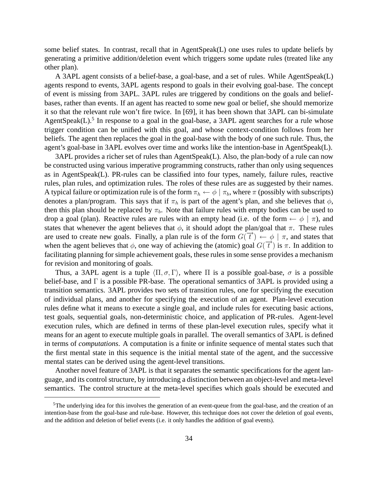some belief states. In contrast, recall that in AgentSpeak(L) one uses rules to update beliefs by generating a primitive addition/deletion event which triggers some update rules (treated like any other plan).

A 3APL agent consists of a belief-base, a goal-base, and a set of rules. While AgentSpeak(L) agents respond to events, 3APL agents respond to goals in their evolving goal-base. The concept of event is missing from 3APL. 3APL rules are triggered by conditions on the goals and beliefbases, rather than events. If an agent has reacted to some new goal or belief, she should memorize it so that the relevant rule won't fire twice. In [69], it has been shown that 3APL can bi-simulate AgentSpeak $(L)$ .<sup>5</sup> In response to a goal in the goal-base, a 3APL agent searches for a rule whose trigger condition can be unified with this goal, and whose context-condition follows from her beliefs. The agent then replaces the goal in the goal-base with the body of one such rule. Thus, the agent's goal-base in 3APL evolves over time and works like the intention-base in AgentSpeak(L).

3APL provides a richer set of rules than AgentSpeak(L). Also, the plan-body of a rule can now be constructed using various imperative programming constructs, rather than only using sequences as in AgentSpeak(L). PR-rules can be classified into four types, namely, failure rules, reactive rules, plan rules, and optimization rules. The roles of these rules are as suggested by their names. A typical failure or optimization rule is of the form  $\pi_h \leftarrow \phi \mid \pi_b$ , where  $\pi$  (possibly with subscripts) denotes a plan/program. This says that if  $\pi_h$  is part of the agent's plan, and she believes that  $\phi$ , then this plan should be replaced by  $\pi_b$ . Note that failure rules with empty bodies can be used to drop a goal (plan). Reactive rules are rules with an empty head (i.e. of the form  $\leftarrow \phi \mid \pi$ ), and states that whenever the agent believes that  $\phi$ , it should adopt the plan/goal that  $\pi$ . These rules are used to create new goals. Finally, a plan rule is of the form  $G(\vec{t}) \leftarrow \phi | \pi$ , and states that when the agent believes that  $\phi$ , one way of achieving the (atomic) goal  $G(\vec{t})$  is  $\pi$ . In addition to facilitating planning for simple achievement goals, these rules in some sense provides a mechanism for revision and monitoring of goals.

Thus, a 3APL agent is a tuple  $\langle \Pi, \sigma, \Gamma \rangle$ , where  $\Pi$  is a possible goal-base,  $\sigma$  is a possible belief-base, and Γ is a possible PR-base. The operational semantics of 3APL is provided using a transition semantics. 3APL provides two sets of transition rules, one for specifying the execution of individual plans, and another for specifying the execution of an agent. Plan-level execution rules define what it means to execute a single goal, and include rules for executing basic actions, test goals, sequential goals, non-deterministic choice, and application of PR-rules. Agent-level execution rules, which are defined in terms of these plan-level execution rules, specify what it means for an agent to execute multiple goals in parallel. The overall semantics of 3APL is defined in terms of *computations*. A computation is a finite or infinite sequence of mental states such that the first mental state in this sequence is the initial mental state of the agent, and the successive mental states can be derived using the agent-level transitions.

Another novel feature of 3APL is that it separates the semantic specifications for the agent language, and its control structure, by introducing a distinction between an object-level and meta-level semantics. The control structure at the meta-level specifies which goals should be executed and

<sup>5</sup>The underlying idea for this involves the generation of an event-queue from the goal-base, and the creation of an intention-base from the goal-base and rule-base. However, this technique does not cover the deletion of goal events, and the addition and deletion of belief events (i.e. it only handles the addition of goal events).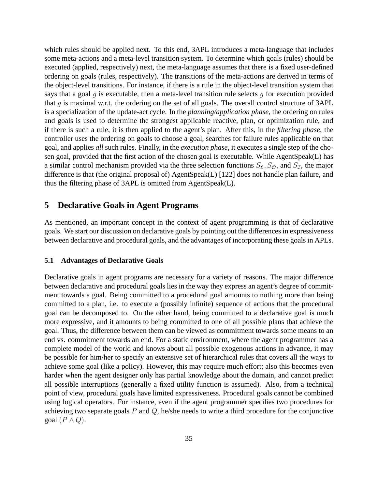which rules should be applied next. To this end, 3APL introduces a meta-language that includes some meta-actions and a meta-level transition system. To determine which goals (rules) should be executed (applied, respectively) next, the meta-language assumes that there is a fixed user-defined ordering on goals (rules, respectively). The transitions of the meta-actions are derived in terms of the object-level transitions. For instance, if there is a rule in the object-level transition system that says that a goal  $g$  is executable, then a meta-level transition rule selects  $g$  for execution provided that q is maximal w.r.t. the ordering on the set of all goals. The overall control structure of  $3APL$ is a specialization of the update-act cycle. In the *planning/application phase*, the ordering on rules and goals is used to determine the strongest applicable reactive, plan, or optimization rule, and if there is such a rule, it is then applied to the agent's plan. After this, in the *filtering phase*, the controller uses the ordering on goals to choose a goal, searches for failure rules applicable on that goal, and applies *all* such rules. Finally, in the *execution phase*, it executes a single step of the chosen goal, provided that the first action of the chosen goal is executable. While AgentSpeak(L) has a similar control mechanism provided via the three selection functions  $S_{\mathcal{E}}$ ,  $S_{\mathcal{O}}$ , and  $S_{\mathcal{I}}$ , the major difference is that (the original proposal of) AgentSpeak(L) [122] does not handle plan failure, and thus the filtering phase of 3APL is omitted from AgentSpeak(L).

# **5 Declarative Goals in Agent Programs**

As mentioned, an important concept in the context of agent programming is that of declarative goals. We start our discussion on declarative goals by pointing out the differences in expressiveness between declarative and procedural goals, and the advantages of incorporating these goals in APLs.

#### **5.1 Advantages of Declarative Goals**

Declarative goals in agent programs are necessary for a variety of reasons. The major difference between declarative and procedural goals lies in the way they express an agent's degree of commitment towards a goal. Being committed to a procedural goal amounts to nothing more than being committed to a plan, i.e. to execute a (possibly infinite) sequence of actions that the procedural goal can be decomposed to. On the other hand, being committed to a declarative goal is much more expressive, and it amounts to being committed to one of all possible plans that achieve the goal. Thus, the difference between them can be viewed as commitment towards some means to an end vs. commitment towards an end. For a static environment, where the agent programmer has a complete model of the world and knows about all possible exogenous actions in advance, it may be possible for him/her to specify an extensive set of hierarchical rules that covers all the ways to achieve some goal (like a policy). However, this may require much effort; also this becomes even harder when the agent designer only has partial knowledge about the domain, and cannot predict all possible interruptions (generally a fixed utility function is assumed). Also, from a technical point of view, procedural goals have limited expressiveness. Procedural goals cannot be combined using logical operators. For instance, even if the agent programmer specifies two procedures for achieving two separate goals  $P$  and  $Q$ , he/she needs to write a third procedure for the conjunctive goal  $(P \wedge Q)$ .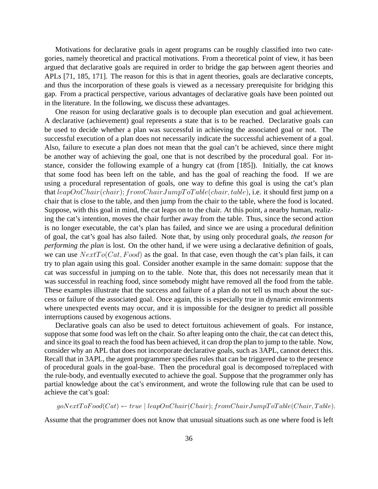Motivations for declarative goals in agent programs can be roughly classified into two categories, namely theoretical and practical motivations. From a theoretical point of view, it has been argued that declarative goals are required in order to bridge the gap between agent theories and APLs [71, 185, 171]. The reason for this is that in agent theories, goals are declarative concepts, and thus the incorporation of these goals is viewed as a necessary prerequisite for bridging this gap. From a practical perspective, various advantages of declarative goals have been pointed out in the literature. In the following, we discuss these advantages.

One reason for using declarative goals is to decouple plan execution and goal achievement. A declarative (achievement) goal represents a state that is to be reached. Declarative goals can be used to decide whether a plan was successful in achieving the associated goal or not. The successful execution of a plan does not necessarily indicate the successful achievement of a goal. Also, failure to execute a plan does not mean that the goal can't be achieved, since there might be another way of achieving the goal, one that is not described by the procedural goal. For instance, consider the following example of a hungry cat (from [185]). Initially, the cat knows that some food has been left on the table, and has the goal of reaching the food. If we are using a procedural representation of goals, one way to define this goal is using the cat's plan that leapOnChair(chair); fromChairJumpToTable(chair, table), i.e. it should first jump on a chair that is close to the table, and then jump from the chair to the table, where the food is located. Suppose, with this goal in mind, the cat leaps on to the chair. At this point, a nearby human, realizing the cat's intention, moves the chair further away from the table. Thus, since the second action is no longer executable, the cat's plan has failed, and since we are using a procedural definition of goal, the cat's goal has also failed. Note that, by using only procedural goals, *the reason for performing the plan* is lost. On the other hand, if we were using a declarative definition of goals, we can use  $NextTo(Cat, Food)$  as the goal. In that case, even though the cat's plan fails, it can try to plan again using this goal. Consider another example in the same domain: suppose that the cat was successful in jumping on to the table. Note that, this does not necessarily mean that it was successful in reaching food, since somebody might have removed all the food from the table. These examples illustrate that the success and failure of a plan do not tell us much about the success or failure of the associated goal. Once again, this is especially true in dynamic environments where unexpected events may occur, and it is impossible for the designer to predict all possible interruptions caused by exogenous actions.

Declarative goals can also be used to detect fortuitous achievement of goals. For instance, suppose that some food was left on the chair. So after leaping onto the chair, the cat can detect this, and since its goal to reach the food has been achieved, it can drop the plan to jump to the table. Now, consider why an APL that does not incorporate declarative goals, such as 3APL, cannot detect this. Recall that in 3APL, the agent programmer specifies rules that can be triggered due to the presence of procedural goals in the goal-base. Then the procedural goal is decomposed to/replaced with the rule-body, and eventually executed to achieve the goal. Suppose that the programmer only has partial knowledge about the cat's environment, and wrote the following rule that can be used to achieve the cat's goal:

 $g \circ NextToFood(Cat) \leftarrow true \mid leapOnChair(Chair); from ChairJumpToTable(Chair, Table).$ 

Assume that the programmer does not know that unusual situations such as one where food is left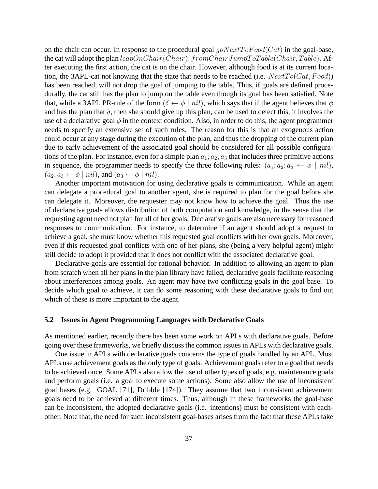on the chair can occur. In response to the procedural goal  $qoNextToFood(Cat)$  in the goal-base, the cat will adopt the plan  $leapOnChair(Chair); fromChairJumpToTable(Chair, Table)$ . After executing the first action, the cat is on the chair. However, although food is at its current location, the 3APL-cat not knowing that the state that needs to be reached (i.e.  $NextTo(Cat, Food)$ ) has been reached, will not drop the goal of jumping to the table. Thus, if goals are defined procedurally, the cat still has the plan to jump on the table even though its goal has been satisfied. Note that, while a 3APL PR-rule of the form  $(\delta \leftarrow \phi \mid nil)$ , which says that if the agent believes that  $\phi$ and has the plan that  $\delta$ , then she should give up this plan, can be used to detect this, it involves the use of a declarative goal  $\phi$  in the context condition. Also, in order to do this, the agent programmer needs to specify an extensive set of such rules. The reason for this is that an exogenous action could occur at any stage during the execution of the plan, and thus the dropping of the current plan due to early achievement of the associated goal should be considered for all possible configurations of the plan. For instance, even for a simple plan  $a_1$ ;  $a_2$ ;  $a_3$  that includes three primitive actions in sequence, the programmer needs to specify the three following rules:  $(a_1; a_2; a_3 \leftarrow \phi \mid nil)$ ,  $(a_2; a_3 \leftarrow \phi \mid nil)$ , and  $(a_3 \leftarrow \phi \mid nil)$ .

Another important motivation for using declarative goals is communication. While an agent can delegate a procedural goal to another agent, she is required to plan for the goal before she can delegate it. Moreover, the requester may not know how to achieve the goal. Thus the use of declarative goals allows distribution of both computation and knowledge, in the sense that the requesting agent need not plan for all of her goals. Declarative goals are also necessary for reasoned responses to communication. For instance, to determine if an agent should adopt a request to achieve a goal, she must know whether this requested goal conflicts with her own goals. Moreover, even if this requested goal conflicts with one of her plans, she (being a very helpful agent) might still decide to adopt it provided that it does not conflict with the associated declarative goal.

Declarative goals are essential for rational behavior. In addition to allowing an agent to plan from scratch when all her plans in the plan library have failed, declarative goals facilitate reasoning about interferences among goals. An agent may have two conflicting goals in the goal base. To decide which goal to achieve, it can do some reasoning with these declarative goals to find out which of these is more important to the agent.

#### **5.2 Issues in Agent Programming Languages with Declarative Goals**

As mentioned earlier, recently there has been some work on APLs with declarative goals. Before going over these frameworks, we briefly discuss the common issues in APLs with declarative goals.

One issue in APLs with declarative goals concerns the type of goals handled by an APL. Most APLs use achievement goals as the only type of goals. Achievement goals refer to a goal that needs to be achieved once. Some APLs also allow the use of other types of goals, e.g. maintenance goals and perform goals (i.e. a goal to execute some actions). Some also allow the use of inconsistent goal bases (e.g. GOAL [71], Dribble [174]). They assume that two inconsistent achievement goals need to be achieved at different times. Thus, although in these frameworks the goal-base can be inconsistent, the adopted declarative goals (i.e. intentions) must be consistent with eachother. Note that, the need for such inconsistent goal-bases arises from the fact that these APLs take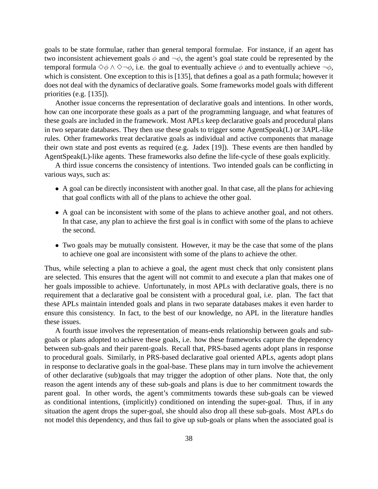goals to be state formulae, rather than general temporal formulae. For instance, if an agent has two inconsistent achievement goals  $\phi$  and  $\neg \phi$ , the agent's goal state could be represented by the temporal formula  $\diamond \phi \land \diamond \neg \phi$ , i.e. the goal to eventually achieve  $\phi$  and to eventually achieve  $\neg \phi$ , which is consistent. One exception to this is [135], that defines a goal as a path formula; however it does not deal with the dynamics of declarative goals. Some frameworks model goals with different priorities (e.g. [135]).

Another issue concerns the representation of declarative goals and intentions. In other words, how can one incorporate these goals as a part of the programming language, and what features of these goals are included in the framework. Most APLs keep declarative goals and procedural plans in two separate databases. They then use these goals to trigger some AgentSpeak(L) or 3APL-like rules. Other frameworks treat declarative goals as individual and active components that manage their own state and post events as required (e.g. Jadex [19]). These events are then handled by AgentSpeak(L)-like agents. These frameworks also define the life-cycle of these goals explicitly.

A third issue concerns the consistency of intentions. Two intended goals can be conflicting in various ways, such as:

- A goal can be directly inconsistent with another goal. In that case, all the plans for achieving that goal conflicts with all of the plans to achieve the other goal.
- A goal can be inconsistent with some of the plans to achieve another goal, and not others. In that case, any plan to achieve the first goal is in conflict with some of the plans to achieve the second.
- Two goals may be mutually consistent. However, it may be the case that some of the plans to achieve one goal are inconsistent with some of the plans to achieve the other.

Thus, while selecting a plan to achieve a goal, the agent must check that only consistent plans are selected. This ensures that the agent will not commit to and execute a plan that makes one of her goals impossible to achieve. Unfortunately, in most APLs with declarative goals, there is no requirement that a declarative goal be consistent with a procedural goal, i.e. plan. The fact that these APLs maintain intended goals and plans in two separate databases makes it even harder to ensure this consistency. In fact, to the best of our knowledge, no APL in the literature handles these issues.

A fourth issue involves the representation of means-ends relationship between goals and subgoals or plans adopted to achieve these goals, i.e. how these frameworks capture the dependency between sub-goals and their parent-goals. Recall that, PRS-based agents adopt plans in response to procedural goals. Similarly, in PRS-based declarative goal oriented APLs, agents adopt plans in response to declarative goals in the goal-base. These plans may in turn involve the achievement of other declarative (sub)goals that may trigger the adoption of other plans. Note that, the only reason the agent intends any of these sub-goals and plans is due to her commitment towards the parent goal. In other words, the agent's commitments towards these sub-goals can be viewed as conditional intentions, (implicitly) conditioned on intending the super-goal. Thus, if in any situation the agent drops the super-goal, she should also drop all these sub-goals. Most APLs do not model this dependency, and thus fail to give up sub-goals or plans when the associated goal is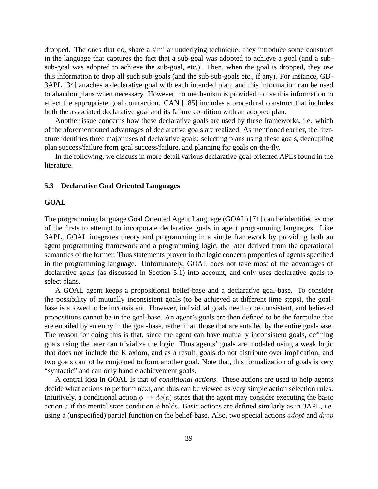dropped. The ones that do, share a similar underlying technique: they introduce some construct in the language that captures the fact that a sub-goal was adopted to achieve a goal (and a subsub-goal was adopted to achieve the sub-goal, etc.). Then, when the goal is dropped, they use this information to drop all such sub-goals (and the sub-sub-goals etc., if any). For instance, GD-3APL [34] attaches a declarative goal with each intended plan, and this information can be used to abandon plans when necessary. However, no mechanism is provided to use this information to effect the appropriate goal contraction. CAN [185] includes a procedural construct that includes both the associated declarative goal and its failure condition with an adopted plan.

Another issue concerns how these declarative goals are used by these frameworks, i.e. which of the aforementioned advantages of declarative goals are realized. As mentioned earlier, the literature identifies three major uses of declarative goals: selecting plans using these goals, decoupling plan success/failure from goal success/failure, and planning for goals on-the-fly.

In the following, we discuss in more detail various declarative goal-oriented APLs found in the literature.

#### **5.3 Declarative Goal Oriented Languages**

#### **GOAL**

The programming language Goal Oriented Agent Language (GOAL) [71] can be identified as one of the firsts to attempt to incorporate declarative goals in agent programming languages. Like 3APL, GOAL integrates theory and programming in a single framework by providing both an agent programming framework and a programming logic, the later derived from the operational semantics of the former. Thus statements proven in the logic concern properties of agents specified in the programming language. Unfortunately, GOAL does not take most of the advantages of declarative goals (as discussed in Section 5.1) into account, and only uses declarative goals to select plans.

A GOAL agent keeps a propositional belief-base and a declarative goal-base. To consider the possibility of mutually inconsistent goals (to be achieved at different time steps), the goalbase is allowed to be inconsistent. However, individual goals need to be consistent, and believed propositions cannot be in the goal-base. An agent's goals are then defined to be the formulae that are entailed by an entry in the goal-base, rather than those that are entailed by the entire goal-base. The reason for doing this is that, since the agent can have mutually inconsistent goals, defining goals using the later can trivialize the logic. Thus agents' goals are modeled using a weak logic that does not include the K axiom, and as a result, goals do not distribute over implication, and two goals cannot be conjoined to form another goal. Note that, this formalization of goals is very "syntactic" and can only handle achievement goals.

A central idea in GOAL is that of *conditional actions*. These actions are used to help agents decide what actions to perform next, and thus can be viewed as very simple action selection rules. Intuitively, a conditional action  $\phi \to do(a)$  states that the agent may consider executing the basic action a if the mental state condition  $\phi$  holds. Basic actions are defined similarly as in 3APL, i.e. using a (unspecified) partial function on the belief-base. Also, two special actions *adopt* and *drop*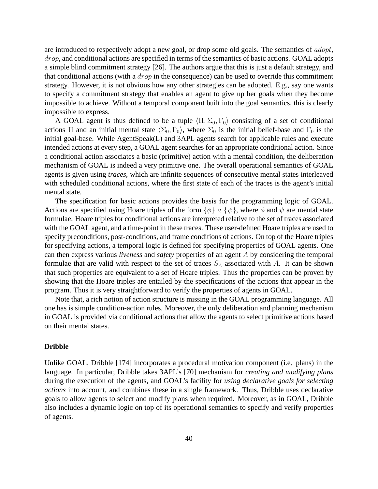are introduced to respectively adopt a new goal, or drop some old goals. The semantics of *adopt*, drop, and conditional actions are specified in terms of the semantics of basic actions. GOAL adopts a simple blind commitment strategy [26]. The authors argue that this is just a default strategy, and that conditional actions (with a  $drop$  in the consequence) can be used to override this commitment strategy. However, it is not obvious how any other strategies can be adopted. E.g., say one wants to specify a commitment strategy that enables an agent to give up her goals when they become impossible to achieve. Without a temporal component built into the goal semantics, this is clearly impossible to express.

A GOAL agent is thus defined to be a tuple  $\langle \Pi, \Sigma_0, \Gamma_0 \rangle$  consisting of a set of conditional actions Π and an initial mental state  $\langle \Sigma_0, \Gamma_0 \rangle$ , where  $\Sigma_0$  is the initial belief-base and  $\Gamma_0$  is the initial goal-base. While AgentSpeak(L) and 3APL agents search for applicable rules and execute intended actions at every step, a GOAL agent searches for an appropriate conditional action. Since a conditional action associates a basic (primitive) action with a mental condition, the deliberation mechanism of GOAL is indeed a very primitive one. The overall operational semantics of GOAL agents is given using *traces*, which are infinite sequences of consecutive mental states interleaved with scheduled conditional actions, where the first state of each of the traces is the agent's initial mental state.

The specification for basic actions provides the basis for the programming logic of GOAL. Actions are specified using Hoare triples of the form  $\{\phi\}$  a  $\{\psi\}$ , where  $\phi$  and  $\psi$  are mental state formulae. Hoare triples for conditional actions are interpreted relative to the set of traces associated with the GOAL agent, and a time-point in these traces. These user-defined Hoare triples are used to specify preconditions, post-conditions, and frame conditions of actions. On top of the Hoare triples for specifying actions, a temporal logic is defined for specifying properties of GOAL agents. One can then express various *liveness* and *safety* properties of an agent A by considering the temporal formulae that are valid with respect to the set of traces  $S_A$  associated with A. It can be shown that such properties are equivalent to a set of Hoare triples. Thus the properties can be proven by showing that the Hoare triples are entailed by the specifications of the actions that appear in the program. Thus it is very straightforward to verify the properties of agents in GOAL.

Note that, a rich notion of action structure is missing in the GOAL programming language. All one has is simple condition-action rules. Moreover, the only deliberation and planning mechanism in GOAL is provided via conditional actions that allow the agents to select primitive actions based on their mental states.

#### **Dribble**

Unlike GOAL, Dribble [174] incorporates a procedural motivation component (i.e. plans) in the language. In particular, Dribble takes 3APL's [70] mechanism for *creating and modifying plans* during the execution of the agents, and GOAL's facility for *using declarative goals for selecting actions* into account, and combines these in a single framework. Thus, Dribble uses declarative goals to allow agents to select and modify plans when required. Moreover, as in GOAL, Dribble also includes a dynamic logic on top of its operational semantics to specify and verify properties of agents.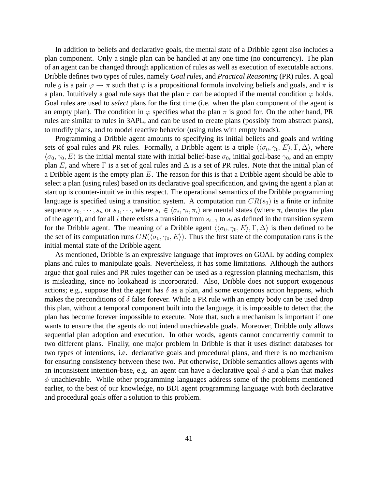In addition to beliefs and declarative goals, the mental state of a Dribble agent also includes a plan component. Only a single plan can be handled at any one time (no concurrency). The plan of an agent can be changed through application of rules as well as execution of executable actions. Dribble defines two types of rules, namely *Goal rules*, and *Practical Reasoning* (PR) rules. A goal rule q is a pair  $\varphi \to \pi$  such that  $\varphi$  is a propositional formula involving beliefs and goals, and  $\pi$  is a plan. Intuitively a goal rule says that the plan  $\pi$  can be adopted if the mental condition  $\varphi$  holds. Goal rules are used to *select* plans for the first time (i.e. when the plan component of the agent is an empty plan). The condition in  $\varphi$  specifies what the plan  $\pi$  is good for. On the other hand, PR rules are similar to rules in 3APL, and can be used to create plans (possibly from abstract plans), to modify plans, and to model reactive behavior (using rules with empty heads).

Programming a Dribble agent amounts to specifying its initial beliefs and goals and writing sets of goal rules and PR rules. Formally, a Dribble agent is a triple  $\langle\langle \sigma_0, \gamma_0, E \rangle, \Gamma, \Delta \rangle$ , where  $\langle \sigma_0, \gamma_0, E \rangle$  is the initial mental state with initial belief-base  $\sigma_0$ , initial goal-base  $\gamma_0$ , and an empty plan E, and where  $\Gamma$  is a set of goal rules and  $\Delta$  is a set of PR rules. Note that the initial plan of a Dribble agent is the empty plan  $E$ . The reason for this is that a Dribble agent should be able to select a plan (using rules) based on its declarative goal specification, and giving the agent a plan at start up is counter-intuitive in this respect. The operational semantics of the Dribble programming language is specified using a transition system. A computation run  $CR(s_0)$  is a finite or infinite sequence  $s_0, \dots, s_n$  or  $s_0, \dots$ , where  $s_i \in \langle \sigma_i, \gamma_i, \pi_i \rangle$  are mental states (where  $\pi_i$  denotes the plan of the agent), and for all i there exists a transition from  $s_{i-1}$  to  $s_i$  as defined in the transition system for the Dribble agent. The meaning of a Dribble agent  $\langle\langle \sigma_0, \gamma_0, E \rangle, \Gamma, \Delta \rangle$  is then defined to be the set of its computation runs  $CR(\langle \sigma_0, \gamma_0, E \rangle)$ . Thus the first state of the computation runs is the initial mental state of the Dribble agent.

As mentioned, Dribble is an expressive language that improves on GOAL by adding complex plans and rules to manipulate goals. Nevertheless, it has some limitations. Although the authors argue that goal rules and PR rules together can be used as a regression planning mechanism, this is misleading, since no lookahead is incorporated. Also, Dribble does not support exogenous actions; e.g., suppose that the agent has  $\delta$  as a plan, and some exogenous action happens, which makes the preconditions of  $\delta$  false forever. While a PR rule with an empty body can be used drop this plan, without a temporal component built into the language, it is impossible to detect that the plan has become forever impossible to execute. Note that, such a mechanism is important if one wants to ensure that the agents do not intend unachievable goals. Moreover, Dribble only allows sequential plan adoption and execution. In other words, agents cannot concurrently commit to two different plans. Finally, one major problem in Dribble is that it uses distinct databases for two types of intentions, i.e. declarative goals and procedural plans, and there is no mechanism for ensuring consistency between these two. Put otherwise, Dribble semantics allows agents with an inconsistent intention-base, e.g. an agent can have a declarative goal  $\phi$  and a plan that makes  $\phi$  unachievable. While other programming languages address some of the problems mentioned earlier, to the best of our knowledge, no BDI agent programming language with both declarative and procedural goals offer a solution to this problem.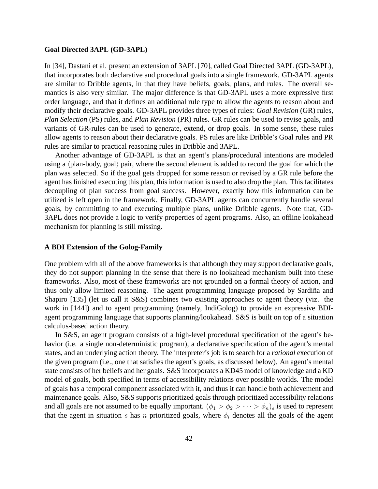#### **Goal Directed 3APL (GD-3APL)**

In [34], Dastani et al. present an extension of 3APL [70], called Goal Directed 3APL (GD-3APL), that incorporates both declarative and procedural goals into a single framework. GD-3APL agents are similar to Dribble agents, in that they have beliefs, goals, plans, and rules. The overall semantics is also very similar. The major difference is that GD-3APL uses a more expressive first order language, and that it defines an additional rule type to allow the agents to reason about and modify their declarative goals. GD-3APL provides three types of rules: *Goal Revision* (GR) rules, *Plan Selection* (PS) rules, and *Plan Revision* (PR) rules. GR rules can be used to revise goals, and variants of GR-rules can be used to generate, extend, or drop goals. In some sense, these rules allow agents to reason about their declarative goals. PS rules are like Dribble's Goal rules and PR rules are similar to practical reasoning rules in Dribble and 3APL.

Another advantage of GD-3APL is that an agent's plans/procedural intentions are modeled using a  $\langle$  plan-body, goal $\rangle$  pair, where the second element is added to record the goal for which the plan was selected. So if the goal gets dropped for some reason or revised by a GR rule before the agent has finished executing this plan, this information is used to also drop the plan. This facilitates decoupling of plan success from goal success. However, exactly how this information can be utilized is left open in the framework. Finally, GD-3APL agents can concurrently handle several goals, by committing to and executing multiple plans, unlike Dribble agents. Note that, GD-3APL does not provide a logic to verify properties of agent programs. Also, an offline lookahead mechanism for planning is still missing.

#### **A BDI Extension of the Golog-Family**

One problem with all of the above frameworks is that although they may support declarative goals, they do not support planning in the sense that there is no lookahead mechanism built into these frameworks. Also, most of these frameworks are not grounded on a formal theory of action, and thus only allow limited reasoning. The agent programming language proposed by Sardiña and Shapiro [135] (let us call it S&S) combines two existing approaches to agent theory (viz. the work in [144]) and to agent programming (namely, IndiGolog) to provide an expressive BDIagent programming language that supports planning/lookahead. S&S is built on top of a situation calculus-based action theory.

In S&S, an agent program consists of a high-level procedural specification of the agent's behavior (i.e. a single non-deterministic program), a declarative specification of the agent's mental states, and an underlying action theory. The interpreter's job is to search for a *rational* execution of the given program (i.e., one that satisfies the agent's goals, as discussed below). An agent's mental state consists of her beliefs and her goals. S&S incorporates a KD45 model of knowledge and a KD model of goals, both specified in terms of accessibility relations over possible worlds. The model of goals has a temporal component associated with it, and thus it can handle both achievement and maintenance goals. Also, S&S supports prioritized goals through prioritized accessibility relations and all goals are not assumed to be equally important.  $(\phi_1 > \phi_2 > \cdots > \phi_n)_s$  is used to represent that the agent in situation s has n prioritized goals, where  $\phi_i$  denotes all the goals of the agent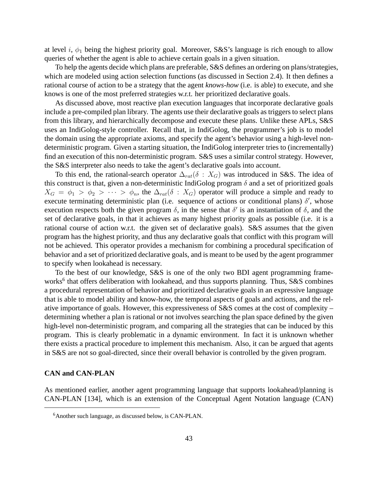at level i,  $\phi_1$  being the highest priority goal. Moreover, S&S's language is rich enough to allow queries of whether the agent is able to achieve certain goals in a given situation.

To help the agents decide which plans are preferable, S&S defines an ordering on plans/strategies, which are modeled using action selection functions (as discussed in Section 2.4). It then defines a rational course of action to be a strategy that the agent *knows-how* (i.e. is able) to execute, and she knows is one of the most preferred strategies w.r.t. her prioritized declarative goals.

As discussed above, most reactive plan execution languages that incorporate declarative goals include a pre-compiled plan library. The agents use their declarative goals as triggers to select plans from this library, and hierarchically decompose and execute these plans. Unlike these APLs, S&S uses an IndiGolog-style controller. Recall that, in IndiGolog, the programmer's job is to model the domain using the appropriate axioms, and specify the agent's behavior using a high-level nondeterministic program. Given a starting situation, the IndiGolog interpreter tries to (incrementally) find an execution of this non-deterministic program. S&S uses a similar control strategy. However, the S&S interpreter also needs to take the agent's declarative goals into account.

To this end, the rational-search operator  $\Delta_{rat}(\delta : X_G)$  was introduced in S&S. The idea of this construct is that, given a non-deterministic IndiGolog program  $\delta$  and a set of prioritized goals  $X_G = \phi_1 > \phi_2 > \cdots > \phi_n$ , the  $\Delta_{rat}(\delta : X_G)$  operator will produce a simple and ready to execute terminating deterministic plan (i.e. sequence of actions or conditional plans)  $\delta'$ , whose execution respects both the given program  $\delta$ , in the sense that  $\delta'$  is an instantiation of  $\delta$ , and the set of declarative goals, in that it achieves as many highest priority goals as possible (i.e. it is a rational course of action w.r.t. the given set of declarative goals). S&S assumes that the given program has the highest priority, and thus any declarative goals that conflict with this program will not be achieved. This operator provides a mechanism for combining a procedural specification of behavior and a set of prioritized declarative goals, and is meant to be used by the agent programmer to specify when lookahead is necessary.

To the best of our knowledge, S&S is one of the only two BDI agent programming frameworks<sup>6</sup> that offers deliberation with lookahead, and thus supports planning. Thus, S&S combines a procedural representation of behavior and prioritized declarative goals in an expressive language that is able to model ability and know-how, the temporal aspects of goals and actions, and the relative importance of goals. However, this expressiveness of S&S comes at the cost of complexity – determining whether a plan is rational or not involves searching the plan space defined by the given high-level non-deterministic program, and comparing all the strategies that can be induced by this program. This is clearly problematic in a dynamic environment. In fact it is unknown whether there exists a practical procedure to implement this mechanism. Also, it can be argued that agents in S&S are not so goal-directed, since their overall behavior is controlled by the given program.

# **CAN and CAN-PLAN**

As mentioned earlier, another agent programming language that supports lookahead/planning is CAN-PLAN [134], which is an extension of the Conceptual Agent Notation language (CAN)

<sup>6</sup>Another such language, as discussed below, is CAN-PLAN.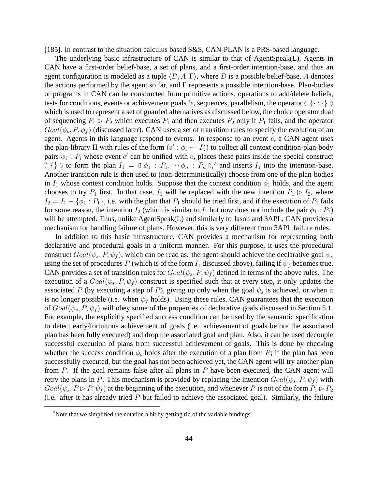[185]. In contrast to the situation calculus based S&S, CAN-PLAN is a PRS-based language.

The underlying basic infrastructure of CAN is similar to that of AgentSpeak(L). Agents in CAN have a first-order belief-base, a set of plans, and a first-order intention-base, and thus an agent configuration is modeled as a tuple  $\langle B, A, \Gamma \rangle$ , where B is a possible belief-base, A denotes the actions performed by the agent so far, and Γ represents a possible intention-base. Plan-bodies or programs in CAN can be constructed from primitive actions, operations to add/delete beliefs, tests for conditions, events or achievement goals *le*, sequences, parallelism, the operator  $\mathbb{I}\{\cdot\cdot\cdot\}$ which is used to represent a set of guarded alternatives as discussed below, the choice operator dual of sequencing  $P_1 \triangleright P_2$  which executes  $P_1$  and then executes  $P_2$  only if  $P_1$  fails, and the operator  $Goal(\phi_s, P, \phi_f)$  (discussed later). CAN uses a set of transition rules to specify the evolution of an agent. Agents in this language respond to events. In response to an event  $e$ , a CAN agent uses the plan-library  $\Pi$  with rules of the form  $(e': \phi_i \leftarrow P_i)$  to collect all context condition-plan-body pairs  $\phi_i$ :  $P_i$  whose event  $e'$  can be unified with  $e$ , places these pairs inside the special construct  $\{\}\,\{\,\}$  b to form the plan  $I_1 = \emptyset \phi_1 : P_1, \cdots \phi_n : P_n \upharpoonright, \emptyset$  and inserts  $I_1$  into the intention-base. Another transition rule is then used to (non-deterministically) choose from one of the plan-bodies in  $I_1$  whose context condition holds. Suppose that the context condition  $\phi_1$  holds, and the agent chooses to try  $P_1$  first. In that case,  $I_1$  will be replaced with the new intention  $P_1 \triangleright I_2$ , where  $I_2 = I_1 - \{\phi_1 : P_1\}$ , i.e. with the plan that  $P_1$  should be tried first, and if the execution of  $P_1$  fails for some reason, the intention  $I_2$  (which is similar to  $I_1$  but now does not include the pair  $\phi_1 : P_1$ ) will be attempted. Thus, unlike AgentSpeak(L) and similarly to Jason and 3APL, CAN provides a mechanism for handling failure of plans. However, this is very different from 3APL failure rules.

In addition to this basic infrastructure, CAN provides a mechanism for representing both declarative and procedural goals in a uniform manner. For this purpose, it uses the procedural construct  $Goal(\psi_s, P, \psi_t)$ , which can be read as: the agent should achieve the declarative goal  $\psi_s$ using the set of procedures P (which is of the form  $I_1$  discussed above), failing if  $\psi_f$  becomes true. CAN provides a set of transition rules for  $Goal(\psi_s, P, \psi_f)$  defined in terms of the above rules. The execution of a  $Goal(\psi_s, P, \psi_f)$  construct is specified such that at every step, it only updates the associated P (by executing a step of P), giving up only when the goal  $\psi_s$  is achieved, or when it is no longer possible (i.e. when  $\psi_f$  holds). Using these rules, CAN guarantees that the execution of  $Goal(\psi_s, P, \psi_f)$  will obey some of the properties of declarative goals discussed in Section 5.1. For example, the explicitly specified success condition can be used by the semantic specification to detect early/fortuitous achievement of goals (i.e. achievement of goals before the associated plan has been fully executed) and drop the associated goal and plan. Also, it can be used decouple successful execution of plans from successful achievement of goals. This is done by checking whether the success condition  $\phi_s$  holds after the execution of a plan from P; if the plan has been successfully executed, but the goal has not been achieved yet, the CAN agent will try another plan from  $P$ . If the goal remains false after all plans in  $P$  have been executed, the CAN agent will retry the plans in P. This mechanism is provided by replacing the intention  $Goal(\psi_s, P, \psi_f)$  with  $Goal(\psi_s, P \triangleright P, \psi_f)$  at the beginning of the execution, and whenever P is not of the form  $P_1 \triangleright P_2$ (i.e. after it has already tried  $P$  but failed to achieve the associated goal). Similarly, the failure

 $<sup>7</sup>$ Note that we simplified the notation a bit by getting rid of the variable bindings.</sup>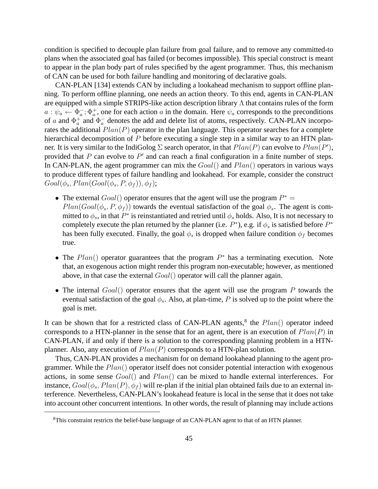condition is specified to decouple plan failure from goal failure, and to remove any committed-to plans when the associated goal has failed (or becomes impossible). This special construct is meant to appear in the plan body part of rules specified by the agent programmer. Thus, this mechanism of CAN can be used for both failure handling and monitoring of declarative goals.

CAN-PLAN [134] extends CAN by including a lookahead mechanism to support offline planning. To perform offline planning, one needs an action theory. To this end, agents in CAN-PLAN are equipped with a simple STRIPS-like action description library  $\Lambda$  that contains rules of the form  $a: \psi_a \leftarrow \Phi_a^-; \Phi_a^+$ , one for each action a in the domain. Here  $\psi_a$  corresponds to the preconditions of a and  $\Phi_a^+$  and  $\Phi_a^-$  denotes the add and delete list of atoms, respectively. CAN-PLAN incorporates the additional  $Plan(P)$  operator in the plan language. This operator searches for a complete hierarchical decomposition of P before executing a single step in a similar way to an HTN planner. It is very similar to the IndiGolog  $\Sigma$  search operator, in that  $Plan(P)$  can evolve to  $Plan(P')$ , provided that  $P$  can evolve to  $P'$  and can reach a final configuration in a finite number of steps. In CAN-PLAN, the agent programmer can mix the  $Goal()$  and  $Plan()$  operators in various ways to produce different types of failure handling and lookahead. For example, consider the construct  $Goal(\phi_s, Plan(Goal(\phi_s, P, \phi_f)), \phi_f);$ 

- The external  $Goal()$  operator ensures that the agent will use the program  $P^* =$  $Plan(Goal(\phi_s, P, \phi_f))$  towards the eventual satisfaction of the goal  $\phi_s$ . The agent is committed to  $\phi_s$ , in that  $P^*$  is reinstantiated and retried until  $\phi_s$  holds. Also, It is not necessary to completely execute the plan returned by the planner (i.e.  $P^*$ ), e.g. if  $\phi_s$  is satisfied before  $P^*$ has been fully executed. Finally, the goal  $\phi_s$  is dropped when failure condition  $\phi_f$  becomes true.
- The  $Plan()$  operator guarantees that the program  $P^*$  has a terminating execution. Note that, an exogenous action might render this program non-executable; however, as mentioned above, in that case the external  $Goal()$  operator will call the planner again.
- The internal  $Goal()$  operator ensures that the agent will use the program  $P$  towards the eventual satisfaction of the goal  $\phi_s$ . Also, at plan-time, P is solved up to the point where the goal is met.

It can be shown that for a restricted class of CAN-PLAN agents,<sup>8</sup> the  $Plan()$  operator indeed corresponds to a HTN-planner in the sense that for an agent, there is an execution of  $Plan(P)$  in CAN-PLAN, if and only if there is a solution to the corresponding planning problem in a HTNplanner. Also, any execution of  $Plan(P)$  corresponds to a HTN-plan solution.

Thus, CAN-PLAN provides a mechanism for on demand lookahead planning to the agent programmer. While the  $Plan()$  operator itself does not consider potential interaction with exogenous actions, in some sense Goal() and Plan() can be mixed to handle external interferences. For instance,  $Goal(\phi_s, Plan(P), \phi_f)$  will re-plan if the initial plan obtained fails due to an external interference. Nevertheless, CAN-PLAN's lookahead feature is local in the sense that it does not take into account other concurrent intentions. In other words, the result of planning may include actions

<sup>&</sup>lt;sup>8</sup>This constraint restricts the belief-base language of an CAN-PLAN agent to that of an HTN planner.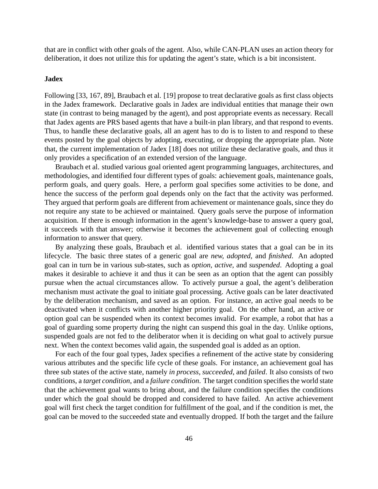that are in conflict with other goals of the agent. Also, while CAN-PLAN uses an action theory for deliberation, it does not utilize this for updating the agent's state, which is a bit inconsistent.

# **Jadex**

Following [33, 167, 89], Braubach et al. [19] propose to treat declarative goals as first class objects in the Jadex framework. Declarative goals in Jadex are individual entities that manage their own state (in contrast to being managed by the agent), and post appropriate events as necessary. Recall that Jadex agents are PRS based agents that have a built-in plan library, and that respond to events. Thus, to handle these declarative goals, all an agent has to do is to listen to and respond to these events posted by the goal objects by adopting, executing, or dropping the appropriate plan. Note that, the current implementation of Jadex [18] does not utilize these declarative goals, and thus it only provides a specification of an extended version of the language.

Braubach et al. studied various goal oriented agent programming languages, architectures, and methodologies, and identified four different types of goals: achievement goals, maintenance goals, perform goals, and query goals. Here, a perform goal specifies some activities to be done, and hence the success of the perform goal depends only on the fact that the activity was performed. They argued that perform goals are different from achievement or maintenance goals, since they do not require any state to be achieved or maintained. Query goals serve the purpose of information acquisition. If there is enough information in the agent's knowledge-base to answer a query goal, it succeeds with that answer; otherwise it becomes the achievement goal of collecting enough information to answer that query.

By analyzing these goals, Braubach et al. identified various states that a goal can be in its lifecycle. The basic three states of a generic goal are *new, adopted,* and *finished*. An adopted goal can in turn be in various sub-states, such as *option, active,* and *suspended*. Adopting a goal makes it desirable to achieve it and thus it can be seen as an option that the agent can possibly pursue when the actual circumstances allow. To actively pursue a goal, the agent's deliberation mechanism must activate the goal to initiate goal processing. Active goals can be later deactivated by the deliberation mechanism, and saved as an option. For instance, an active goal needs to be deactivated when it conflicts with another higher priority goal. On the other hand, an active or option goal can be suspended when its context becomes invalid. For example, a robot that has a goal of guarding some property during the night can suspend this goal in the day. Unlike options, suspended goals are not fed to the deliberator when it is deciding on what goal to actively pursue next. When the context becomes valid again, the suspended goal is added as an option.

For each of the four goal types, Jadex specifies a refinement of the active state by considering various attributes and the specific life cycle of these goals. For instance, an achievement goal has three sub states of the active state, namely *in process, succeeded*, and *failed*. It also consists of two conditions, a *target condition*, and a *failure condition*. The target condition specifies the world state that the achievement goal wants to bring about, and the failure condition specifies the conditions under which the goal should be dropped and considered to have failed. An active achievement goal will first check the target condition for fulfillment of the goal, and if the condition is met, the goal can be moved to the succeeded state and eventually dropped. If both the target and the failure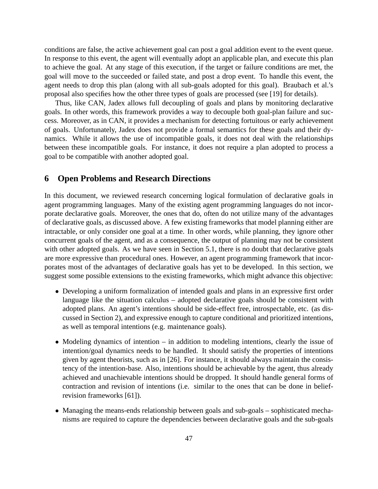conditions are false, the active achievement goal can post a goal addition event to the event queue. In response to this event, the agent will eventually adopt an applicable plan, and execute this plan to achieve the goal. At any stage of this execution, if the target or failure conditions are met, the goal will move to the succeeded or failed state, and post a drop event. To handle this event, the agent needs to drop this plan (along with all sub-goals adopted for this goal). Braubach et al.'s proposal also specifies how the other three types of goals are processed (see [19] for details).

Thus, like CAN, Jadex allows full decoupling of goals and plans by monitoring declarative goals. In other words, this framework provides a way to decouple both goal-plan failure and success. Moreover, as in CAN, it provides a mechanism for detecting fortuitous or early achievement of goals. Unfortunately, Jadex does not provide a formal semantics for these goals and their dynamics. While it allows the use of incompatible goals, it does not deal with the relationships between these incompatible goals. For instance, it does not require a plan adopted to process a goal to be compatible with another adopted goal.

# **6 Open Problems and Research Directions**

In this document, we reviewed research concerning logical formulation of declarative goals in agent programming languages. Many of the existing agent programming languages do not incorporate declarative goals. Moreover, the ones that do, often do not utilize many of the advantages of declarative goals, as discussed above. A few existing frameworks that model planning either are intractable, or only consider one goal at a time. In other words, while planning, they ignore other concurrent goals of the agent, and as a consequence, the output of planning may not be consistent with other adopted goals. As we have seen in Section 5.1, there is no doubt that declarative goals are more expressive than procedural ones. However, an agent programming framework that incorporates most of the advantages of declarative goals has yet to be developed. In this section, we suggest some possible extensions to the existing frameworks, which might advance this objective:

- Developing a uniform formalization of intended goals and plans in an expressive first order language like the situation calculus – adopted declarative goals should be consistent with adopted plans. An agent's intentions should be side-effect free, introspectable, etc. (as discussed in Section 2), and expressive enough to capture conditional and prioritized intentions, as well as temporal intentions (e.g. maintenance goals).
- Modeling dynamics of intention in addition to modeling intentions, clearly the issue of intention/goal dynamics needs to be handled. It should satisfy the properties of intentions given by agent theorists, such as in [26]. For instance, it should always maintain the consistency of the intention-base. Also, intentions should be achievable by the agent, thus already achieved and unachievable intentions should be dropped. It should handle general forms of contraction and revision of intentions (i.e. similar to the ones that can be done in beliefrevision frameworks [61]).
- Managing the means-ends relationship between goals and sub-goals sophisticated mechanisms are required to capture the dependencies between declarative goals and the sub-goals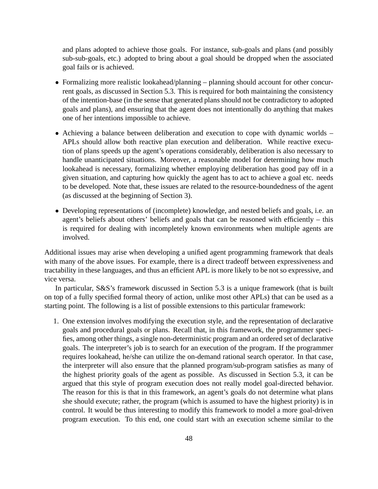and plans adopted to achieve those goals. For instance, sub-goals and plans (and possibly sub-sub-goals, etc.) adopted to bring about a goal should be dropped when the associated goal fails or is achieved.

- Formalizing more realistic lookahead/planning planning should account for other concurrent goals, as discussed in Section 5.3. This is required for both maintaining the consistency of the intention-base (in the sense that generated plans should not be contradictory to adopted goals and plans), and ensuring that the agent does not intentionally do anything that makes one of her intentions impossible to achieve.
- Achieving a balance between deliberation and execution to cope with dynamic worlds APLs should allow both reactive plan execution and deliberation. While reactive execution of plans speeds up the agent's operations considerably, deliberation is also necessary to handle unanticipated situations. Moreover, a reasonable model for determining how much lookahead is necessary, formalizing whether employing deliberation has good pay off in a given situation, and capturing how quickly the agent has to act to achieve a goal etc. needs to be developed. Note that, these issues are related to the resource-boundedness of the agent (as discussed at the beginning of Section 3).
- Developing representations of (incomplete) knowledge, and nested beliefs and goals, i.e. an agent's beliefs about others' beliefs and goals that can be reasoned with efficiently – this is required for dealing with incompletely known environments when multiple agents are involved.

Additional issues may arise when developing a unified agent programming framework that deals with many of the above issues. For example, there is a direct tradeoff between expressiveness and tractability in these languages, and thus an efficient APL is more likely to be not so expressive, and vice versa.

In particular, S&S's framework discussed in Section 5.3 is a unique framework (that is built on top of a fully specified formal theory of action, unlike most other APLs) that can be used as a starting point. The following is a list of possible extensions to this particular framework:

1. One extension involves modifying the execution style, and the representation of declarative goals and procedural goals or plans. Recall that, in this framework, the programmer specifies, among other things, a single non-deterministic program and an ordered set of declarative goals. The interpreter's job is to search for an execution of the program. If the programmer requires lookahead, he/she can utilize the on-demand rational search operator. In that case, the interpreter will also ensure that the planned program/sub-program satisfies as many of the highest priority goals of the agent as possible. As discussed in Section 5.3, it can be argued that this style of program execution does not really model goal-directed behavior. The reason for this is that in this framework, an agent's goals do not determine what plans she should execute; rather, the program (which is assumed to have the highest priority) is in control. It would be thus interesting to modify this framework to model a more goal-driven program execution. To this end, one could start with an execution scheme similar to the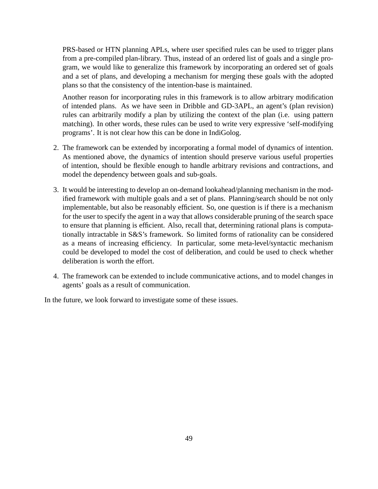PRS-based or HTN planning APLs, where user specified rules can be used to trigger plans from a pre-compiled plan-library. Thus, instead of an ordered list of goals and a single program, we would like to generalize this framework by incorporating an ordered set of goals and a set of plans, and developing a mechanism for merging these goals with the adopted plans so that the consistency of the intention-base is maintained.

Another reason for incorporating rules in this framework is to allow arbitrary modification of intended plans. As we have seen in Dribble and GD-3APL, an agent's (plan revision) rules can arbitrarily modify a plan by utilizing the context of the plan (i.e. using pattern matching). In other words, these rules can be used to write very expressive 'self-modifying programs'. It is not clear how this can be done in IndiGolog.

- 2. The framework can be extended by incorporating a formal model of dynamics of intention. As mentioned above, the dynamics of intention should preserve various useful properties of intention, should be flexible enough to handle arbitrary revisions and contractions, and model the dependency between goals and sub-goals.
- 3. It would be interesting to develop an on-demand lookahead/planning mechanism in the modified framework with multiple goals and a set of plans. Planning/search should be not only implementable, but also be reasonably efficient. So, one question is if there is a mechanism for the user to specify the agent in a way that allows considerable pruning of the search space to ensure that planning is efficient. Also, recall that, determining rational plans is computationally intractable in S&S's framework. So limited forms of rationality can be considered as a means of increasing efficiency. In particular, some meta-level/syntactic mechanism could be developed to model the cost of deliberation, and could be used to check whether deliberation is worth the effort.
- 4. The framework can be extended to include communicative actions, and to model changes in agents' goals as a result of communication.

In the future, we look forward to investigate some of these issues.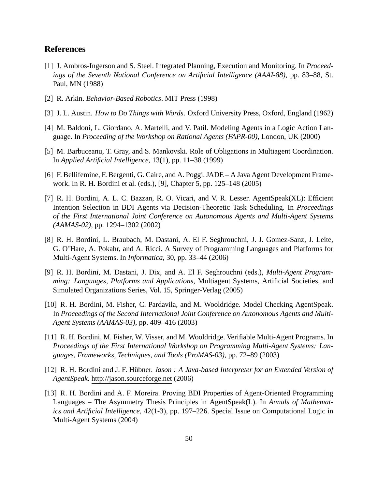# **References**

- [1] J. Ambros-Ingerson and S. Steel. Integrated Planning, Execution and Monitoring. In *Proceedings of the Seventh National Conference on Artificial Intelligence (AAAI-88)*, pp. 83–88, St. Paul, MN (1988)
- [2] R. Arkin. *Behavior-Based Robotics*. MIT Press (1998)
- [3] J. L. Austin. *How to Do Things with Words*. Oxford University Press, Oxford, England (1962)
- [4] M. Baldoni, L. Giordano, A. Martelli, and V. Patil. Modeling Agents in a Logic Action Language. In *Proceeding of the Workshop on Rational Agents (FAPR-00)*, London, UK (2000)
- [5] M. Barbuceanu, T. Gray, and S. Mankovski. Role of Obligations in Multiagent Coordination. In *Applied Artificial Intelligence*, 13(1), pp. 11–38 (1999)
- [6] F. Bellifemine, F. Bergenti, G. Caire, and A. Poggi. JADE A Java Agent Development Framework. In R. H. Bordini et al. (eds.), [9], Chapter 5, pp. 125–148 (2005)
- [7] R. H. Bordini, A. L. C. Bazzan, R. O. Vicari, and V. R. Lesser. AgentSpeak(XL): Efficient Intention Selection in BDI Agents via Decision-Theoretic Task Scheduling. In *Proceedings of the First International Joint Conference on Autonomous Agents and Multi-Agent Systems (AAMAS-02)*, pp. 1294–1302 (2002)
- [8] R. H. Bordini, L. Braubach, M. Dastani, A. El F. Seghrouchni, J. J. Gomez-Sanz, J. Leite, G. O'Hare, A. Pokahr, and A. Ricci. A Survey of Programming Languages and Platforms for Multi-Agent Systems. In *Informatica*, 30, pp. 33–44 (2006)
- [9] R. H. Bordini, M. Dastani, J. Dix, and A. El F. Seghrouchni (eds.), *Multi-Agent Programming: Languages, Platforms and Applications*, Multiagent Systems, Artificial Societies, and Simulated Organizations Series, Vol. 15, Springer-Verlag (2005)
- [10] R. H. Bordini, M. Fisher, C. Pardavila, and M. Wooldridge. Model Checking AgentSpeak. In *Proceedings of the Second International Joint Conference on Autonomous Agents and Multi-Agent Systems (AAMAS-03)*, pp. 409–416 (2003)
- [11] R. H. Bordini, M. Fisher, W. Visser, and M. Wooldridge. Verifiable Multi-Agent Programs. In *Proceedings of the First International Workshop on Programming Multi-Agent Systems: Languages, Frameworks, Techniques, and Tools (ProMAS-03)*, pp. 72–89 (2003)
- [12] R. H. Bordini and J. F. Hübner. *Jason : A Java-based Interpreter for an Extended Version of AgentSpeak*. http://jason.sourceforge.net (2006)
- [13] R. H. Bordini and A. F. Moreira. Proving BDI Properties of Agent-Oriented Programming Languages – The Asymmetry Thesis Principles in AgentSpeak(L). In *Annals of Mathematics and Artificial Intelligence*, 42(1-3), pp. 197–226. Special Issue on Computational Logic in Multi-Agent Systems (2004)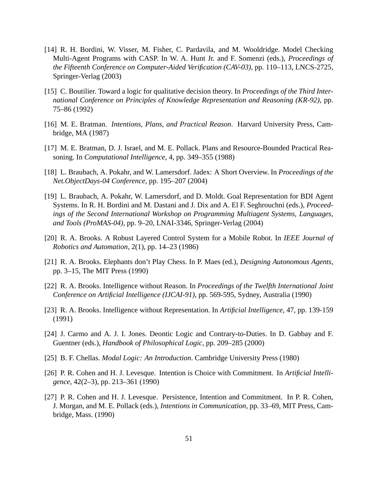- [14] R. H. Bordini, W. Visser, M. Fisher, C. Pardavila, and M. Wooldridge. Model Checking Multi-Agent Programs with CASP. In W. A. Hunt Jr. and F. Somenzi (eds.), *Proceedings of the Fifteenth Conference on Computer-Aided Verification (CAV-03)*, pp. 110–113, LNCS-2725, Springer-Verlag (2003)
- [15] C. Boutilier. Toward a logic for qualitative decision theory. In *Proceedings of the Third International Conference on Principles of Knowledge Representation and Reasoning (KR-92)*, pp. 75–86 (1992)
- [16] M. E. Bratman. *Intentions, Plans, and Practical Reason*. Harvard University Press, Cambridge, MA (1987)
- [17] M. E. Bratman, D. J. Israel, and M. E. Pollack. Plans and Resource-Bounded Practical Reasoning. In *Computational Intelligence*, 4, pp. 349–355 (1988)
- [18] L. Braubach, A. Pokahr, and W. Lamersdorf. Jadex: A Short Overview. In *Proceedings of the Net.ObjectDays-04 Conference*, pp. 195–207 (2004)
- [19] L. Braubach, A. Pokahr, W. Lamersdorf, and D. Moldt. Goal Representation for BDI Agent Systems. In R. H. Bordini and M. Dastani and J. Dix and A. El F. Seghrouchni (eds.), *Proceedings of the Second International Workshop on Programming Multiagent Systems, Languages, and Tools (ProMAS-04)*, pp. 9–20, LNAI-3346, Springer-Verlag (2004)
- [20] R. A. Brooks. A Robust Layered Control System for a Mobile Robot. In *IEEE Journal of Robotics and Automation*, 2(1), pp. 14–23 (1986)
- [21] R. A. Brooks. Elephants don't Play Chess. In P. Maes (ed.), *Designing Autonomous Agents*, pp. 3–15, The MIT Press (1990)
- [22] R. A. Brooks. Intelligence without Reason. In *Proceedings of the Twelfth International Joint Conference on Artificial Intelligence (IJCAI-91)*, pp. 569-595, Sydney, Australia (1990)
- [23] R. A. Brooks. Intelligence without Representation. In *Artificial Intelligence*, 47, pp. 139-159 (1991)
- [24] J. Carmo and A. J. I. Jones. Deontic Logic and Contrary-to-Duties. In D. Gabbay and F. Guentner (eds.), *Handbook of Philosophical Logic*, pp. 209–285 (2000)
- [25] B. F. Chellas. *Modal Logic: An Introduction*. Cambridge University Press (1980)
- [26] P. R. Cohen and H. J. Levesque. Intention is Choice with Commitment. In *Artificial Intelligence*, 42(2–3), pp. 213–361 (1990)
- [27] P. R. Cohen and H. J. Levesque. Persistence, Intention and Commitment. In P. R. Cohen, J. Morgan, and M. E. Pollack (eds.), *Intentions in Communication*, pp. 33–69, MIT Press, Cambridge, Mass. (1990)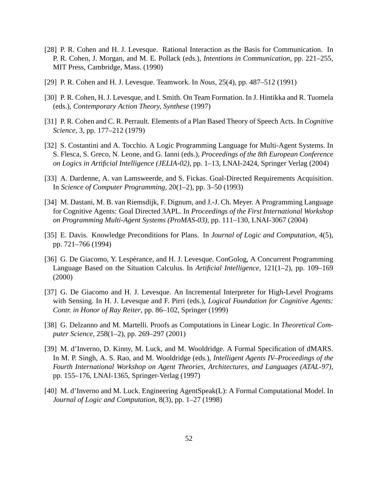- [28] P. R. Cohen and H. J. Levesque. Rational Interaction as the Basis for Communication. In P. R. Cohen, J. Morgan, and M. E. Pollack (eds.), *Intentions in Communication*, pp. 221–255, MIT Press, Cambridge, Mass. (1990)
- [29] P. R. Cohen and H. J. Levesque. Teamwork. In *Nous*, 25(4), pp. 487–512 (1991)
- [30] P. R. Cohen, H. J. Levesque, and I. Smith. On Team Formation. In J. Hintikka and R. Tuomela (eds.), *Contemporary Action Theory, Synthese* (1997)
- [31] P. R. Cohen and C. R. Perrault. Elements of a Plan Based Theory of Speech Acts. In *Cognitive Science*, 3, pp. 177–212 (1979)
- [32] S. Costantini and A. Tocchio. A Logic Programming Language for Multi-Agent Systems. In S. Flesca, S. Greco, N. Leone, and G. Ianni (eds.), *Proceedings of the 8th European Conference on Logics in Artificial Intelligence (JELIA-02)*, pp. 1–13, LNAI-2424, Springer Verlag (2004)
- [33] A. Dardenne, A. van Lamsweerde, and S. Fickas. Goal-Directed Requirements Acquisition. In *Science of Computer Programming*, 20(1–2), pp. 3–50 (1993)
- [34] M. Dastani, M. B. van Riemsdijk, F. Dignum, and J.-J. Ch. Meyer. A Programming Language for Cognitive Agents: Goal Directed 3APL. In *Proceedings of the First International Workshop on Programming Multi-Agent Systems (ProMAS-03)*, pp. 111–130, LNAI-3067 (2004)
- [35] E. Davis. Knowledge Preconditions for Plans. In *Journal of Logic and Computation*, 4(5), pp. 721–766 (1994)
- [36] G. De Giacomo, Y. Lespérance, and H. J. Levesque. ConGolog, A Concurrent Programming Language Based on the Situation Calculus. In *Artificial Intelligence*, 121(1–2), pp. 109–169 (2000)
- [37] G. De Giacomo and H. J. Levesque. An Incremental Interpreter for High-Level Programs with Sensing. In H. J. Levesque and F. Pirri (eds.), *Logical Foundation for Cognitive Agents: Contr. in Honor of Ray Reiter*, pp. 86–102, Springer (1999)
- [38] G. Delzanno and M. Martelli. Proofs as Computations in Linear Logic. In *Theoretical Computer Science*, 258(1–2), pp. 269–297 (2001)
- [39] M. d'Inverno, D. Kinny, M. Luck, and M. Wooldridge. A Formal Specification of dMARS. In M. P. Singh, A. S. Rao, and M. Wooldridge (eds.), *Intelligent Agents IV–Proceedings of the Fourth International Workshop on Agent Theories, Architectures, and Languages (ATAL-97)*, pp. 155–176, LNAI-1365, Springer-Verlag (1997)
- [40] M. d'Inverno and M. Luck. Engineering AgentSpeak(L): A Formal Computational Model. In *Journal of Logic and Computation*, 8(3), pp. 1–27 (1998)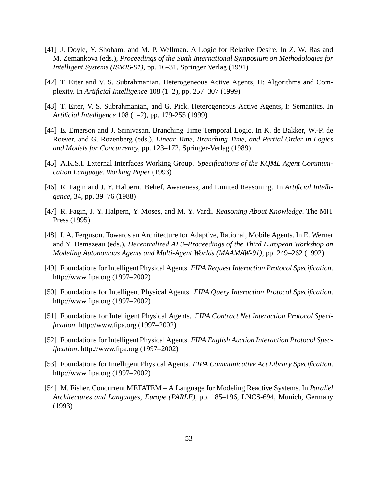- [41] J. Doyle, Y. Shoham, and M. P. Wellman. A Logic for Relative Desire. In Z. W. Ras and M. Zemankova (eds.), *Proceedings of the Sixth International Symposium on Methodologies for Intelligent Systems (ISMIS-91)*, pp. 16–31, Springer Verlag (1991)
- [42] T. Eiter and V. S. Subrahmanian. Heterogeneous Active Agents, II: Algorithms and Complexity. In *Artificial Intelligence* 108 (1–2), pp. 257–307 (1999)
- [43] T. Eiter, V. S. Subrahmanian, and G. Pick. Heterogeneous Active Agents, I: Semantics. In *Artificial Intelligence* 108 (1–2), pp. 179-255 (1999)
- [44] E. Emerson and J. Srinivasan. Branching Time Temporal Logic. In K. de Bakker, W.-P. de Roever, and G. Rozenberg (eds.), *Linear Time, Branching Time, and Partial Order in Logics and Models for Concurrency*, pp. 123–172, Springer-Verlag (1989)
- [45] A.K.S.I. External Interfaces Working Group. *Specifications of the KQML Agent Communication Language. Working Paper* (1993)
- [46] R. Fagin and J. Y. Halpern. Belief, Awareness, and Limited Reasoning. In *Artificial Intelligence*, 34, pp. 39–76 (1988)
- [47] R. Fagin, J. Y. Halpern, Y. Moses, and M. Y. Vardi. *Reasoning About Knowledge*. The MIT Press (1995)
- [48] I. A. Ferguson. Towards an Architecture for Adaptive, Rational, Mobile Agents. In E. Werner and Y. Demazeau (eds.), *Decentralized AI 3–Proceedings of the Third European Workshop on Modeling Autonomous Agents and Multi-Agent Worlds (MAAMAW-91)*, pp. 249–262 (1992)
- [49] Foundations for Intelligent Physical Agents. *FIPA Request Interaction Protocol Specification*. http://www.fipa.org (1997–2002)
- [50] Foundations for Intelligent Physical Agents. *FIPA Query Interaction Protocol Specification*. http://www.fipa.org (1997–2002)
- [51] Foundations for Intelligent Physical Agents. *FIPA Contract Net Interaction Protocol Specification*. http://www.fipa.org (1997–2002)
- [52] Foundations for Intelligent Physical Agents. *FIPA English Auction Interaction Protocol Specification*. http://www.fipa.org (1997–2002)
- [53] Foundations for Intelligent Physical Agents. *FIPA Communicative Act Library Specification*. http://www.fipa.org (1997–2002)
- [54] M. Fisher. Concurrent METATEM A Language for Modeling Reactive Systems. In *Parallel Architectures and Languages, Europe (PARLE)*, pp. 185–196, LNCS-694, Munich, Germany (1993)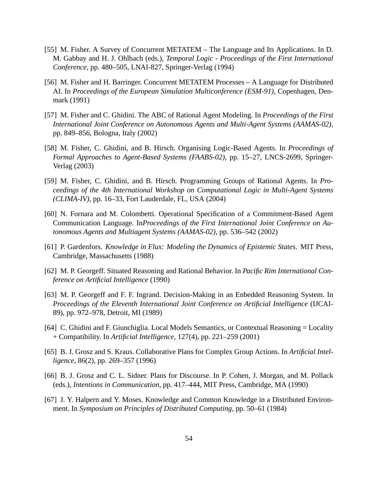- [55] M. Fisher. A Survey of Concurrent METATEM The Language and Its Applications. In D. M. Gabbay and H. J. Ohlbach (eds.), *Temporal Logic - Proceedings of the First International Conference*, pp. 480–505, LNAI-827, Springer-Verlag (1994)
- [56] M. Fisher and H. Barringer. Concurrent METATEM Processes A Language for Distributed AI. In *Proceedings of the European Simulation Multiconference (ESM-91)*, Copenhagen, Denmark (1991)
- [57] M. Fisher and C. Ghidini. The ABC of Rational Agent Modeling. In *Proceedings of the First International Joint Conference on Autonomous Agents and Multi-Agent Systems (AAMAS-02)*, pp. 849–856, Bologna, Italy (2002)
- [58] M. Fisher, C. Ghidini, and B. Hirsch. Organising Logic-Based Agents. In *Proceedings of Formal Approaches to Agent-Based Systems (FAABS-02)*, pp. 15–27, LNCS-2699, Springer-Verlag (2003)
- [59] M. Fisher, C. Ghidini, and B. Hirsch. Programming Groups of Rational Agents. In *Proceedings of the 4th International Workshop on Computational Logic in Multi-Agent Systems (CLIMA-IV)*, pp. 16–33, Fort Lauderdale, FL, USA (2004)
- [60] N. Fornara and M. Colombetti. Operational Specification of a Commitment-Based Agent Communication Language. In*Proceedings of the First International Joint Conference on Autonomous Agents and Multiagent Systems (AAMAS-02)*, pp. 536–542 (2002)
- [61] P. Gardenfors. *Knowledge in Flux: Modeling the Dynamics of Epistemic States*. MIT Press, Cambridge, Massachusetts (1988)
- [62] M. P. Georgeff. Situated Reasoning and Rational Behavior. In *Pacific Rim International Conference on Artificial Intelligence* (1990)
- [63] M. P. Georgeff and F. F. Ingrand. Decision-Making in an Enbedded Reasoning System. In *Proceedings of the Eleventh International Joint Conference on Artificial Intelligence* (IJCAI-89), pp. 972–978, Detroit, MI (1989)
- [64] C. Ghidini and F. Giunchiglia. Local Models Semantics, or Contextual Reasoning = Locality + Compatibility. In *Artificial Intelligence*, 127(4), pp. 221–259 (2001)
- [65] B. J. Grosz and S. Kraus. Collaborative Plans for Complex Group Actions. In *Artificial Intelligence*, 86(2), pp. 269–357 (1996)
- [66] B. J. Grosz and C. L. Sidner. Plans for Discourse. In P. Cohen, J. Morgan, and M. Pollack (eds.), *Intentions in Communication*, pp. 417–444, MIT Press, Cambridge, MA (1990)
- [67] J. Y. Halpern and Y. Moses. Knowledge and Common Knowledge in a Distributed Environment. In *Symposium on Principles of Distributed Computing*, pp. 50–61 (1984)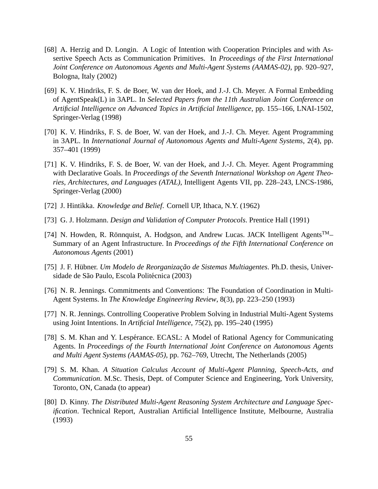- [68] A. Herzig and D. Longin. A Logic of Intention with Cooperation Principles and with Assertive Speech Acts as Communication Primitives. In *Proceedings of the First International Joint Conference on Autonomous Agents and Multi-Agent Systems (AAMAS-02)*, pp. 920–927, Bologna, Italy (2002)
- [69] K. V. Hindriks, F. S. de Boer, W. van der Hoek, and J.-J. Ch. Meyer. A Formal Embedding of AgentSpeak(L) in 3APL. In *Selected Papers from the 11th Australian Joint Conference on Artificial Intelligence on Advanced Topics in Artificial Intelligence*, pp. 155–166, LNAI-1502, Springer-Verlag (1998)
- [70] K. V. Hindriks, F. S. de Boer, W. van der Hoek, and J.-J. Ch. Meyer. Agent Programming in 3APL. In *International Journal of Autonomous Agents and Multi-Agent Systems*, 2(4), pp. 357–401 (1999)
- [71] K. V. Hindriks, F. S. de Boer, W. van der Hoek, and J.-J. Ch. Meyer. Agent Programming with Declarative Goals. In *Proceedings of the Seventh International Workshop on Agent Theories, Architectures, and Languages (ATAL)*, Intelligent Agents VII, pp. 228–243, LNCS-1986, Springer-Verlag (2000)
- [72] J. Hintikka. *Knowledge and Belief*. Cornell UP, Ithaca, N.Y. (1962)
- [73] G. J. Holzmann. *Design and Validation of Computer Protocols*. Prentice Hall (1991)
- [74] N. Howden, R. Rönnquist, A. Hodgson, and Andrew Lucas. JACK Intelligent Agents<sup>TM</sup>-Summary of an Agent Infrastructure. In *Proceedings of the Fifth International Conference on Autonomous Agents* (2001)
- [75] J. F. Hübner. *Um Modelo de Reorganização de Sistemas Multiagentes*. Ph.D. thesis, Universidade de São Paulo, Escola Politécnica (2003)
- [76] N. R. Jennings. Commitments and Conventions: The Foundation of Coordination in Multi-Agent Systems. In *The Knowledge Engineering Review*, 8(3), pp. 223–250 (1993)
- [77] N. R. Jennings. Controlling Cooperative Problem Solving in Industrial Multi-Agent Systems using Joint Intentions. In *Artificial Intelligence*, 75(2), pp. 195–240 (1995)
- [78] S. M. Khan and Y. Lespérance. ECASL: A Model of Rational Agency for Communicating Agents. In *Proceedings of the Fourth International Joint Conference on Autonomous Agents and Multi Agent Systems (AAMAS-05)*, pp. 762–769, Utrecht, The Netherlands (2005)
- [79] S. M. Khan. *A Situation Calculus Account of Multi-Agent Planning, Speech-Acts, and Communication*. M.Sc. Thesis, Dept. of Computer Science and Engineering, York University, Toronto, ON, Canada (to appear)
- [80] D. Kinny. *The Distributed Multi-Agent Reasoning System Architecture and Language Specification*. Technical Report, Australian Artificial Intelligence Institute, Melbourne, Australia (1993)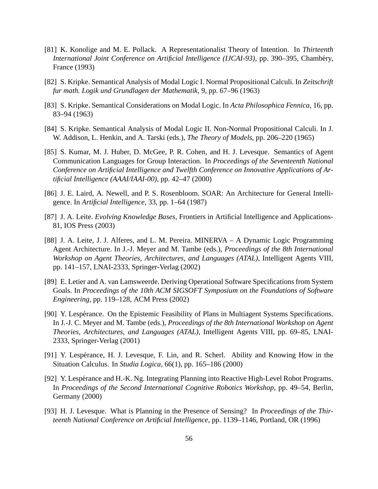- [81] K. Konolige and M. E. Pollack. A Representationalist Theory of Intention. In *Thirteenth International Joint Conference on Artificial Intelligence (IJCAI-93)*, pp. 390–395, Chambéry, France (1993)
- [82] S. Kripke. Semantical Analysis of Modal Logic I. Normal Propositional Calculi. In *Zeitschrift fur math. Logik und Grundlagen der Mathematik*, 9, pp. 67–96 (1963)
- [83] S. Kripke. Semantical Considerations on Modal Logic. In *Acta Philosophica Fennica*, 16, pp. 83–94 (1963)
- [84] S. Kripke. Semantical Analysis of Modal Logic II. Non-Normal Propositional Calculi. In J. W. Addison, L. Henkin, and A. Tarski (eds.), *The Theory of Models*, pp. 206–220 (1965)
- [85] S. Kumar, M. J. Huber, D. McGee, P. R. Cohen, and H. J. Levesque. Semantics of Agent Communication Languages for Group Interaction. In *Proceedings of the Seventeenth National Conference on Artificial Intelligence and Twelfth Conference on Innovative Applications of Artificial Intelligence (AAAI/IAAI-00)*, pp. 42–47 (2000)
- [86] J. E. Laird, A. Newell, and P. S. Rosenbloom. SOAR: An Architecture for General Intelligence. In *Artificial Intelligence*, 33, pp. 1–64 (1987)
- [87] J. A. Leite. *Evolving Knowledge Bases*, Frontiers in Artificial Intelligence and Applications-81, IOS Press (2003)
- [88] J. A. Leite, J. J. Alferes, and L. M. Pereira. MINERVA A Dynamic Logic Programming Agent Architecture. In J.-J. Meyer and M. Tambe (eds.), *Proceedings of the 8th International Workshop on Agent Theories, Architectures, and Languages (ATAL)*, Intelligent Agents VIII, pp. 141–157, LNAI-2333, Springer-Verlag (2002)
- [89] E. Letier and A. van Lamsweerde. Deriving Operational Software Specifications from System Goals. In *Proceedings of the 10th ACM SIGSOFT Symposium on the Foundations of Software Engineering*, pp. 119–128, ACM Press (2002)
- [90] Y. Lespérance. On the Epistemic Feasibility of Plans in Multiagent Systems Specifications. In J.-J. C. Meyer and M. Tambe (eds.), *Proceedings of the 8th International Workshop on Agent Theories, Architectures, and Languages (ATAL)*, Intelligent Agents VIII, pp. 69–85, LNAI-2333, Springer-Verlag (2001)
- [91] Y. Lespérance, H. J. Levesque, F. Lin, and R. Scherl. Ability and Knowing How in the Situation Calculus. In *Studia Logica*, 66(1), pp. 165–186 (2000)
- [92] Y. Lespérance and H.-K. Ng. Integrating Planning into Reactive High-Level Robot Programs. In *Proceedings of the Second International Cognitive Robotics Workshop*, pp. 49–54, Berlin, Germany (2000)
- [93] H. J. Levesque. What is Planning in the Presence of Sensing? In *Proceedings of the Thirteenth National Conference on Artificial Intelligence*, pp. 1139–1146, Portland, OR (1996)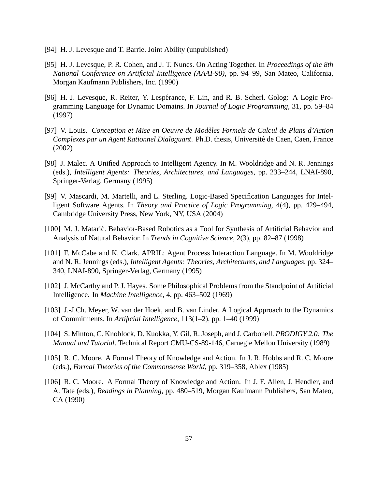- [94] H. J. Levesque and T. Barrie. Joint Ability (unpublished)
- [95] H. J. Levesque, P. R. Cohen, and J. T. Nunes. On Acting Together. In *Proceedings of the 8th National Conference on Artificial Intelligence (AAAI-90)*, pp. 94–99, San Mateo, California, Morgan Kaufmann Publishers, Inc. (1990)
- [96] H. J. Levesque, R. Reiter, Y. Lespérance, F. Lin, and R. B. Scherl. Golog: A Logic Programming Language for Dynamic Domains. In *Journal of Logic Programming*, 31, pp. 59–84 (1997)
- [97] V. Louis. *Conception et Mise en Oeuvre de Modeles Formels de Calcul de Plans d'Action ` Complexes par un Agent Rationnel Dialoguant*. Ph.D. thesis, Universite de Caen, Caen, France ´ (2002)
- [98] J. Malec. A Unified Approach to Intelligent Agency. In M. Wooldridge and N. R. Jennings (eds.), *Intelligent Agents: Theories, Architectures, and Languages*, pp. 233–244, LNAI-890, Springer-Verlag, Germany (1995)
- [99] V. Mascardi, M. Martelli, and L. Sterling. Logic-Based Specification Languages for Intelligent Software Agents. In *Theory and Practice of Logic Programming*, 4(4), pp. 429–494, Cambridge University Press, New York, NY, USA (2004)
- [100] M. J. Matarić. Behavior-Based Robotics as a Tool for Synthesis of Artificial Behavior and Analysis of Natural Behavior. In *Trends in Cognitive Science*, 2(3), pp. 82–87 (1998)
- [101] F. McCabe and K. Clark. APRIL: Agent Process Interaction Language. In M. Wooldridge and N. R. Jennings (eds.), *Intelligent Agents: Theories, Architectures, and Languages*, pp. 324– 340, LNAI-890, Springer-Verlag, Germany (1995)
- [102] J. McCarthy and P. J. Hayes. Some Philosophical Problems from the Standpoint of Artificial Intelligence. In *Machine Intelligence*, 4, pp. 463–502 (1969)
- [103] J.-J.Ch. Meyer, W. van der Hoek, and B. van Linder. A Logical Approach to the Dynamics of Commitments. In *Artificial Intelligence*, 113(1–2), pp. 1–40 (1999)
- [104] S. Minton, C. Knoblock, D. Kuokka, Y. Gil, R. Joseph, and J. Carbonell. *PRODIGY 2.0: The Manual and Tutorial*. Technical Report CMU-CS-89-146, Carnegie Mellon University (1989)
- [105] R. C. Moore. A Formal Theory of Knowledge and Action. In J. R. Hobbs and R. C. Moore (eds.), *Formal Theories of the Commonsense World*, pp. 319–358, Ablex (1985)
- [106] R. C. Moore. A Formal Theory of Knowledge and Action. In J. F. Allen, J. Hendler, and A. Tate (eds.), *Readings in Planning*, pp. 480–519, Morgan Kaufmann Publishers, San Mateo, CA (1990)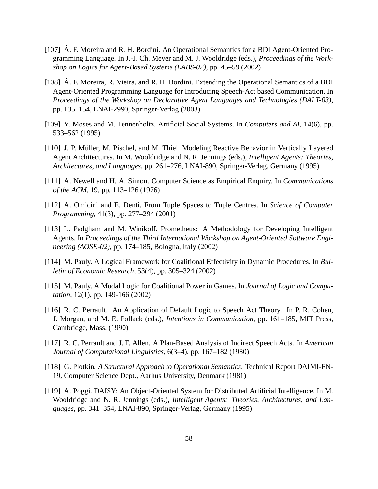- [107] A. F. Moreira and R. H. Bordini. An Operational Semantics for a BDI Agent-Oriented Programming Language. In J.-J. Ch. Meyer and M. J. Wooldridge (eds.), *Proceedings of the Workshop on Logics for Agent-Based Systems (LABS-02)*, pp. 45–59 (2002)
- [108] A. F. Moreira, R. Vieira, and R. H. Bordini. Extending the Operational Semantics of a BDI ` Agent-Oriented Programming Language for Introducing Speech-Act based Communication. In *Proceedings of the Workshop on Declarative Agent Languages and Technologies (DALT-03)*, pp. 135–154, LNAI-2990, Springer-Verlag (2003)
- [109] Y. Moses and M. Tennenholtz. Artificial Social Systems. In *Computers and AI*, 14(6), pp. 533–562 (1995)
- [110] J. P. Müller, M. Pischel, and M. Thiel. Modeling Reactive Behavior in Vertically Layered Agent Architectures. In M. Wooldridge and N. R. Jennings (eds.), *Intelligent Agents: Theories, Architectures, and Languages*, pp. 261–276, LNAI-890, Springer-Verlag, Germany (1995)
- [111] A. Newell and H. A. Simon. Computer Science as Empirical Enquiry. In *Communications of the ACM*, 19, pp. 113–126 (1976)
- [112] A. Omicini and E. Denti. From Tuple Spaces to Tuple Centres. In *Science of Computer Programming*, 41(3), pp. 277–294 (2001)
- [113] L. Padgham and M. Winikoff. Prometheus: A Methodology for Developing Intelligent Agents. In *Proceedings of the Third International Workshop on Agent-Oriented Software Engineering (AOSE-02)*, pp. 174–185, Bologna, Italy (2002)
- [114] M. Pauly. A Logical Framework for Coalitional Effectivity in Dynamic Procedures. In *Bulletin of Economic Research*, 53(4), pp. 305–324 (2002)
- [115] M. Pauly. A Modal Logic for Coalitional Power in Games. In *Journal of Logic and Computation*, 12(1), pp. 149-166 (2002)
- [116] R. C. Perrault. An Application of Default Logic to Speech Act Theory. In P. R. Cohen, J. Morgan, and M. E. Pollack (eds.), *Intentions in Communication*, pp. 161–185, MIT Press, Cambridge, Mass. (1990)
- [117] R. C. Perrault and J. F. Allen. A Plan-Based Analysis of Indirect Speech Acts. In *American Journal of Computational Linguistics*, 6(3–4), pp. 167–182 (1980)
- [118] G. Plotkin. *A Structural Approach to Operational Semantics*. Technical Report DAIMI-FN-19, Computer Science Dept., Aarhus University, Denmark (1981)
- [119] A. Poggi. DAISY: An Object-Oriented System for Distributed Artificial Intelligence. In M. Wooldridge and N. R. Jennings (eds.), *Intelligent Agents: Theories, Architectures, and Languages*, pp. 341–354, LNAI-890, Springer-Verlag, Germany (1995)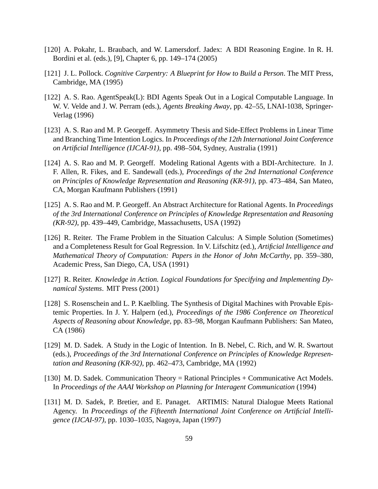- [120] A. Pokahr, L. Braubach, and W. Lamersdorf. Jadex: A BDI Reasoning Engine. In R. H. Bordini et al. (eds.), [9], Chapter 6, pp. 149–174 (2005)
- [121] J. L. Pollock. *Cognitive Carpentry: A Blueprint for How to Build a Person*. The MIT Press, Cambridge, MA (1995)
- [122] A. S. Rao. AgentSpeak(L): BDI Agents Speak Out in a Logical Computable Language. In W. V. Velde and J. W. Perram (eds.), *Agents Breaking Away*, pp. 42–55, LNAI-1038, Springer-Verlag (1996)
- [123] A. S. Rao and M. P. Georgeff. Asymmetry Thesis and Side-Effect Problems in Linear Time and Branching Time Intention Logics. In *Proceedings of the 12th International Joint Conference on Artificial Intelligence (IJCAI-91)*, pp. 498–504, Sydney, Australia (1991)
- [124] A. S. Rao and M. P. Georgeff. Modeling Rational Agents with a BDI-Architecture. In J. F. Allen, R. Fikes, and E. Sandewall (eds.), *Proceedings of the 2nd International Conference on Principles of Knowledge Representation and Reasoning (KR-91)*, pp. 473–484, San Mateo, CA, Morgan Kaufmann Publishers (1991)
- [125] A. S. Rao and M. P. Georgeff. An Abstract Architecture for Rational Agents. In *Proceedings of the 3rd International Conference on Principles of Knowledge Representation and Reasoning (KR-92)*, pp. 439–449, Cambridge, Massachusetts, USA (1992)
- [126] R. Reiter. The Frame Problem in the Situation Calculus: A Simple Solution (Sometimes) and a Completeness Result for Goal Regression. In V. Lifschitz (ed.), *Artificial Intelligence and Mathematical Theory of Computation: Papers in the Honor of John McCarthy*, pp. 359–380, Academic Press, San Diego, CA, USA (1991)
- [127] R. Reiter. *Knowledge in Action. Logical Foundations for Specifying and Implementing Dynamical Systems*. MIT Press (2001)
- [128] S. Rosenschein and L. P. Kaelbling. The Synthesis of Digital Machines with Provable Epistemic Properties. In J. Y. Halpern (ed.), *Proceedings of the 1986 Conference on Theoretical Aspects of Reasoning about Knowledge*, pp. 83–98, Morgan Kaufmann Publishers: San Mateo, CA (1986)
- [129] M. D. Sadek. A Study in the Logic of Intention. In B. Nebel, C. Rich, and W. R. Swartout (eds.), *Proceedings of the 3rd International Conference on Principles of Knowledge Representation and Reasoning (KR-92)*, pp. 462–473, Cambridge, MA (1992)
- [130] M. D. Sadek. Communication Theory = Rational Principles + Communicative Act Models. In *Proceedings of the AAAI Workshop on Planning for Interagent Communication* (1994)
- [131] M. D. Sadek, P. Bretier, and E. Panaget. ARTIMIS: Natural Dialogue Meets Rational Agency. In *Proceedings of the Fifteenth International Joint Conference on Artificial Intelligence (IJCAI-97)*, pp. 1030–1035, Nagoya, Japan (1997)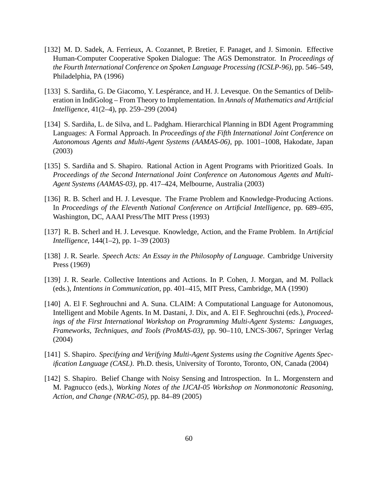- [132] M. D. Sadek, A. Ferrieux, A. Cozannet, P. Bretier, F. Panaget, and J. Simonin. Effective Human-Computer Cooperative Spoken Dialogue: The AGS Demonstrator. In *Proceedings of the Fourth International Conference on Spoken Language Processing (ICSLP-96)*, pp. 546–549, Philadelphia, PA (1996)
- [133] S. Sardiña, G. De Giacomo, Y. Lespérance, and H. J. Levesque. On the Semantics of Deliberation in IndiGolog – From Theory to Implementation. In *Annals of Mathematics and Artificial Intelligence*, 41(2–4), pp. 259–299 (2004)
- [134] S. Sardiña, L. de Silva, and L. Padgham. Hierarchical Planning in BDI Agent Programming Languages: A Formal Approach. In *Proceedings of the Fifth International Joint Conference on Autonomous Agents and Multi-Agent Systems (AAMAS-06)*, pp. 1001–1008, Hakodate, Japan (2003)
- [135] S. Sardiña and S. Shapiro. Rational Action in Agent Programs with Prioritized Goals. In *Proceedings of the Second International Joint Conference on Autonomous Agents and Multi-Agent Systems (AAMAS-03)*, pp. 417–424, Melbourne, Australia (2003)
- [136] R. B. Scherl and H. J. Levesque. The Frame Problem and Knowledge-Producing Actions. In *Proceedings of the Eleventh National Conference on Artificial Intelligence*, pp. 689–695, Washington, DC, AAAI Press/The MIT Press (1993)
- [137] R. B. Scherl and H. J. Levesque. Knowledge, Action, and the Frame Problem. In *Artificial Intelligence*, 144(1–2), pp. 1–39 (2003)
- [138] J. R. Searle. *Speech Acts: An Essay in the Philosophy of Language*. Cambridge University Press (1969)
- [139] J. R. Searle. Collective Intentions and Actions. In P. Cohen, J. Morgan, and M. Pollack (eds.), *Intentions in Communication*, pp. 401–415, MIT Press, Cambridge, MA (1990)
- [140] A. El F. Seghrouchni and A. Suna. CLAIM: A Computational Language for Autonomous, Intelligent and Mobile Agents. In M. Dastani, J. Dix, and A. El F. Seghrouchni (eds.), *Proceedings of the First International Workshop on Programming Multi-Agent Systems: Languages, Frameworks, Techniques, and Tools (ProMAS-03)*, pp. 90–110, LNCS-3067, Springer Verlag (2004)
- [141] S. Shapiro. *Specifying and Verifying Multi-Agent Systems using the Cognitive Agents Specification Language (CASL)*. Ph.D. thesis, University of Toronto, Toronto, ON, Canada (2004)
- [142] S. Shapiro. Belief Change with Noisy Sensing and Introspection. In L. Morgenstern and M. Pagnucco (eds.), *Working Notes of the IJCAI-05 Workshop on Nonmonotonic Reasoning, Action, and Change (NRAC-05)*, pp. 84–89 (2005)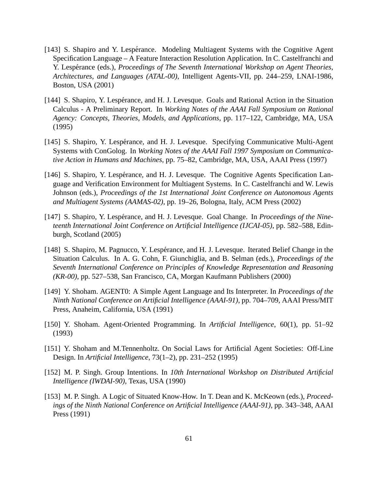- [143] S. Shapiro and Y. Lespérance. Modeling Multiagent Systems with the Cognitive Agent Specification Language – A Feature Interaction Resolution Application. In C. Castelfranchi and Y. Lespérance (eds.), *Proceedings of The Seventh International Workshop on Agent Theories, Architectures, and Languages (ATAL-00)*, Intelligent Agents-VII, pp. 244–259, LNAI-1986, Boston, USA (2001)
- [144] S. Shapiro, Y. Lespérance, and H. J. Levesque. Goals and Rational Action in the Situation Calculus - A Preliminary Report. In *Working Notes of the AAAI Fall Symposium on Rational Agency: Concepts, Theories, Models, and Applications*, pp. 117–122, Cambridge, MA, USA (1995)
- [145] S. Shapiro, Y. Lespérance, and H. J. Levesque. Specifying Communicative Multi-Agent Systems with ConGolog. In *Working Notes of the AAAI Fall 1997 Symposium on Communicative Action in Humans and Machines*, pp. 75–82, Cambridge, MA, USA, AAAI Press (1997)
- [146] S. Shapiro, Y. Lespérance, and H. J. Levesque. The Cognitive Agents Specification Language and Verification Environment for Multiagent Systems. In C. Castelfranchi and W. Lewis Johnson (eds.), *Proceedings of the 1st International Joint Conference on Autonomous Agents and Multiagent Systems (AAMAS-02)*, pp. 19–26, Bologna, Italy, ACM Press (2002)
- [147] S. Shapiro, Y. Lespérance, and H. J. Levesque. Goal Change. In *Proceedings of the Nineteenth International Joint Conference on Artificial Intelligence (IJCAI-05)*, pp. 582–588, Edinburgh, Scotland (2005)
- [148] S. Shapiro, M. Pagnucco, Y. Lespérance, and H. J. Levesque. Iterated Belief Change in the Situation Calculus. In A. G. Cohn, F. Giunchiglia, and B. Selman (eds.), *Proceedings of the Seventh International Conference on Principles of Knowledge Representation and Reasoning (KR-00)*, pp. 527–538, San Francisco, CA, Morgan Kaufmann Publishers (2000)
- [149] Y. Shoham. AGENT0: A Simple Agent Language and Its Interpreter. In *Proceedings of the Ninth National Conference on Artificial Intelligence (AAAI-91)*, pp. 704–709, AAAI Press/MIT Press, Anaheim, California, USA (1991)
- [150] Y. Shoham. Agent-Oriented Programming. In *Artificial Intelligence*, 60(1), pp. 51–92 (1993)
- [151] Y. Shoham and M.Tennenholtz. On Social Laws for Artificial Agent Societies: Off-Line Design. In *Artificial Intelligence*, 73(1–2), pp. 231–252 (1995)
- [152] M. P. Singh. Group Intentions. In *10th International Workshop on Distributed Artificial Intelligence (IWDAI-90)*, Texas, USA (1990)
- [153] M. P. Singh. A Logic of Situated Know-How. In T. Dean and K. McKeown (eds.), *Proceedings of the Ninth National Conference on Artificial Intelligence (AAAI-91)*, pp. 343–348, AAAI Press (1991)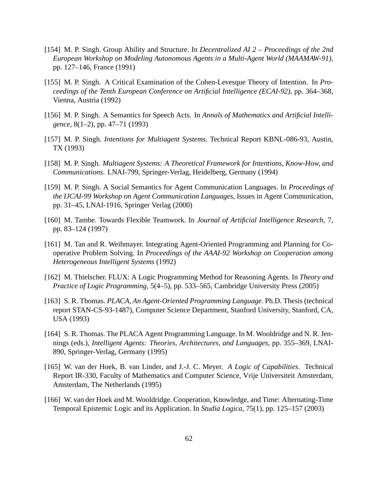- [154] M. P. Singh. Group Ability and Structure. In *Decentralized AI 2 Proceedings of the 2nd European Workshop on Modeling Autonomous Agents in a Multi-Agent World (MAAMAW-91)*, pp. 127–146, France (1991)
- [155] M. P. Singh. A Critical Examination of the Cohen-Levesque Theory of Intention. In *Proceedings of the Tenth European Conference on Artificial Intelligence (ECAI-92)*, pp. 364–368, Vienna, Austria (1992)
- [156] M. P. Singh. A Semantics for Speech Acts. In *Annals of Mathematics and Artificial Intelligence*, 8(1–2), pp. 47–71 (1993)
- [157] M. P. Singh. *Intentions for Multiagent Systems*. Technical Report KBNL-086-93, Austin, TX (1993)
- [158] M. P. Singh. *Multiagent Systems: A Theoretical Framework for Intentions, Know-How, and Communications*. LNAI-799, Springer-Verlag, Heidelberg, Germany (1994)
- [159] M. P. Singh. A Social Semantics for Agent Communication Languages. In *Proceedings of the IJCAI-99 Workshop on Agent Communication Languages*, Issues in Agent Communication, pp. 31–45, LNAI-1916, Springer Verlag (2000)
- [160] M. Tambe. Towards Flexible Teamwork. In *Journal of Artificial Intelligence Research*, 7, pp. 83–124 (1997)
- [161] M. Tan and R. Weihmayer. Integrating Agent-Oriented Programming and Planning for Cooperative Problem Solving. In *Proceedings of the AAAI-92 Workshop on Cooperation among Heterogeneous Intelligent Systems* (1992)
- [162] M. Thielscher. FLUX: A Logic Programming Method for Reasoning Agents. In *Theory and Practice of Logic Programming*, 5(4–5), pp. 533–565, Cambridge University Press (2005)
- [163] S. R. Thomas. *PLACA, An Agent-Oriented Programming Language*. Ph.D. Thesis (technical report STAN-CS-93-1487), Computer Science Department, Stanford University, Stanford, CA, USA (1993)
- [164] S. R. Thomas. The PLACA Agent Programming Language. In M. Wooldridge and N. R. Jennings (eds.), *Intelligent Agents: Theories, Architectures, and Languages*, pp. 355–369, LNAI-890, Springer-Verlag, Germany (1995)
- [165] W. van der Hoek, B. van Linder, and J.-J. C. Meyer. *A Logic of Capabilities*. Technical Report IR-330, Faculty of Mathematics and Computer Science, Vrije Universiteit Amsterdam, Amsterdam, The Netherlands (1995)
- [166] W. van der Hoek and M. Wooldridge. Cooperation, Knowledge, and Time: Alternating-Time Temporal Epistemic Logic and its Application. In *Studia Logica*, 75(1), pp. 125–157 (2003)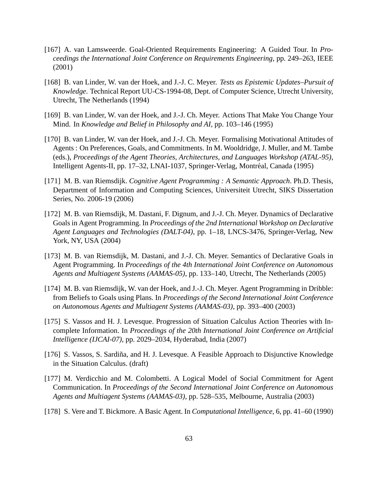- [167] A. van Lamsweerde. Goal-Oriented Requirements Engineering: A Guided Tour. In *Proceedings the International Joint Conference on Requirements Engineering*, pp. 249–263, IEEE (2001)
- [168] B. van Linder, W. van der Hoek, and J.-J. C. Meyer. *Tests as Epistemic Updates–Pursuit of Knowledge*. Technical Report UU-CS-1994-08, Dept. of Computer Science, Utrecht University, Utrecht, The Netherlands (1994)
- [169] B. van Linder, W. van der Hoek, and J.-J. Ch. Meyer. Actions That Make You Change Your Mind. In *Knowledge and Belief in Philosophy and AI*, pp. 103–146 (1995)
- [170] B. van Linder, W. van der Hoek, and J.-J. Ch. Meyer. Formalising Motivational Attitudes of Agents : On Preferences, Goals, and Commitments. In M. Wooldridge, J. Muller, and M. Tambe (eds.), *Proceedings of the Agent Theories, Architectures, and Languages Workshop (ATAL-95)*, Intelligent Agents-II, pp. 17–32, LNAI-1037, Springer-Verlag, Montréal, Canada (1995)
- [171] M. B. van Riemsdijk. *Cognitive Agent Programming : A Semantic Approach*. Ph.D. Thesis, Department of Information and Computing Sciences, Universiteit Utrecht, SIKS Dissertation Series, No. 2006-19 (2006)
- [172] M. B. van Riemsdijk, M. Dastani, F. Dignum, and J.-J. Ch. Meyer. Dynamics of Declarative Goals in Agent Programming. In *Proceedings of the 2nd International Workshop on Declarative Agent Languages and Technologies (DALT-04)*, pp. 1–18, LNCS-3476, Springer-Verlag, New York, NY, USA (2004)
- [173] M. B. van Riemsdijk, M. Dastani, and J.-J. Ch. Meyer. Semantics of Declarative Goals in Agent Programming. In *Proceedings of the 4th International Joint Conference on Autonomous Agents and Multiagent Systems (AAMAS-05)*, pp. 133–140, Utrecht, The Netherlands (2005)
- [174] M. B. van Riemsdijk, W. van der Hoek, and J.-J. Ch. Meyer. Agent Programming in Dribble: from Beliefs to Goals using Plans. In *Proceedings of the Second International Joint Conference on Autonomous Agents and Multiagent Systems (AAMAS-03)*, pp. 393–400 (2003)
- [175] S. Vassos and H. J. Levesque. Progression of Situation Calculus Action Theories with Incomplete Information. In *Proceedings of the 20th International Joint Conference on Artificial Intelligence (IJCAI-07)*, pp. 2029–2034, Hyderabad, India (2007)
- [176] S. Vassos, S. Sardiña, and H. J. Levesque. A Feasible Approach to Disjunctive Knowledge in the Situation Calculus. (draft)
- [177] M. Verdicchio and M. Colombetti. A Logical Model of Social Commitment for Agent Communication. In *Proceedings of the Second International Joint Conference on Autonomous Agents and Multiagent Systems (AAMAS-03)*, pp. 528–535, Melbourne, Australia (2003)
- [178] S. Vere and T. Bickmore. A Basic Agent. In *Computational Intelligence*, 6, pp. 41–60 (1990)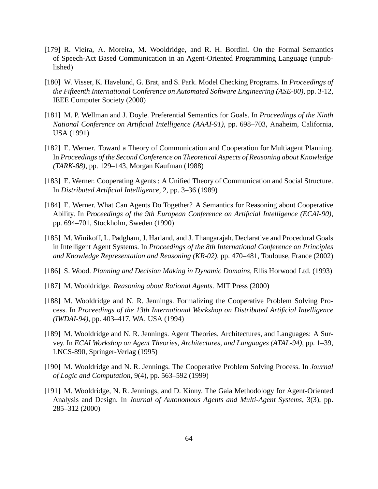- [179] R. Vieira, A. Moreira, M. Wooldridge, and R. H. Bordini. On the Formal Semantics of Speech-Act Based Communication in an Agent-Oriented Programming Language (unpublished)
- [180] W. Visser, K. Havelund, G. Brat, and S. Park. Model Checking Programs. In *Proceedings of the Fifteenth International Conference on Automated Software Engineering (ASE-00)*, pp. 3-12, IEEE Computer Society (2000)
- [181] M. P. Wellman and J. Doyle. Preferential Semantics for Goals. In *Proceedings of the Ninth National Conference on Artificial Intelligence (AAAI-91)*, pp. 698–703, Anaheim, California, USA (1991)
- [182] E. Werner. Toward a Theory of Communication and Cooperation for Multiagent Planning. In *Proceedings of the Second Conference on Theoretical Aspects of Reasoning about Knowledge (TARK-88)*, pp. 129–143, Morgan Kaufman (1988)
- [183] E. Werner. Cooperating Agents : A Unified Theory of Communication and Social Structure. In *Distributed Artificial Intelligence*, 2, pp. 3–36 (1989)
- [184] E. Werner. What Can Agents Do Together? A Semantics for Reasoning about Cooperative Ability. In *Proceedings of the 9th European Conference on Artificial Intelligence (ECAI-90)*, pp. 694–701, Stockholm, Sweden (1990)
- [185] M. Winikoff, L. Padgham, J. Harland, and J. Thangarajah. Declarative and Procedural Goals in Intelligent Agent Systems. In *Proceedings of the 8th International Conference on Principles and Knowledge Representation and Reasoning (KR-02)*, pp. 470–481, Toulouse, France (2002)
- [186] S. Wood. *Planning and Decision Making in Dynamic Domains*, Ellis Horwood Ltd. (1993)
- [187] M. Wooldridge. *Reasoning about Rational Agents*. MIT Press (2000)
- [188] M. Wooldridge and N. R. Jennings. Formalizing the Cooperative Problem Solving Process. In *Proceedings of the 13th International Workshop on Distributed Artificial Intelligence (IWDAI-94)*, pp. 403–417, WA, USA (1994)
- [189] M. Wooldridge and N. R. Jennings. Agent Theories, Architectures, and Languages: A Survey. In *ECAI Workshop on Agent Theories, Architectures, and Languages (ATAL-94)*, pp. 1–39, LNCS-890, Springer-Verlag (1995)
- [190] M. Wooldridge and N. R. Jennings. The Cooperative Problem Solving Process. In *Journal of Logic and Computation*, 9(4), pp. 563–592 (1999)
- [191] M. Wooldridge, N. R. Jennings, and D. Kinny. The Gaia Methodology for Agent-Oriented Analysis and Design. In *Journal of Autonomous Agents and Multi-Agent Systems*, 3(3), pp. 285–312 (2000)